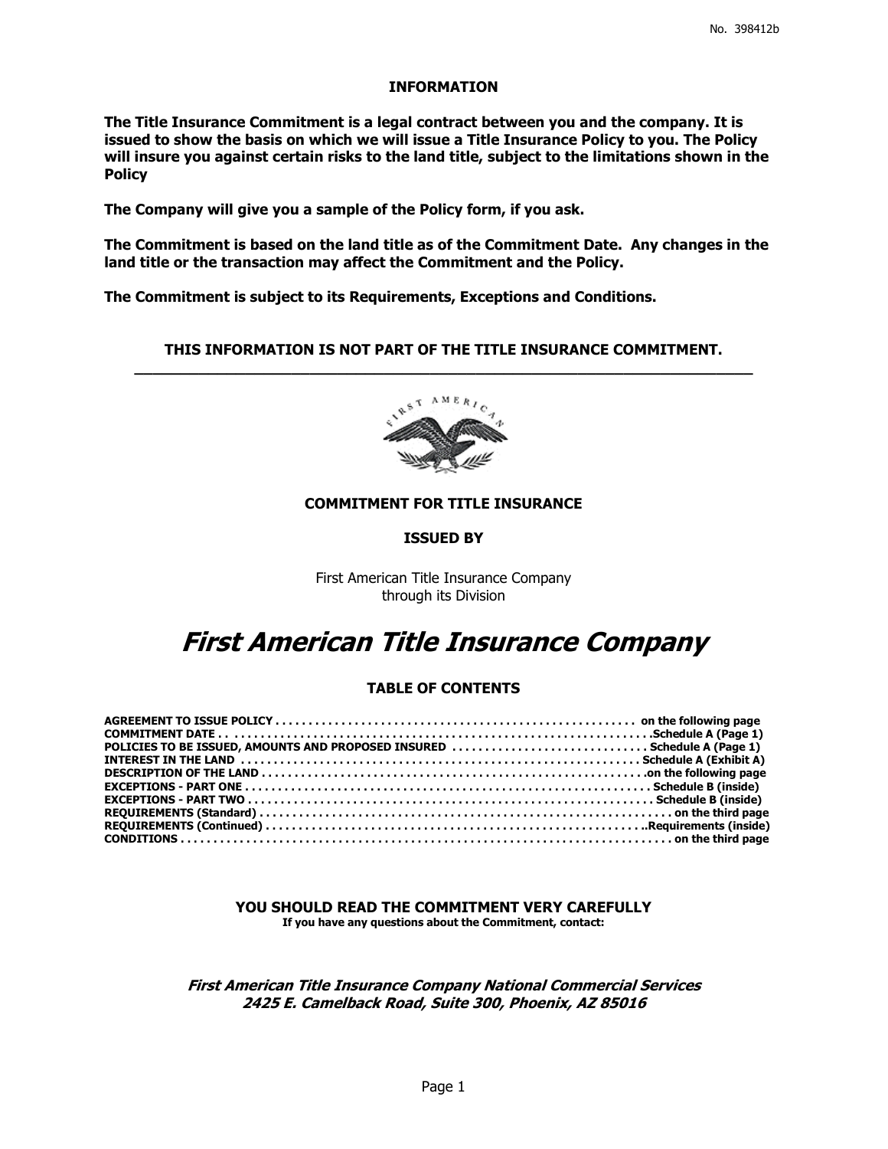## **INFORMATION**

**The Title Insurance Commitment is a legal contract between you and the company. It is issued to show the basis on which we will issue a Title Insurance Policy to you. The Policy will insure you against certain risks to the land title, subject to the limitations shown in the Policy** 

**The Company will give you a sample of the Policy form, if you ask.** 

**The Commitment is based on the land title as of the Commitment Date. Any changes in the land title or the transaction may affect the Commitment and the Policy.** 

**The Commitment is subject to its Requirements, Exceptions and Conditions.**

## **THIS INFORMATION IS NOT PART OF THE TITLE INSURANCE COMMITMENT. \_\_\_\_\_\_\_\_\_\_\_\_\_\_\_\_\_\_\_\_\_\_\_\_\_\_\_\_\_\_\_\_\_\_\_\_\_\_\_\_\_\_\_\_\_\_\_\_\_\_\_\_\_\_\_\_\_\_\_\_\_\_\_\_\_\_\_**



## **COMMITMENT FOR TITLE INSURANCE**

## **ISSUED BY**

First American Title Insurance Company through its Division

# **First American Title Insurance Company**

## **TABLE OF CONTENTS**

| POLICIES TO BE ISSUED, AMOUNTS AND PROPOSED INSURED  Schedule A (Page 1) |  |
|--------------------------------------------------------------------------|--|
|                                                                          |  |
|                                                                          |  |
|                                                                          |  |
|                                                                          |  |
|                                                                          |  |
|                                                                          |  |
|                                                                          |  |

**YOU SHOULD READ THE COMMITMENT VERY CAREFULLY If you have any questions about the Commitment, contact:**

**First American Title Insurance Company National Commercial Services 2425 E. Camelback Road, Suite 300, Phoenix, AZ 85016**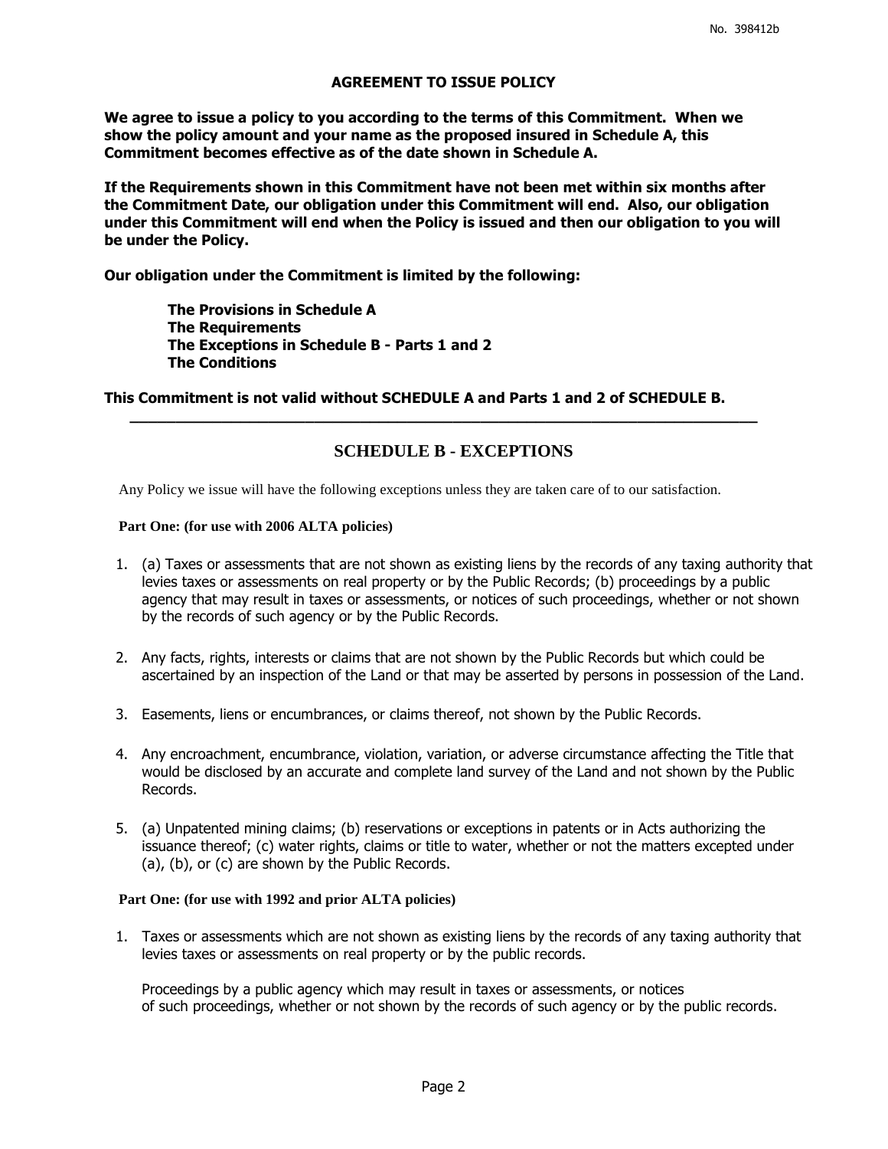## **AGREEMENT TO ISSUE POLICY**

**We agree to issue a policy to you according to the terms of this Commitment. When we show the policy amount and your name as the proposed insured in Schedule A, this Commitment becomes effective as of the date shown in Schedule A.** 

**If the Requirements shown in this Commitment have not been met within six months after the Commitment Date, our obligation under this Commitment will end. Also, our obligation under this Commitment will end when the Policy is issued and then our obligation to you will be under the Policy.** 

**Our obligation under the Commitment is limited by the following:** 

 **The Provisions in Schedule A The Requirements The Exceptions in Schedule B - Parts 1 and 2 The Conditions** 

**This Commitment is not valid without SCHEDULE A and Parts 1 and 2 of SCHEDULE B.** 

## **SCHEDULE B - EXCEPTIONS**

**\_\_\_\_\_\_\_\_\_\_\_\_\_\_\_\_\_\_\_\_\_\_\_\_\_\_\_\_\_\_\_\_\_\_\_\_\_\_\_\_\_\_\_\_\_\_\_\_\_\_\_\_\_\_\_\_\_\_\_\_\_\_\_\_\_\_\_\_**

Any Policy we issue will have the following exceptions unless they are taken care of to our satisfaction.

## **Part One: (for use with 2006 ALTA policies)**

- 1. (a) Taxes or assessments that are not shown as existing liens by the records of any taxing authority that levies taxes or assessments on real property or by the Public Records; (b) proceedings by a public agency that may result in taxes or assessments, or notices of such proceedings, whether or not shown by the records of such agency or by the Public Records.
- 2. Any facts, rights, interests or claims that are not shown by the Public Records but which could be ascertained by an inspection of the Land or that may be asserted by persons in possession of the Land.
- 3. Easements, liens or encumbrances, or claims thereof, not shown by the Public Records.
- 4. Any encroachment, encumbrance, violation, variation, or adverse circumstance affecting the Title that would be disclosed by an accurate and complete land survey of the Land and not shown by the Public Records.
- 5. (a) Unpatented mining claims; (b) reservations or exceptions in patents or in Acts authorizing the issuance thereof; (c) water rights, claims or title to water, whether or not the matters excepted under (a), (b), or (c) are shown by the Public Records.

### **Part One: (for use with 1992 and prior ALTA policies)**

 1. Taxes or assessments which are not shown as existing liens by the records of any taxing authority that levies taxes or assessments on real property or by the public records.

Proceedings by a public agency which may result in taxes or assessments, or notices of such proceedings, whether or not shown by the records of such agency or by the public records.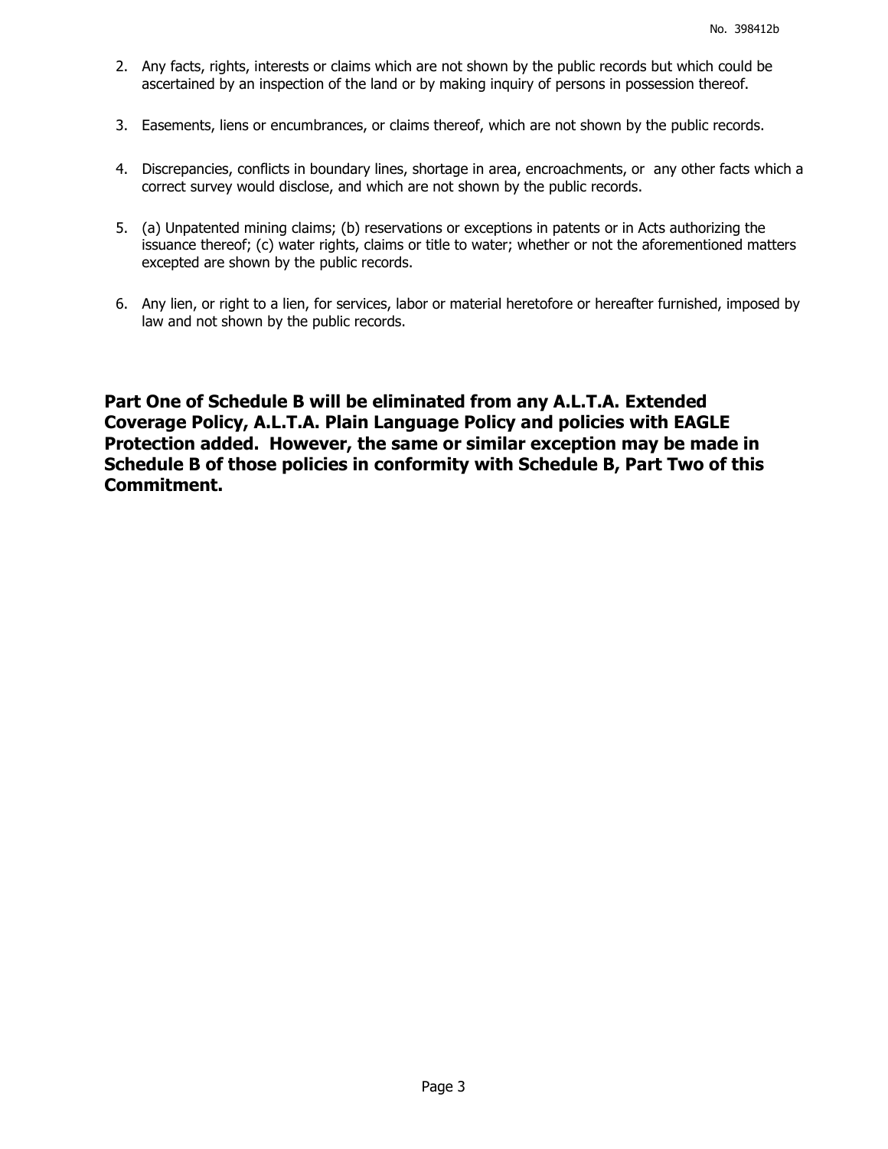- 2. Any facts, rights, interests or claims which are not shown by the public records but which could be ascertained by an inspection of the land or by making inquiry of persons in possession thereof.
- 3. Easements, liens or encumbrances, or claims thereof, which are not shown by the public records.
- 4. Discrepancies, conflicts in boundary lines, shortage in area, encroachments, or any other facts which a correct survey would disclose, and which are not shown by the public records.
- 5. (a) Unpatented mining claims; (b) reservations or exceptions in patents or in Acts authorizing the issuance thereof; (c) water rights, claims or title to water; whether or not the aforementioned matters excepted are shown by the public records.
- 6. Any lien, or right to a lien, for services, labor or material heretofore or hereafter furnished, imposed by law and not shown by the public records.

**Part One of Schedule B will be eliminated from any A.L.T.A. Extended Coverage Policy, A.L.T.A. Plain Language Policy and policies with EAGLE Protection added. However, the same or similar exception may be made in Schedule B of those policies in conformity with Schedule B, Part Two of this Commitment.**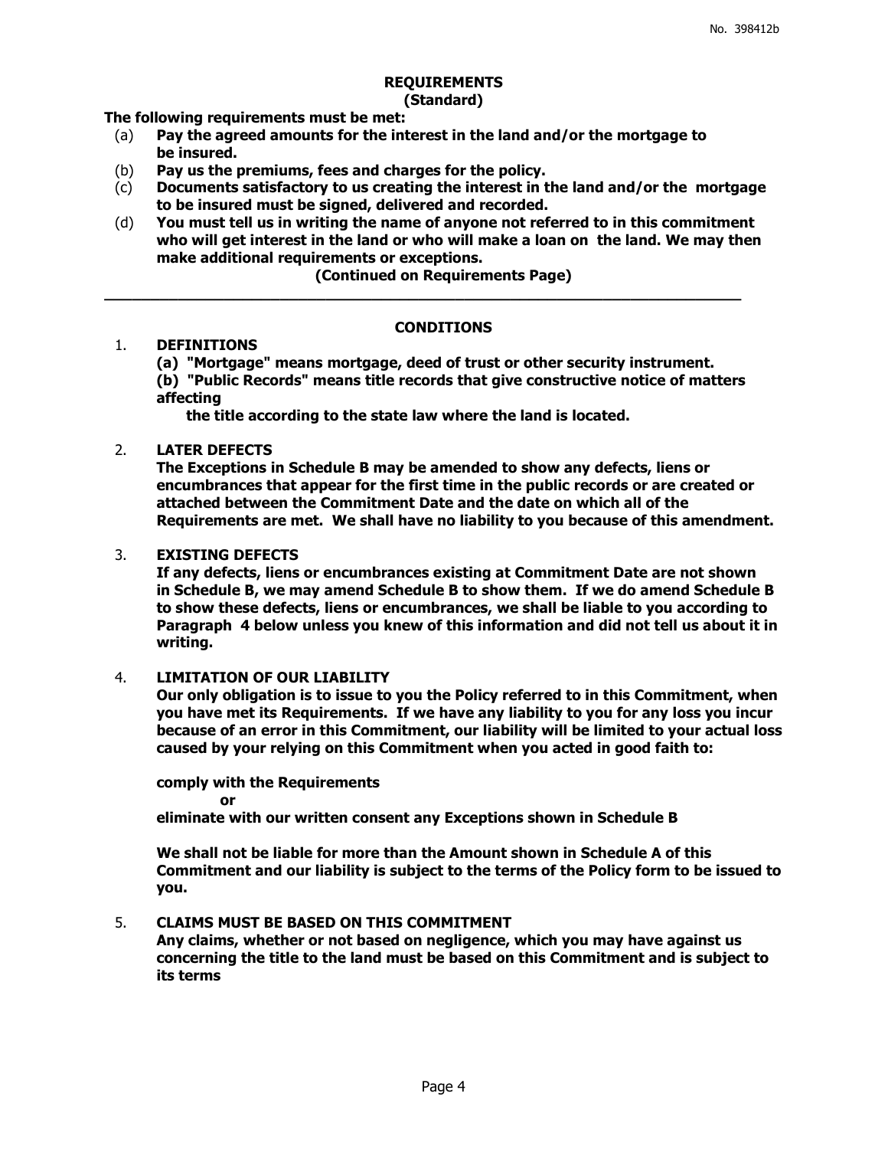## **REQUIREMENTS**

## **(Standard)**

**The following requirements must be met:**

- (a) **Pay the agreed amounts for the interest in the land and/or the mortgage to be insured.**
- (b) **Pay us the premiums, fees and charges for the policy.**
- (c) **Documents satisfactory to us creating the interest in the land and/or the mortgage to be insured must be signed, delivered and recorded.**
- (d) **You must tell us in writing the name of anyone not referred to in this commitment who will get interest in the land or who will make a loan on the land. We may then make additional requirements or exceptions.**

**(Continued on Requirements Page)**

**\_\_\_\_\_\_\_\_\_\_\_\_\_\_\_\_\_\_\_\_\_\_\_\_\_\_\_\_\_\_\_\_\_\_\_\_\_\_\_\_\_\_\_\_\_\_\_\_\_\_\_\_\_\_\_\_\_\_\_\_\_\_\_\_\_\_\_\_\_**

## **CONDITIONS**

## 1. **DEFINITIONS**

**(a) "Mortgage" means mortgage, deed of trust or other security instrument. (b) "Public Records" means title records that give constructive notice of matters affecting**

 **the title according to the state law where the land is located.**

## 2. **LATER DEFECTS**

**The Exceptions in Schedule B may be amended to show any defects, liens or encumbrances that appear for the first time in the public records or are created or attached between the Commitment Date and the date on which all of the Requirements are met. We shall have no liability to you because of this amendment.**

## 3. **EXISTING DEFECTS**

**If any defects, liens or encumbrances existing at Commitment Date are not shown in Schedule B, we may amend Schedule B to show them. If we do amend Schedule B to show these defects, liens or encumbrances, we shall be liable to you according to Paragraph 4 below unless you knew of this information and did not tell us about it in writing.**

4. **LIMITATION OF OUR LIABILITY** 

**Our only obligation is to issue to you the Policy referred to in this Commitment, when you have met its Requirements. If we have any liability to you for any loss you incur because of an error in this Commitment, our liability will be limited to your actual loss caused by your relying on this Commitment when you acted in good faith to:** 

**comply with the Requirements or eliminate with our written consent any Exceptions shown in Schedule B**

**We shall not be liable for more than the Amount shown in Schedule A of this Commitment and our liability is subject to the terms of the Policy form to be issued to you.**

## 5. **CLAIMS MUST BE BASED ON THIS COMMITMENT**

**Any claims, whether or not based on negligence, which you may have against us concerning the title to the land must be based on this Commitment and is subject to its terms**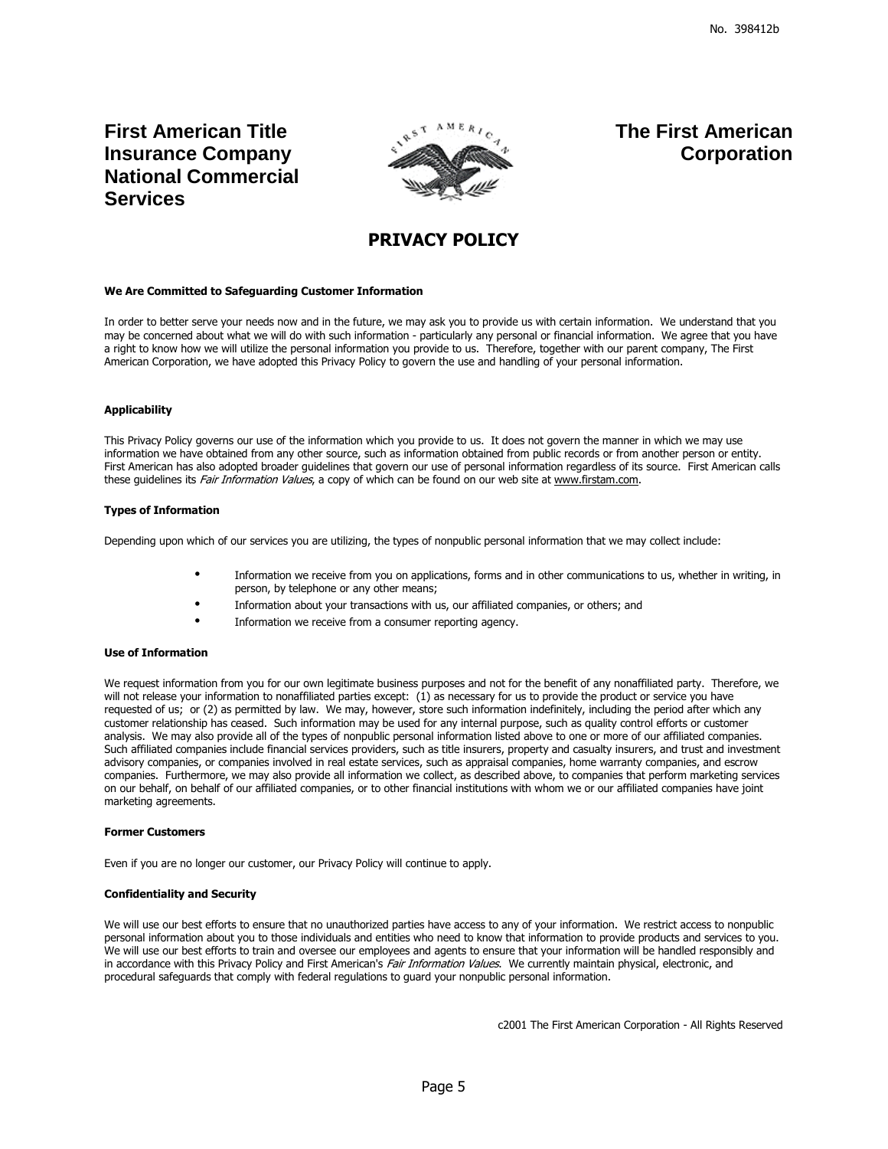**First American Title Insurance Company National Commercial Services** 



**The First American Corporation**

## **PRIVACY POLICY**

#### **We Are Committed to Safeguarding Customer Information**

In order to better serve your needs now and in the future, we may ask you to provide us with certain information. We understand that you may be concerned about what we will do with such information - particularly any personal or financial information. We agree that you have a right to know how we will utilize the personal information you provide to us. Therefore, together with our parent company, The First American Corporation, we have adopted this Privacy Policy to govern the use and handling of your personal information.

#### **Applicability**

This Privacy Policy governs our use of the information which you provide to us. It does not govern the manner in which we may use information we have obtained from any other source, such as information obtained from public records or from another person or entity. First American has also adopted broader guidelines that govern our use of personal information regardless of its source. First American calls these guidelines its Fair Information Values, a copy of which can be found on our web site at www.firstam.com.

#### **Types of Information**

Depending upon which of our services you are utilizing, the types of nonpublic personal information that we may collect include:

- Information we receive from you on applications, forms and in other communications to us, whether in writing, in person, by telephone or any other means;
- Information about your transactions with us, our affiliated companies, or others; and
- Information we receive from a consumer reporting agency.

#### **Use of Information**

We request information from you for our own legitimate business purposes and not for the benefit of any nonaffiliated party. Therefore, we will not release your information to nonaffiliated parties except: (1) as necessary for us to provide the product or service you have requested of us; or (2) as permitted by law. We may, however, store such information indefinitely, including the period after which any customer relationship has ceased. Such information may be used for any internal purpose, such as quality control efforts or customer analysis. We may also provide all of the types of nonpublic personal information listed above to one or more of our affiliated companies. Such affiliated companies include financial services providers, such as title insurers, property and casualty insurers, and trust and investment advisory companies, or companies involved in real estate services, such as appraisal companies, home warranty companies, and escrow companies. Furthermore, we may also provide all information we collect, as described above, to companies that perform marketing services on our behalf, on behalf of our affiliated companies, or to other financial institutions with whom we or our affiliated companies have joint marketing agreements.

#### **Former Customers**

Even if you are no longer our customer, our Privacy Policy will continue to apply.

#### **Confidentiality and Security**

We will use our best efforts to ensure that no unauthorized parties have access to any of your information. We restrict access to nonpublic personal information about you to those individuals and entities who need to know that information to provide products and services to you. We will use our best efforts to train and oversee our employees and agents to ensure that your information will be handled responsibly and in accordance with this Privacy Policy and First American's Fair Information Values. We currently maintain physical, electronic, and procedural safeguards that comply with federal regulations to guard your nonpublic personal information.

c2001 The First American Corporation - All Rights Reserved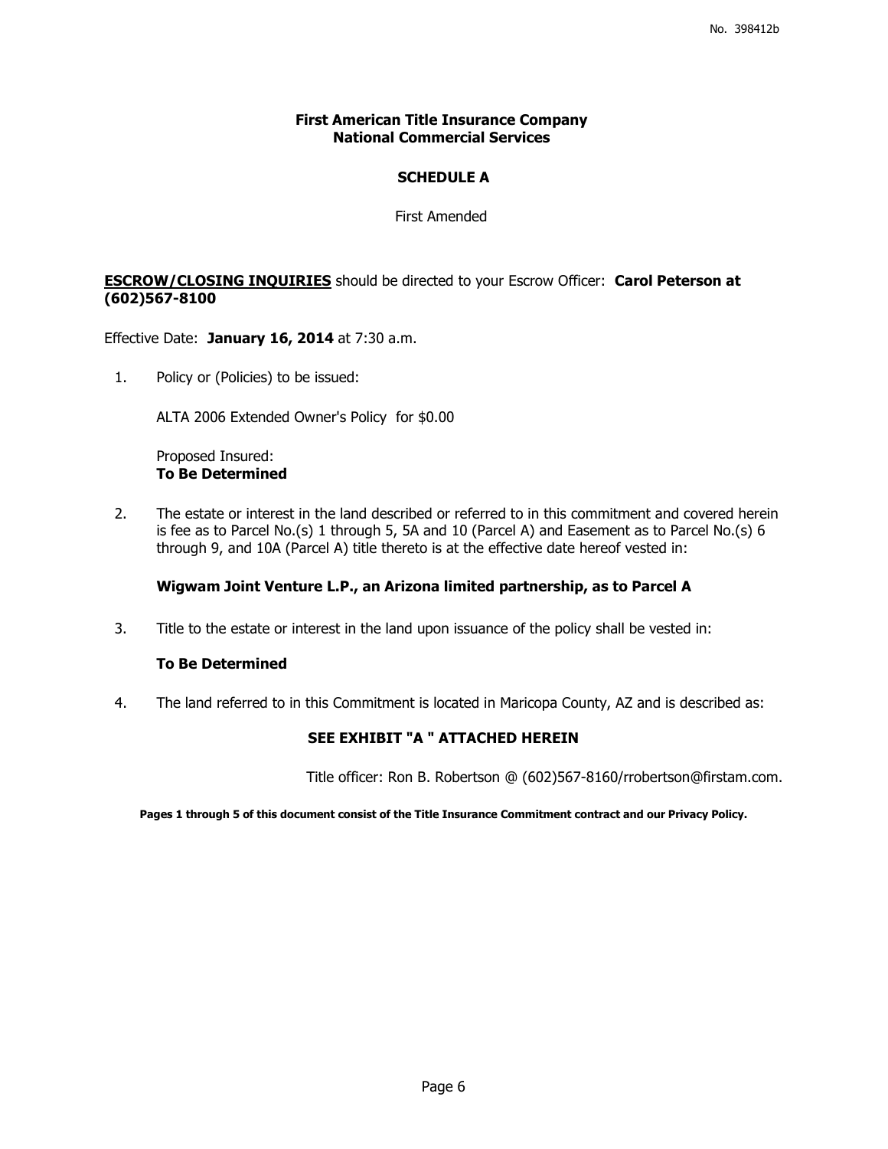## **First American Title Insurance Company National Commercial Services**

## **SCHEDULE A**

First Amended

## **ESCROW/CLOSING INQUIRIES** should be directed to your Escrow Officer: **Carol Peterson at (602)567-8100**

Effective Date: **January 16, 2014** at 7:30 a.m.

1. Policy or (Policies) to be issued:

ALTA 2006 Extended Owner's Policy for \$0.00

Proposed Insured: **To Be Determined** 

2. The estate or interest in the land described or referred to in this commitment and covered herein is fee as to Parcel No.(s) 1 through 5, 5A and 10 (Parcel A) and Easement as to Parcel No.(s) 6 through 9, and 10A (Parcel A) title thereto is at the effective date hereof vested in:

## **Wigwam Joint Venture L.P., an Arizona limited partnership, as to Parcel A**

3. Title to the estate or interest in the land upon issuance of the policy shall be vested in:

## **To Be Determined**

4. The land referred to in this Commitment is located in Maricopa County, AZ and is described as:

## **SEE EXHIBIT "A " ATTACHED HEREIN**

Title officer: Ron B. Robertson @ (602)567-8160/rrobertson@firstam.com.

**Pages 1 through 5 of this document consist of the Title Insurance Commitment contract and our Privacy Policy.**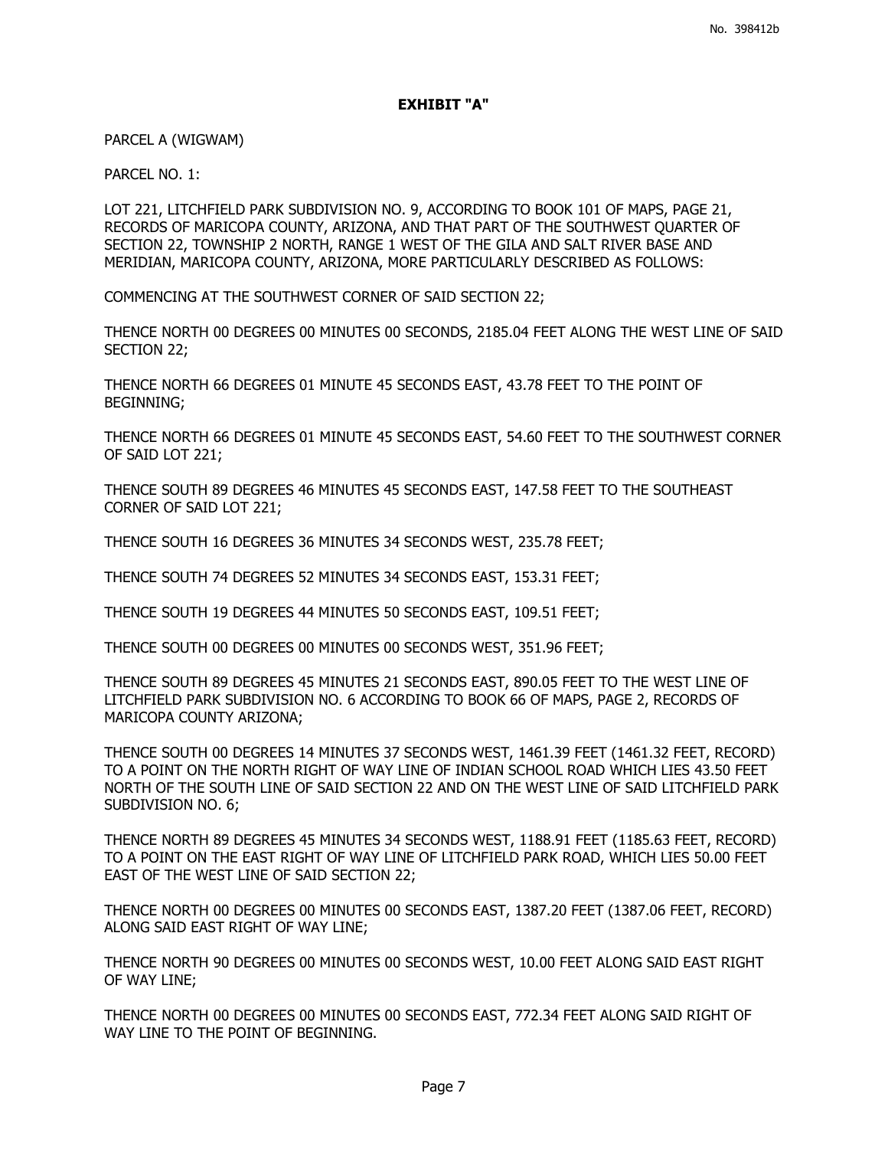## **EXHIBIT "A"**

PARCEL A (WIGWAM)

PARCEL NO. 1:

LOT 221, LITCHFIELD PARK SUBDIVISION NO. 9, ACCORDING TO BOOK 101 OF MAPS, PAGE 21, RECORDS OF MARICOPA COUNTY, ARIZONA, AND THAT PART OF THE SOUTHWEST QUARTER OF SECTION 22, TOWNSHIP 2 NORTH, RANGE 1 WEST OF THE GILA AND SALT RIVER BASE AND MERIDIAN, MARICOPA COUNTY, ARIZONA, MORE PARTICULARLY DESCRIBED AS FOLLOWS:

COMMENCING AT THE SOUTHWEST CORNER OF SAID SECTION 22;

THENCE NORTH 00 DEGREES 00 MINUTES 00 SECONDS, 2185.04 FEET ALONG THE WEST LINE OF SAID SECTION 22;

THENCE NORTH 66 DEGREES 01 MINUTE 45 SECONDS EAST, 43.78 FEET TO THE POINT OF BEGINNING;

THENCE NORTH 66 DEGREES 01 MINUTE 45 SECONDS EAST, 54.60 FEET TO THE SOUTHWEST CORNER OF SAID LOT 221;

THENCE SOUTH 89 DEGREES 46 MINUTES 45 SECONDS EAST, 147.58 FEET TO THE SOUTHEAST CORNER OF SAID LOT 221;

THENCE SOUTH 16 DEGREES 36 MINUTES 34 SECONDS WEST, 235.78 FEET;

THENCE SOUTH 74 DEGREES 52 MINUTES 34 SECONDS EAST, 153.31 FEET;

THENCE SOUTH 19 DEGREES 44 MINUTES 50 SECONDS EAST, 109.51 FEET;

THENCE SOUTH 00 DEGREES 00 MINUTES 00 SECONDS WEST, 351.96 FEET;

THENCE SOUTH 89 DEGREES 45 MINUTES 21 SECONDS EAST, 890.05 FEET TO THE WEST LINE OF LITCHFIELD PARK SUBDIVISION NO. 6 ACCORDING TO BOOK 66 OF MAPS, PAGE 2, RECORDS OF MARICOPA COUNTY ARIZONA;

THENCE SOUTH 00 DEGREES 14 MINUTES 37 SECONDS WEST, 1461.39 FEET (1461.32 FEET, RECORD) TO A POINT ON THE NORTH RIGHT OF WAY LINE OF INDIAN SCHOOL ROAD WHICH LIES 43.50 FEET NORTH OF THE SOUTH LINE OF SAID SECTION 22 AND ON THE WEST LINE OF SAID LITCHFIELD PARK SUBDIVISION NO. 6;

THENCE NORTH 89 DEGREES 45 MINUTES 34 SECONDS WEST, 1188.91 FEET (1185.63 FEET, RECORD) TO A POINT ON THE EAST RIGHT OF WAY LINE OF LITCHFIELD PARK ROAD, WHICH LIES 50.00 FEET EAST OF THE WEST LINE OF SAID SECTION 22;

THENCE NORTH 00 DEGREES 00 MINUTES 00 SECONDS EAST, 1387.20 FEET (1387.06 FEET, RECORD) ALONG SAID EAST RIGHT OF WAY LINE;

THENCE NORTH 90 DEGREES 00 MINUTES 00 SECONDS WEST, 10.00 FEET ALONG SAID EAST RIGHT OF WAY LINE;

THENCE NORTH 00 DEGREES 00 MINUTES 00 SECONDS EAST, 772.34 FEET ALONG SAID RIGHT OF WAY LINE TO THE POINT OF BEGINNING.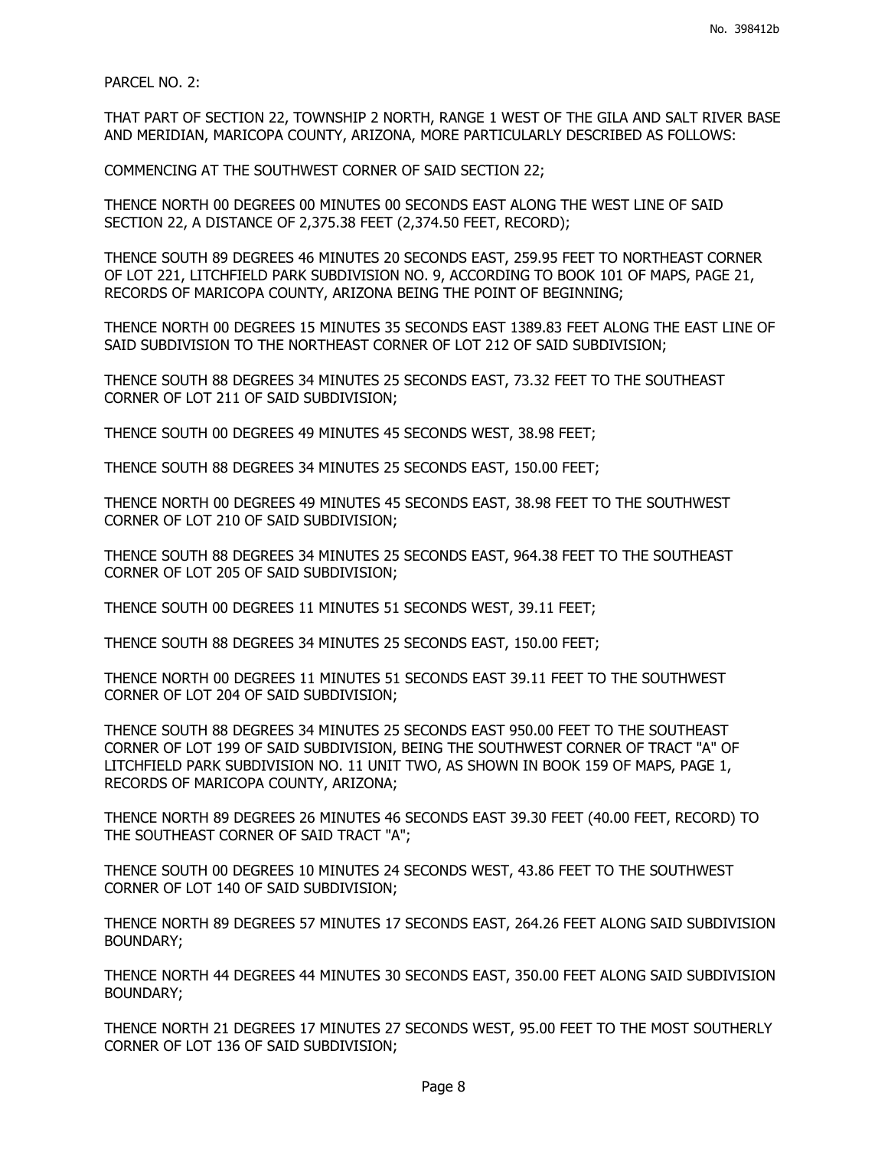PARCEL NO. 2:

THAT PART OF SECTION 22, TOWNSHIP 2 NORTH, RANGE 1 WEST OF THE GILA AND SALT RIVER BASE AND MERIDIAN, MARICOPA COUNTY, ARIZONA, MORE PARTICULARLY DESCRIBED AS FOLLOWS:

COMMENCING AT THE SOUTHWEST CORNER OF SAID SECTION 22;

THENCE NORTH 00 DEGREES 00 MINUTES 00 SECONDS EAST ALONG THE WEST LINE OF SAID SECTION 22, A DISTANCE OF 2,375.38 FEET (2,374.50 FEET, RECORD);

THENCE SOUTH 89 DEGREES 46 MINUTES 20 SECONDS EAST, 259.95 FEET TO NORTHEAST CORNER OF LOT 221, LITCHFIELD PARK SUBDIVISION NO. 9, ACCORDING TO BOOK 101 OF MAPS, PAGE 21, RECORDS OF MARICOPA COUNTY, ARIZONA BEING THE POINT OF BEGINNING;

THENCE NORTH 00 DEGREES 15 MINUTES 35 SECONDS EAST 1389.83 FEET ALONG THE EAST LINE OF SAID SUBDIVISION TO THE NORTHEAST CORNER OF LOT 212 OF SAID SUBDIVISION;

THENCE SOUTH 88 DEGREES 34 MINUTES 25 SECONDS EAST, 73.32 FEET TO THE SOUTHEAST CORNER OF LOT 211 OF SAID SUBDIVISION;

THENCE SOUTH 00 DEGREES 49 MINUTES 45 SECONDS WEST, 38.98 FEET;

THENCE SOUTH 88 DEGREES 34 MINUTES 25 SECONDS EAST, 150.00 FEET;

THENCE NORTH 00 DEGREES 49 MINUTES 45 SECONDS EAST, 38.98 FEET TO THE SOUTHWEST CORNER OF LOT 210 OF SAID SUBDIVISION;

THENCE SOUTH 88 DEGREES 34 MINUTES 25 SECONDS EAST, 964.38 FEET TO THE SOUTHEAST CORNER OF LOT 205 OF SAID SUBDIVISION;

THENCE SOUTH 00 DEGREES 11 MINUTES 51 SECONDS WEST, 39.11 FEET;

THENCE SOUTH 88 DEGREES 34 MINUTES 25 SECONDS EAST, 150.00 FEET;

THENCE NORTH 00 DEGREES 11 MINUTES 51 SECONDS EAST 39.11 FEET TO THE SOUTHWEST CORNER OF LOT 204 OF SAID SUBDIVISION;

THENCE SOUTH 88 DEGREES 34 MINUTES 25 SECONDS EAST 950.00 FEET TO THE SOUTHEAST CORNER OF LOT 199 OF SAID SUBDIVISION, BEING THE SOUTHWEST CORNER OF TRACT "A" OF LITCHFIELD PARK SUBDIVISION NO. 11 UNIT TWO, AS SHOWN IN BOOK 159 OF MAPS, PAGE 1, RECORDS OF MARICOPA COUNTY, ARIZONA;

THENCE NORTH 89 DEGREES 26 MINUTES 46 SECONDS EAST 39.30 FEET (40.00 FEET, RECORD) TO THE SOUTHEAST CORNER OF SAID TRACT "A";

THENCE SOUTH 00 DEGREES 10 MINUTES 24 SECONDS WEST, 43.86 FEET TO THE SOUTHWEST CORNER OF LOT 140 OF SAID SUBDIVISION;

THENCE NORTH 89 DEGREES 57 MINUTES 17 SECONDS EAST, 264.26 FEET ALONG SAID SUBDIVISION BOUNDARY;

THENCE NORTH 44 DEGREES 44 MINUTES 30 SECONDS EAST, 350.00 FEET ALONG SAID SUBDIVISION BOUNDARY;

THENCE NORTH 21 DEGREES 17 MINUTES 27 SECONDS WEST, 95.00 FEET TO THE MOST SOUTHERLY CORNER OF LOT 136 OF SAID SUBDIVISION;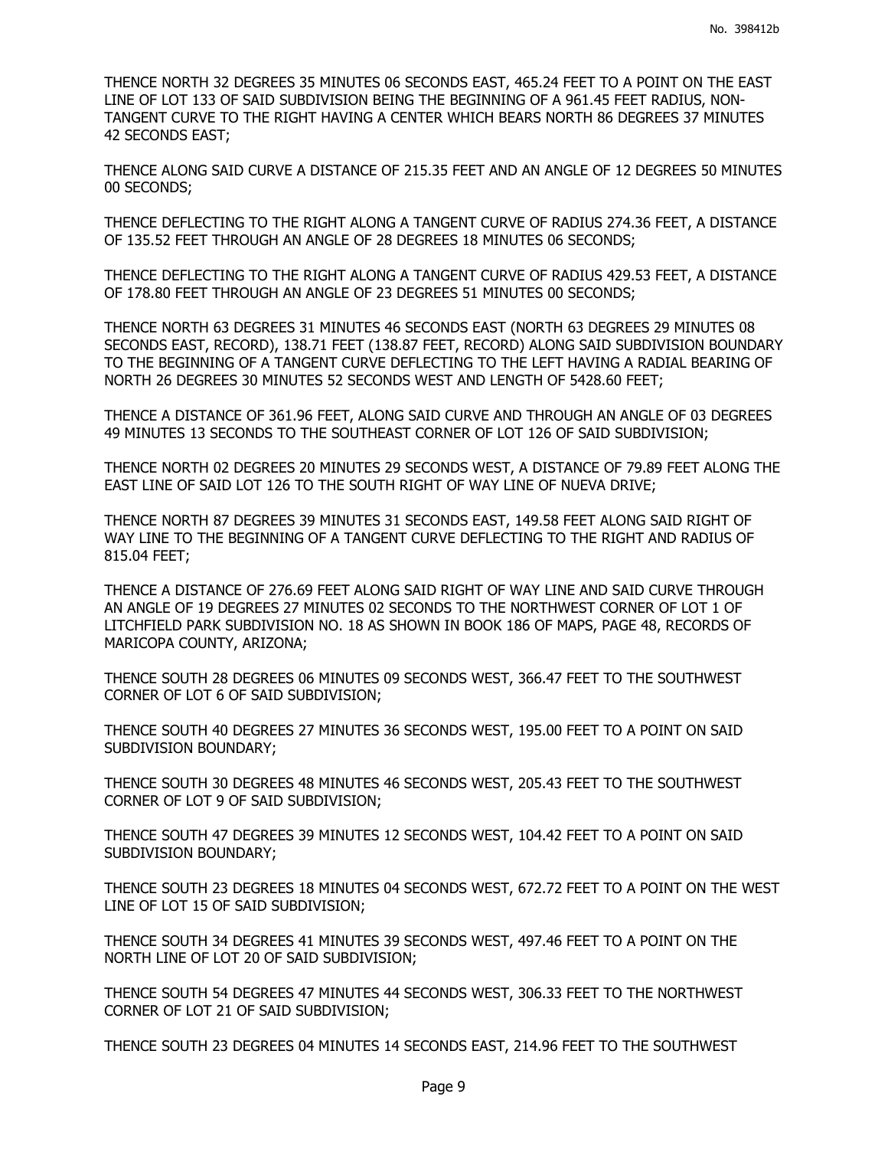THENCE NORTH 32 DEGREES 35 MINUTES 06 SECONDS EAST, 465.24 FEET TO A POINT ON THE EAST LINE OF LOT 133 OF SAID SUBDIVISION BEING THE BEGINNING OF A 961.45 FEET RADIUS, NON-TANGENT CURVE TO THE RIGHT HAVING A CENTER WHICH BEARS NORTH 86 DEGREES 37 MINUTES 42 SECONDS EAST;

THENCE ALONG SAID CURVE A DISTANCE OF 215.35 FEET AND AN ANGLE OF 12 DEGREES 50 MINUTES 00 SECONDS;

THENCE DEFLECTING TO THE RIGHT ALONG A TANGENT CURVE OF RADIUS 274.36 FEET, A DISTANCE OF 135.52 FEET THROUGH AN ANGLE OF 28 DEGREES 18 MINUTES 06 SECONDS;

THENCE DEFLECTING TO THE RIGHT ALONG A TANGENT CURVE OF RADIUS 429.53 FEET, A DISTANCE OF 178.80 FEET THROUGH AN ANGLE OF 23 DEGREES 51 MINUTES 00 SECONDS;

THENCE NORTH 63 DEGREES 31 MINUTES 46 SECONDS EAST (NORTH 63 DEGREES 29 MINUTES 08 SECONDS EAST, RECORD), 138.71 FEET (138.87 FEET, RECORD) ALONG SAID SUBDIVISION BOUNDARY TO THE BEGINNING OF A TANGENT CURVE DEFLECTING TO THE LEFT HAVING A RADIAL BEARING OF NORTH 26 DEGREES 30 MINUTES 52 SECONDS WEST AND LENGTH OF 5428.60 FEET;

THENCE A DISTANCE OF 361.96 FEET, ALONG SAID CURVE AND THROUGH AN ANGLE OF 03 DEGREES 49 MINUTES 13 SECONDS TO THE SOUTHEAST CORNER OF LOT 126 OF SAID SUBDIVISION;

THENCE NORTH 02 DEGREES 20 MINUTES 29 SECONDS WEST, A DISTANCE OF 79.89 FEET ALONG THE EAST LINE OF SAID LOT 126 TO THE SOUTH RIGHT OF WAY LINE OF NUEVA DRIVE;

THENCE NORTH 87 DEGREES 39 MINUTES 31 SECONDS EAST, 149.58 FEET ALONG SAID RIGHT OF WAY LINE TO THE BEGINNING OF A TANGENT CURVE DEFLECTING TO THE RIGHT AND RADIUS OF 815.04 FEET;

THENCE A DISTANCE OF 276.69 FEET ALONG SAID RIGHT OF WAY LINE AND SAID CURVE THROUGH AN ANGLE OF 19 DEGREES 27 MINUTES 02 SECONDS TO THE NORTHWEST CORNER OF LOT 1 OF LITCHFIELD PARK SUBDIVISION NO. 18 AS SHOWN IN BOOK 186 OF MAPS, PAGE 48, RECORDS OF MARICOPA COUNTY, ARIZONA;

THENCE SOUTH 28 DEGREES 06 MINUTES 09 SECONDS WEST, 366.47 FEET TO THE SOUTHWEST CORNER OF LOT 6 OF SAID SUBDIVISION;

THENCE SOUTH 40 DEGREES 27 MINUTES 36 SECONDS WEST, 195.00 FEET TO A POINT ON SAID SUBDIVISION BOUNDARY;

THENCE SOUTH 30 DEGREES 48 MINUTES 46 SECONDS WEST, 205.43 FEET TO THE SOUTHWEST CORNER OF LOT 9 OF SAID SUBDIVISION;

THENCE SOUTH 47 DEGREES 39 MINUTES 12 SECONDS WEST, 104.42 FEET TO A POINT ON SAID SUBDIVISION BOUNDARY;

THENCE SOUTH 23 DEGREES 18 MINUTES 04 SECONDS WEST, 672.72 FEET TO A POINT ON THE WEST LINE OF LOT 15 OF SAID SUBDIVISION;

THENCE SOUTH 34 DEGREES 41 MINUTES 39 SECONDS WEST, 497.46 FEET TO A POINT ON THE NORTH LINE OF LOT 20 OF SAID SUBDIVISION;

THENCE SOUTH 54 DEGREES 47 MINUTES 44 SECONDS WEST, 306.33 FEET TO THE NORTHWEST CORNER OF LOT 21 OF SAID SUBDIVISION;

THENCE SOUTH 23 DEGREES 04 MINUTES 14 SECONDS EAST, 214.96 FEET TO THE SOUTHWEST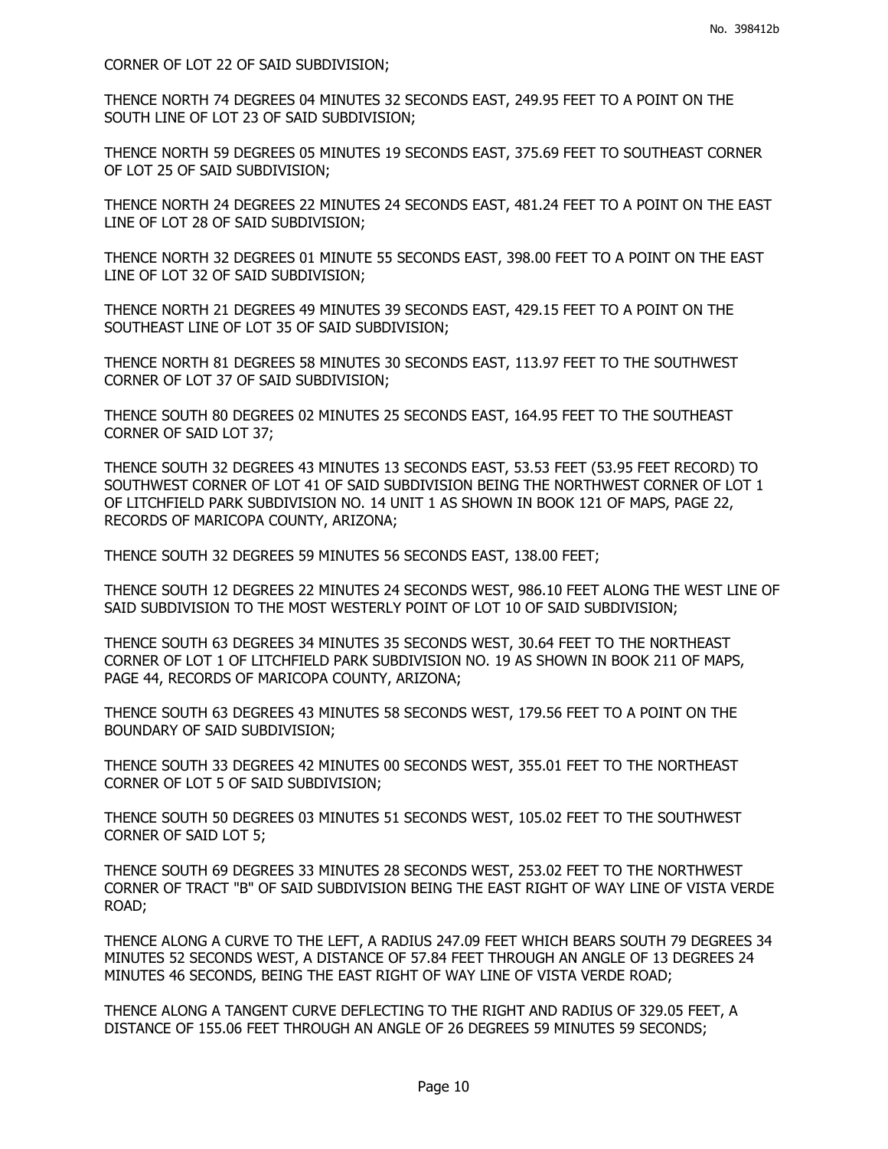CORNER OF LOT 22 OF SAID SUBDIVISION;

THENCE NORTH 74 DEGREES 04 MINUTES 32 SECONDS EAST, 249.95 FEET TO A POINT ON THE SOUTH LINE OF LOT 23 OF SAID SUBDIVISION;

THENCE NORTH 59 DEGREES 05 MINUTES 19 SECONDS EAST, 375.69 FEET TO SOUTHEAST CORNER OF LOT 25 OF SAID SUBDIVISION;

THENCE NORTH 24 DEGREES 22 MINUTES 24 SECONDS EAST, 481.24 FEET TO A POINT ON THE EAST LINE OF LOT 28 OF SAID SUBDIVISION;

THENCE NORTH 32 DEGREES 01 MINUTE 55 SECONDS EAST, 398.00 FEET TO A POINT ON THE EAST LINE OF LOT 32 OF SAID SUBDIVISION;

THENCE NORTH 21 DEGREES 49 MINUTES 39 SECONDS EAST, 429.15 FEET TO A POINT ON THE SOUTHEAST LINE OF LOT 35 OF SAID SUBDIVISION;

THENCE NORTH 81 DEGREES 58 MINUTES 30 SECONDS EAST, 113.97 FEET TO THE SOUTHWEST CORNER OF LOT 37 OF SAID SUBDIVISION;

THENCE SOUTH 80 DEGREES 02 MINUTES 25 SECONDS EAST, 164.95 FEET TO THE SOUTHEAST CORNER OF SAID LOT 37;

THENCE SOUTH 32 DEGREES 43 MINUTES 13 SECONDS EAST, 53.53 FEET (53.95 FEET RECORD) TO SOUTHWEST CORNER OF LOT 41 OF SAID SUBDIVISION BEING THE NORTHWEST CORNER OF LOT 1 OF LITCHFIELD PARK SUBDIVISION NO. 14 UNIT 1 AS SHOWN IN BOOK 121 OF MAPS, PAGE 22, RECORDS OF MARICOPA COUNTY, ARIZONA;

THENCE SOUTH 32 DEGREES 59 MINUTES 56 SECONDS EAST, 138.00 FEET;

THENCE SOUTH 12 DEGREES 22 MINUTES 24 SECONDS WEST, 986.10 FEET ALONG THE WEST LINE OF SAID SUBDIVISION TO THE MOST WESTERLY POINT OF LOT 10 OF SAID SUBDIVISION;

THENCE SOUTH 63 DEGREES 34 MINUTES 35 SECONDS WEST, 30.64 FEET TO THE NORTHEAST CORNER OF LOT 1 OF LITCHFIELD PARK SUBDIVISION NO. 19 AS SHOWN IN BOOK 211 OF MAPS, PAGE 44, RECORDS OF MARICOPA COUNTY, ARIZONA;

THENCE SOUTH 63 DEGREES 43 MINUTES 58 SECONDS WEST, 179.56 FEET TO A POINT ON THE BOUNDARY OF SAID SUBDIVISION;

THENCE SOUTH 33 DEGREES 42 MINUTES 00 SECONDS WEST, 355.01 FEET TO THE NORTHEAST CORNER OF LOT 5 OF SAID SUBDIVISION;

THENCE SOUTH 50 DEGREES 03 MINUTES 51 SECONDS WEST, 105.02 FEET TO THE SOUTHWEST CORNER OF SAID LOT 5;

THENCE SOUTH 69 DEGREES 33 MINUTES 28 SECONDS WEST, 253.02 FEET TO THE NORTHWEST CORNER OF TRACT "B" OF SAID SUBDIVISION BEING THE EAST RIGHT OF WAY LINE OF VISTA VERDE ROAD;

THENCE ALONG A CURVE TO THE LEFT, A RADIUS 247.09 FEET WHICH BEARS SOUTH 79 DEGREES 34 MINUTES 52 SECONDS WEST, A DISTANCE OF 57.84 FEET THROUGH AN ANGLE OF 13 DEGREES 24 MINUTES 46 SECONDS, BEING THE EAST RIGHT OF WAY LINE OF VISTA VERDE ROAD;

THENCE ALONG A TANGENT CURVE DEFLECTING TO THE RIGHT AND RADIUS OF 329.05 FEET, A DISTANCE OF 155.06 FEET THROUGH AN ANGLE OF 26 DEGREES 59 MINUTES 59 SECONDS;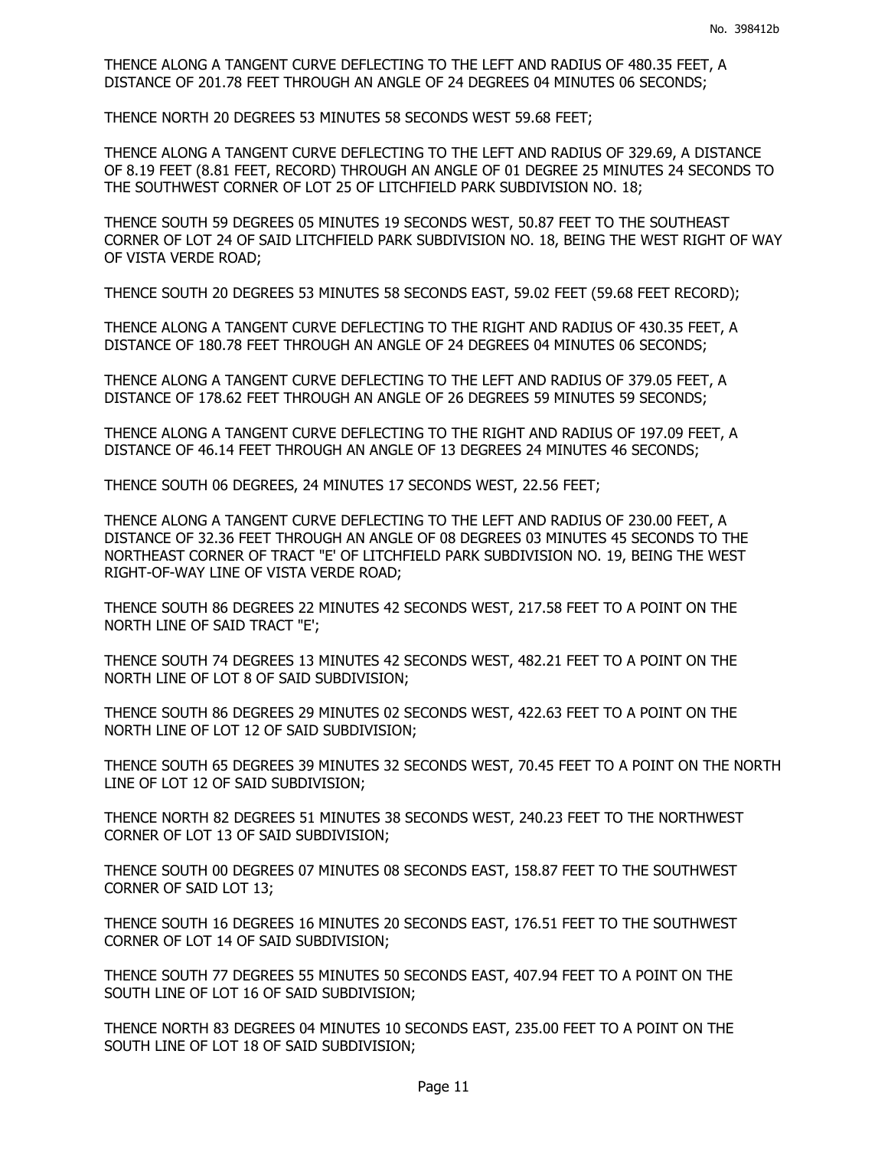THENCE ALONG A TANGENT CURVE DEFLECTING TO THE LEFT AND RADIUS OF 480.35 FEET, A DISTANCE OF 201.78 FEET THROUGH AN ANGLE OF 24 DEGREES 04 MINUTES 06 SECONDS;

THENCE NORTH 20 DEGREES 53 MINUTES 58 SECONDS WEST 59.68 FEET;

THENCE ALONG A TANGENT CURVE DEFLECTING TO THE LEFT AND RADIUS OF 329.69, A DISTANCE OF 8.19 FEET (8.81 FEET, RECORD) THROUGH AN ANGLE OF 01 DEGREE 25 MINUTES 24 SECONDS TO THE SOUTHWEST CORNER OF LOT 25 OF LITCHFIELD PARK SUBDIVISION NO. 18;

THENCE SOUTH 59 DEGREES 05 MINUTES 19 SECONDS WEST, 50.87 FEET TO THE SOUTHEAST CORNER OF LOT 24 OF SAID LITCHFIELD PARK SUBDIVISION NO. 18, BEING THE WEST RIGHT OF WAY OF VISTA VERDE ROAD;

THENCE SOUTH 20 DEGREES 53 MINUTES 58 SECONDS EAST, 59.02 FEET (59.68 FEET RECORD);

THENCE ALONG A TANGENT CURVE DEFLECTING TO THE RIGHT AND RADIUS OF 430.35 FEET, A DISTANCE OF 180.78 FEET THROUGH AN ANGLE OF 24 DEGREES 04 MINUTES 06 SECONDS;

THENCE ALONG A TANGENT CURVE DEFLECTING TO THE LEFT AND RADIUS OF 379.05 FEET, A DISTANCE OF 178.62 FEET THROUGH AN ANGLE OF 26 DEGREES 59 MINUTES 59 SECONDS;

THENCE ALONG A TANGENT CURVE DEFLECTING TO THE RIGHT AND RADIUS OF 197.09 FEET, A DISTANCE OF 46.14 FEET THROUGH AN ANGLE OF 13 DEGREES 24 MINUTES 46 SECONDS;

THENCE SOUTH 06 DEGREES, 24 MINUTES 17 SECONDS WEST, 22.56 FEET;

THENCE ALONG A TANGENT CURVE DEFLECTING TO THE LEFT AND RADIUS OF 230.00 FEET, A DISTANCE OF 32.36 FEET THROUGH AN ANGLE OF 08 DEGREES 03 MINUTES 45 SECONDS TO THE NORTHEAST CORNER OF TRACT "E' OF LITCHFIELD PARK SUBDIVISION NO. 19, BEING THE WEST RIGHT-OF-WAY LINE OF VISTA VERDE ROAD;

THENCE SOUTH 86 DEGREES 22 MINUTES 42 SECONDS WEST, 217.58 FEET TO A POINT ON THE NORTH LINE OF SAID TRACT "E';

THENCE SOUTH 74 DEGREES 13 MINUTES 42 SECONDS WEST, 482.21 FEET TO A POINT ON THE NORTH LINE OF LOT 8 OF SAID SUBDIVISION;

THENCE SOUTH 86 DEGREES 29 MINUTES 02 SECONDS WEST, 422.63 FEET TO A POINT ON THE NORTH LINE OF LOT 12 OF SAID SUBDIVISION;

THENCE SOUTH 65 DEGREES 39 MINUTES 32 SECONDS WEST, 70.45 FEET TO A POINT ON THE NORTH LINE OF LOT 12 OF SAID SUBDIVISION;

THENCE NORTH 82 DEGREES 51 MINUTES 38 SECONDS WEST, 240.23 FEET TO THE NORTHWEST CORNER OF LOT 13 OF SAID SUBDIVISION;

THENCE SOUTH 00 DEGREES 07 MINUTES 08 SECONDS EAST, 158.87 FEET TO THE SOUTHWEST CORNER OF SAID LOT 13;

THENCE SOUTH 16 DEGREES 16 MINUTES 20 SECONDS EAST, 176.51 FEET TO THE SOUTHWEST CORNER OF LOT 14 OF SAID SUBDIVISION;

THENCE SOUTH 77 DEGREES 55 MINUTES 50 SECONDS EAST, 407.94 FEET TO A POINT ON THE SOUTH LINE OF LOT 16 OF SAID SUBDIVISION;

THENCE NORTH 83 DEGREES 04 MINUTES 10 SECONDS EAST, 235.00 FEET TO A POINT ON THE SOUTH LINE OF LOT 18 OF SAID SUBDIVISION;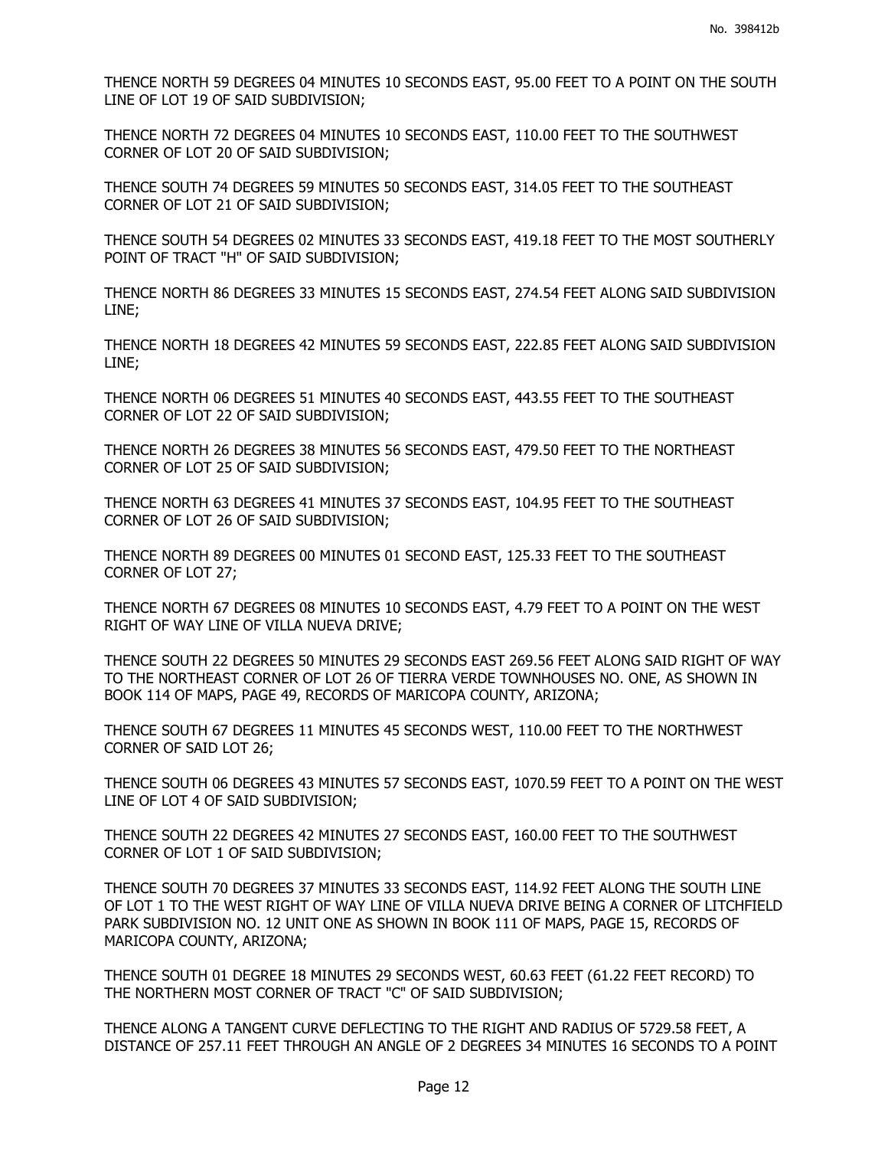THENCE NORTH 59 DEGREES 04 MINUTES 10 SECONDS EAST, 95.00 FEET TO A POINT ON THE SOUTH LINE OF LOT 19 OF SAID SUBDIVISION;

THENCE NORTH 72 DEGREES 04 MINUTES 10 SECONDS EAST, 110.00 FEET TO THE SOUTHWEST CORNER OF LOT 20 OF SAID SUBDIVISION;

THENCE SOUTH 74 DEGREES 59 MINUTES 50 SECONDS EAST, 314.05 FEET TO THE SOUTHEAST CORNER OF LOT 21 OF SAID SUBDIVISION;

THENCE SOUTH 54 DEGREES 02 MINUTES 33 SECONDS EAST, 419.18 FEET TO THE MOST SOUTHERLY POINT OF TRACT "H" OF SAID SUBDIVISION;

THENCE NORTH 86 DEGREES 33 MINUTES 15 SECONDS EAST, 274.54 FEET ALONG SAID SUBDIVISION LINE;

THENCE NORTH 18 DEGREES 42 MINUTES 59 SECONDS EAST, 222.85 FEET ALONG SAID SUBDIVISION LINE;

THENCE NORTH 06 DEGREES 51 MINUTES 40 SECONDS EAST, 443.55 FEET TO THE SOUTHEAST CORNER OF LOT 22 OF SAID SUBDIVISION;

THENCE NORTH 26 DEGREES 38 MINUTES 56 SECONDS EAST, 479.50 FEET TO THE NORTHEAST CORNER OF LOT 25 OF SAID SUBDIVISION;

THENCE NORTH 63 DEGREES 41 MINUTES 37 SECONDS EAST, 104.95 FEET TO THE SOUTHEAST CORNER OF LOT 26 OF SAID SUBDIVISION;

THENCE NORTH 89 DEGREES 00 MINUTES 01 SECOND EAST, 125.33 FEET TO THE SOUTHEAST CORNER OF LOT 27;

THENCE NORTH 67 DEGREES 08 MINUTES 10 SECONDS EAST, 4.79 FEET TO A POINT ON THE WEST RIGHT OF WAY LINE OF VILLA NUEVA DRIVE;

THENCE SOUTH 22 DEGREES 50 MINUTES 29 SECONDS EAST 269.56 FEET ALONG SAID RIGHT OF WAY TO THE NORTHEAST CORNER OF LOT 26 OF TIERRA VERDE TOWNHOUSES NO. ONE, AS SHOWN IN BOOK 114 OF MAPS, PAGE 49, RECORDS OF MARICOPA COUNTY, ARIZONA;

THENCE SOUTH 67 DEGREES 11 MINUTES 45 SECONDS WEST, 110.00 FEET TO THE NORTHWEST CORNER OF SAID LOT 26;

THENCE SOUTH 06 DEGREES 43 MINUTES 57 SECONDS EAST, 1070.59 FEET TO A POINT ON THE WEST LINE OF LOT 4 OF SAID SUBDIVISION;

THENCE SOUTH 22 DEGREES 42 MINUTES 27 SECONDS EAST, 160.00 FEET TO THE SOUTHWEST CORNER OF LOT 1 OF SAID SUBDIVISION;

THENCE SOUTH 70 DEGREES 37 MINUTES 33 SECONDS EAST, 114.92 FEET ALONG THE SOUTH LINE OF LOT 1 TO THE WEST RIGHT OF WAY LINE OF VILLA NUEVA DRIVE BEING A CORNER OF LITCHFIELD PARK SUBDIVISION NO. 12 UNIT ONE AS SHOWN IN BOOK 111 OF MAPS, PAGE 15, RECORDS OF MARICOPA COUNTY, ARIZONA;

THENCE SOUTH 01 DEGREE 18 MINUTES 29 SECONDS WEST, 60.63 FEET (61.22 FEET RECORD) TO THE NORTHERN MOST CORNER OF TRACT "C" OF SAID SUBDIVISION;

THENCE ALONG A TANGENT CURVE DEFLECTING TO THE RIGHT AND RADIUS OF 5729.58 FEET, A DISTANCE OF 257.11 FEET THROUGH AN ANGLE OF 2 DEGREES 34 MINUTES 16 SECONDS TO A POINT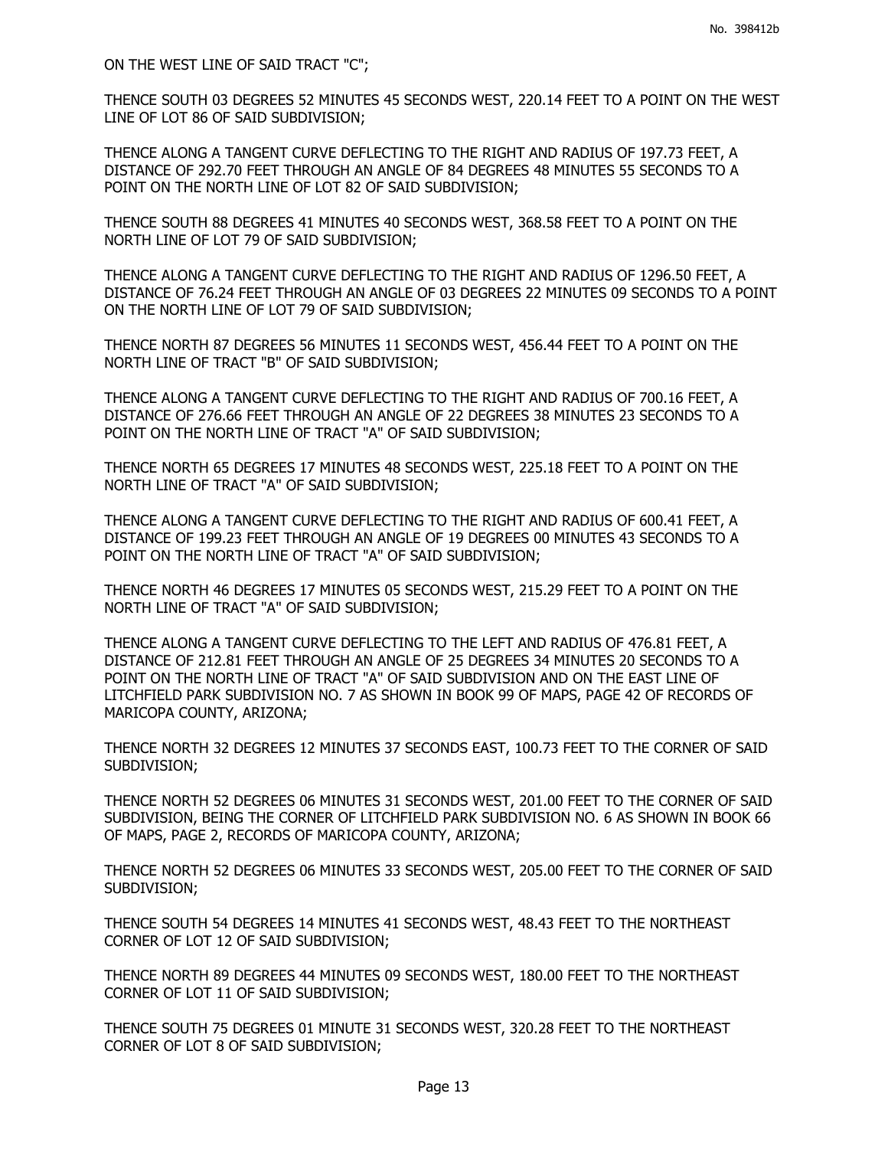ON THE WEST LINE OF SAID TRACT "C";

THENCE SOUTH 03 DEGREES 52 MINUTES 45 SECONDS WEST, 220.14 FEET TO A POINT ON THE WEST LINE OF LOT 86 OF SAID SUBDIVISION;

THENCE ALONG A TANGENT CURVE DEFLECTING TO THE RIGHT AND RADIUS OF 197.73 FEET, A DISTANCE OF 292.70 FEET THROUGH AN ANGLE OF 84 DEGREES 48 MINUTES 55 SECONDS TO A POINT ON THE NORTH LINE OF LOT 82 OF SAID SUBDIVISION;

THENCE SOUTH 88 DEGREES 41 MINUTES 40 SECONDS WEST, 368.58 FEET TO A POINT ON THE NORTH LINE OF LOT 79 OF SAID SUBDIVISION;

THENCE ALONG A TANGENT CURVE DEFLECTING TO THE RIGHT AND RADIUS OF 1296.50 FEET, A DISTANCE OF 76.24 FEET THROUGH AN ANGLE OF 03 DEGREES 22 MINUTES 09 SECONDS TO A POINT ON THE NORTH LINE OF LOT 79 OF SAID SUBDIVISION;

THENCE NORTH 87 DEGREES 56 MINUTES 11 SECONDS WEST, 456.44 FEET TO A POINT ON THE NORTH LINE OF TRACT "B" OF SAID SUBDIVISION;

THENCE ALONG A TANGENT CURVE DEFLECTING TO THE RIGHT AND RADIUS OF 700.16 FEET, A DISTANCE OF 276.66 FEET THROUGH AN ANGLE OF 22 DEGREES 38 MINUTES 23 SECONDS TO A POINT ON THE NORTH LINE OF TRACT "A" OF SAID SUBDIVISION;

THENCE NORTH 65 DEGREES 17 MINUTES 48 SECONDS WEST, 225.18 FEET TO A POINT ON THE NORTH LINE OF TRACT "A" OF SAID SUBDIVISION;

THENCE ALONG A TANGENT CURVE DEFLECTING TO THE RIGHT AND RADIUS OF 600.41 FEET, A DISTANCE OF 199.23 FEET THROUGH AN ANGLE OF 19 DEGREES 00 MINUTES 43 SECONDS TO A POINT ON THE NORTH LINE OF TRACT "A" OF SAID SUBDIVISION;

THENCE NORTH 46 DEGREES 17 MINUTES 05 SECONDS WEST, 215.29 FEET TO A POINT ON THE NORTH LINE OF TRACT "A" OF SAID SUBDIVISION;

THENCE ALONG A TANGENT CURVE DEFLECTING TO THE LEFT AND RADIUS OF 476.81 FEET, A DISTANCE OF 212.81 FEET THROUGH AN ANGLE OF 25 DEGREES 34 MINUTES 20 SECONDS TO A POINT ON THE NORTH LINE OF TRACT "A" OF SAID SUBDIVISION AND ON THE EAST LINE OF LITCHFIELD PARK SUBDIVISION NO. 7 AS SHOWN IN BOOK 99 OF MAPS, PAGE 42 OF RECORDS OF MARICOPA COUNTY, ARIZONA;

THENCE NORTH 32 DEGREES 12 MINUTES 37 SECONDS EAST, 100.73 FEET TO THE CORNER OF SAID SUBDIVISION;

THENCE NORTH 52 DEGREES 06 MINUTES 31 SECONDS WEST, 201.00 FEET TO THE CORNER OF SAID SUBDIVISION, BEING THE CORNER OF LITCHFIELD PARK SUBDIVISION NO. 6 AS SHOWN IN BOOK 66 OF MAPS, PAGE 2, RECORDS OF MARICOPA COUNTY, ARIZONA;

THENCE NORTH 52 DEGREES 06 MINUTES 33 SECONDS WEST, 205.00 FEET TO THE CORNER OF SAID SUBDIVISION;

THENCE SOUTH 54 DEGREES 14 MINUTES 41 SECONDS WEST, 48.43 FEET TO THE NORTHEAST CORNER OF LOT 12 OF SAID SUBDIVISION;

THENCE NORTH 89 DEGREES 44 MINUTES 09 SECONDS WEST, 180.00 FEET TO THE NORTHEAST CORNER OF LOT 11 OF SAID SUBDIVISION;

THENCE SOUTH 75 DEGREES 01 MINUTE 31 SECONDS WEST, 320.28 FEET TO THE NORTHEAST CORNER OF LOT 8 OF SAID SUBDIVISION;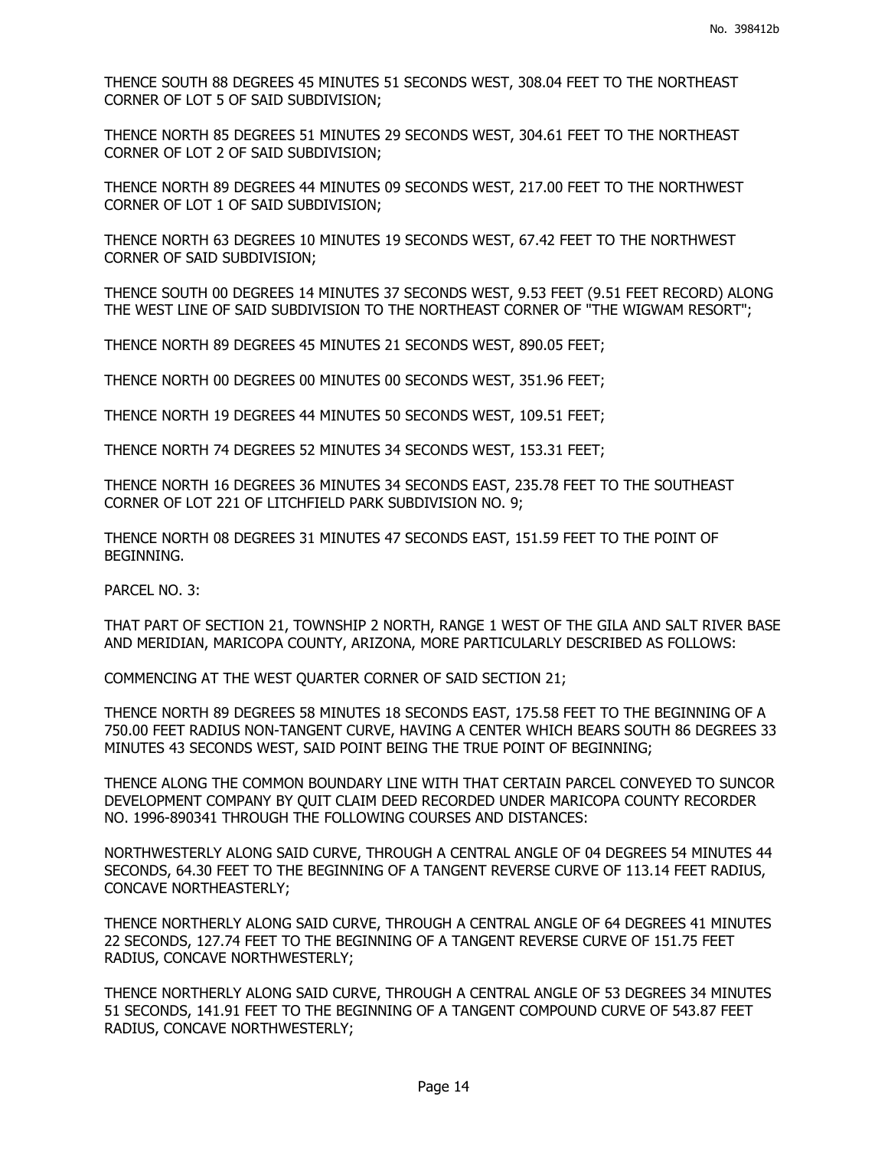THENCE SOUTH 88 DEGREES 45 MINUTES 51 SECONDS WEST, 308.04 FEET TO THE NORTHEAST CORNER OF LOT 5 OF SAID SUBDIVISION;

THENCE NORTH 85 DEGREES 51 MINUTES 29 SECONDS WEST, 304.61 FEET TO THE NORTHEAST CORNER OF LOT 2 OF SAID SUBDIVISION;

THENCE NORTH 89 DEGREES 44 MINUTES 09 SECONDS WEST, 217.00 FEET TO THE NORTHWEST CORNER OF LOT 1 OF SAID SUBDIVISION;

THENCE NORTH 63 DEGREES 10 MINUTES 19 SECONDS WEST, 67.42 FEET TO THE NORTHWEST CORNER OF SAID SUBDIVISION;

THENCE SOUTH 00 DEGREES 14 MINUTES 37 SECONDS WEST, 9.53 FEET (9.51 FEET RECORD) ALONG THE WEST LINE OF SAID SUBDIVISION TO THE NORTHEAST CORNER OF "THE WIGWAM RESORT";

THENCE NORTH 89 DEGREES 45 MINUTES 21 SECONDS WEST, 890.05 FEET;

THENCE NORTH 00 DEGREES 00 MINUTES 00 SECONDS WEST, 351.96 FEET;

THENCE NORTH 19 DEGREES 44 MINUTES 50 SECONDS WEST, 109.51 FEET;

THENCE NORTH 74 DEGREES 52 MINUTES 34 SECONDS WEST, 153.31 FEET;

THENCE NORTH 16 DEGREES 36 MINUTES 34 SECONDS EAST, 235.78 FEET TO THE SOUTHEAST CORNER OF LOT 221 OF LITCHFIELD PARK SUBDIVISION NO. 9;

THENCE NORTH 08 DEGREES 31 MINUTES 47 SECONDS EAST, 151.59 FEET TO THE POINT OF BEGINNING.

PARCEL NO. 3:

THAT PART OF SECTION 21, TOWNSHIP 2 NORTH, RANGE 1 WEST OF THE GILA AND SALT RIVER BASE AND MERIDIAN, MARICOPA COUNTY, ARIZONA, MORE PARTICULARLY DESCRIBED AS FOLLOWS:

COMMENCING AT THE WEST QUARTER CORNER OF SAID SECTION 21;

THENCE NORTH 89 DEGREES 58 MINUTES 18 SECONDS EAST, 175.58 FEET TO THE BEGINNING OF A 750.00 FEET RADIUS NON-TANGENT CURVE, HAVING A CENTER WHICH BEARS SOUTH 86 DEGREES 33 MINUTES 43 SECONDS WEST, SAID POINT BEING THE TRUE POINT OF BEGINNING;

THENCE ALONG THE COMMON BOUNDARY LINE WITH THAT CERTAIN PARCEL CONVEYED TO SUNCOR DEVELOPMENT COMPANY BY QUIT CLAIM DEED RECORDED UNDER MARICOPA COUNTY RECORDER NO. 1996-890341 THROUGH THE FOLLOWING COURSES AND DISTANCES:

NORTHWESTERLY ALONG SAID CURVE, THROUGH A CENTRAL ANGLE OF 04 DEGREES 54 MINUTES 44 SECONDS, 64.30 FEET TO THE BEGINNING OF A TANGENT REVERSE CURVE OF 113.14 FEET RADIUS, CONCAVE NORTHEASTERLY;

THENCE NORTHERLY ALONG SAID CURVE, THROUGH A CENTRAL ANGLE OF 64 DEGREES 41 MINUTES 22 SECONDS, 127.74 FEET TO THE BEGINNING OF A TANGENT REVERSE CURVE OF 151.75 FEET RADIUS, CONCAVE NORTHWESTERLY;

THENCE NORTHERLY ALONG SAID CURVE, THROUGH A CENTRAL ANGLE OF 53 DEGREES 34 MINUTES 51 SECONDS, 141.91 FEET TO THE BEGINNING OF A TANGENT COMPOUND CURVE OF 543.87 FEET RADIUS, CONCAVE NORTHWESTERLY;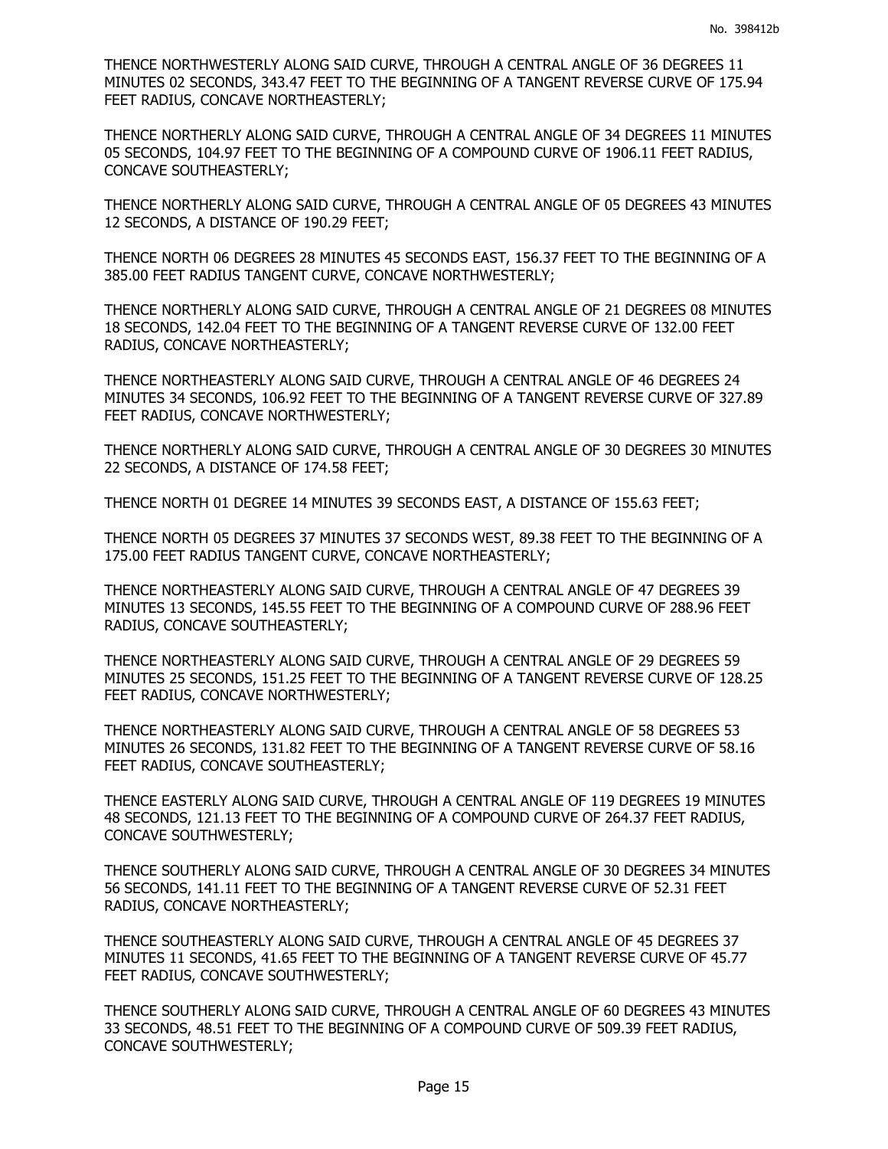THENCE NORTHWESTERLY ALONG SAID CURVE, THROUGH A CENTRAL ANGLE OF 36 DEGREES 11 MINUTES 02 SECONDS, 343.47 FEET TO THE BEGINNING OF A TANGENT REVERSE CURVE OF 175.94 FEET RADIUS, CONCAVE NORTHEASTERLY;

THENCE NORTHERLY ALONG SAID CURVE, THROUGH A CENTRAL ANGLE OF 34 DEGREES 11 MINUTES 05 SECONDS, 104.97 FEET TO THE BEGINNING OF A COMPOUND CURVE OF 1906.11 FEET RADIUS, CONCAVE SOUTHEASTERLY;

THENCE NORTHERLY ALONG SAID CURVE, THROUGH A CENTRAL ANGLE OF 05 DEGREES 43 MINUTES 12 SECONDS, A DISTANCE OF 190.29 FEET;

THENCE NORTH 06 DEGREES 28 MINUTES 45 SECONDS EAST, 156.37 FEET TO THE BEGINNING OF A 385.00 FEET RADIUS TANGENT CURVE, CONCAVE NORTHWESTERLY;

THENCE NORTHERLY ALONG SAID CURVE, THROUGH A CENTRAL ANGLE OF 21 DEGREES 08 MINUTES 18 SECONDS, 142.04 FEET TO THE BEGINNING OF A TANGENT REVERSE CURVE OF 132.00 FEET RADIUS, CONCAVE NORTHEASTERLY;

THENCE NORTHEASTERLY ALONG SAID CURVE, THROUGH A CENTRAL ANGLE OF 46 DEGREES 24 MINUTES 34 SECONDS, 106.92 FEET TO THE BEGINNING OF A TANGENT REVERSE CURVE OF 327.89 FEET RADIUS, CONCAVE NORTHWESTERLY;

THENCE NORTHERLY ALONG SAID CURVE, THROUGH A CENTRAL ANGLE OF 30 DEGREES 30 MINUTES 22 SECONDS, A DISTANCE OF 174.58 FEET;

THENCE NORTH 01 DEGREE 14 MINUTES 39 SECONDS EAST, A DISTANCE OF 155.63 FEET;

THENCE NORTH 05 DEGREES 37 MINUTES 37 SECONDS WEST, 89.38 FEET TO THE BEGINNING OF A 175.00 FEET RADIUS TANGENT CURVE, CONCAVE NORTHEASTERLY;

THENCE NORTHEASTERLY ALONG SAID CURVE, THROUGH A CENTRAL ANGLE OF 47 DEGREES 39 MINUTES 13 SECONDS, 145.55 FEET TO THE BEGINNING OF A COMPOUND CURVE OF 288.96 FEET RADIUS, CONCAVE SOUTHEASTERLY;

THENCE NORTHEASTERLY ALONG SAID CURVE, THROUGH A CENTRAL ANGLE OF 29 DEGREES 59 MINUTES 25 SECONDS, 151.25 FEET TO THE BEGINNING OF A TANGENT REVERSE CURVE OF 128.25 FEET RADIUS, CONCAVE NORTHWESTERLY;

THENCE NORTHEASTERLY ALONG SAID CURVE, THROUGH A CENTRAL ANGLE OF 58 DEGREES 53 MINUTES 26 SECONDS, 131.82 FEET TO THE BEGINNING OF A TANGENT REVERSE CURVE OF 58.16 FEET RADIUS, CONCAVE SOUTHEASTERLY;

THENCE EASTERLY ALONG SAID CURVE, THROUGH A CENTRAL ANGLE OF 119 DEGREES 19 MINUTES 48 SECONDS, 121.13 FEET TO THE BEGINNING OF A COMPOUND CURVE OF 264.37 FEET RADIUS, CONCAVE SOUTHWESTERLY;

THENCE SOUTHERLY ALONG SAID CURVE, THROUGH A CENTRAL ANGLE OF 30 DEGREES 34 MINUTES 56 SECONDS, 141.11 FEET TO THE BEGINNING OF A TANGENT REVERSE CURVE OF 52.31 FEET RADIUS, CONCAVE NORTHEASTERLY;

THENCE SOUTHEASTERLY ALONG SAID CURVE, THROUGH A CENTRAL ANGLE OF 45 DEGREES 37 MINUTES 11 SECONDS, 41.65 FEET TO THE BEGINNING OF A TANGENT REVERSE CURVE OF 45.77 FEET RADIUS, CONCAVE SOUTHWESTERLY;

THENCE SOUTHERLY ALONG SAID CURVE, THROUGH A CENTRAL ANGLE OF 60 DEGREES 43 MINUTES 33 SECONDS, 48.51 FEET TO THE BEGINNING OF A COMPOUND CURVE OF 509.39 FEET RADIUS, CONCAVE SOUTHWESTERLY;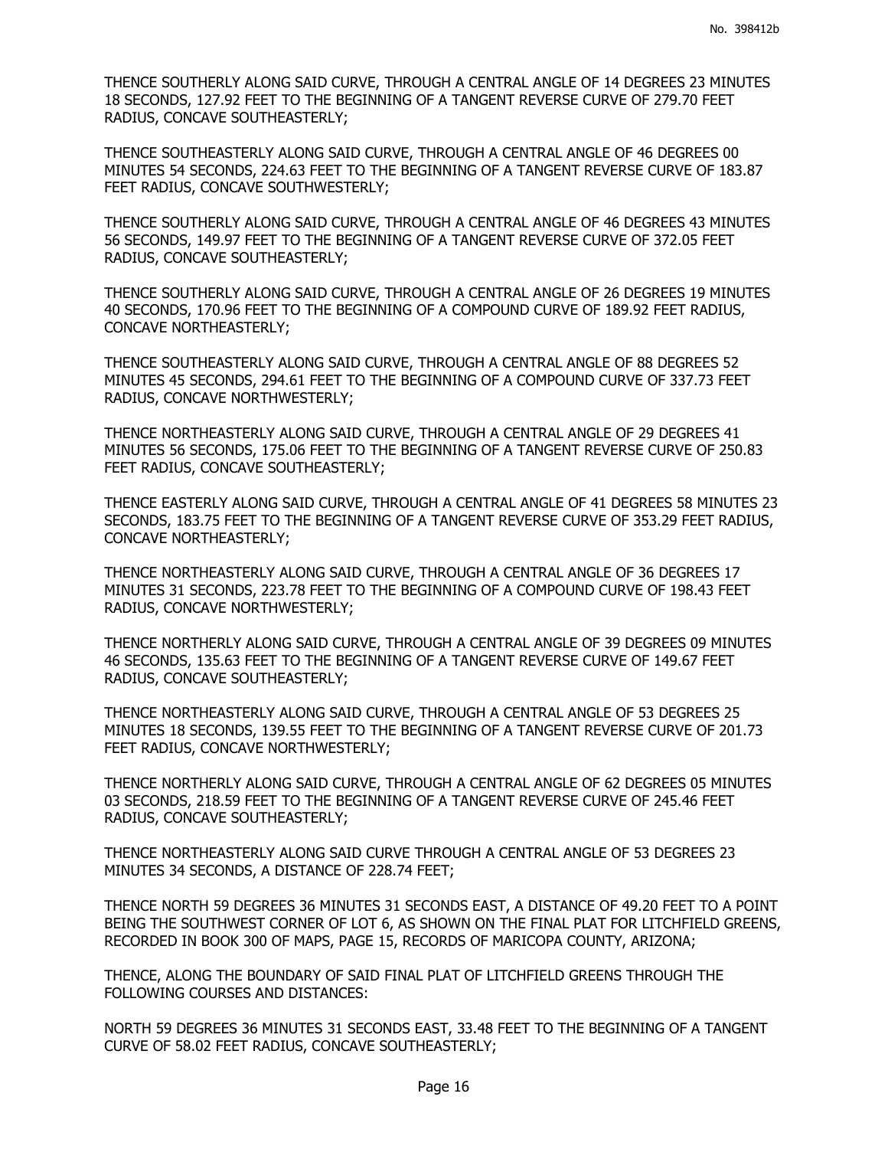THENCE SOUTHERLY ALONG SAID CURVE, THROUGH A CENTRAL ANGLE OF 14 DEGREES 23 MINUTES 18 SECONDS, 127.92 FEET TO THE BEGINNING OF A TANGENT REVERSE CURVE OF 279.70 FEET RADIUS, CONCAVE SOUTHEASTERLY;

THENCE SOUTHEASTERLY ALONG SAID CURVE, THROUGH A CENTRAL ANGLE OF 46 DEGREES 00 MINUTES 54 SECONDS, 224.63 FEET TO THE BEGINNING OF A TANGENT REVERSE CURVE OF 183.87 FEET RADIUS, CONCAVE SOUTHWESTERLY;

THENCE SOUTHERLY ALONG SAID CURVE, THROUGH A CENTRAL ANGLE OF 46 DEGREES 43 MINUTES 56 SECONDS, 149.97 FEET TO THE BEGINNING OF A TANGENT REVERSE CURVE OF 372.05 FEET RADIUS, CONCAVE SOUTHEASTERLY;

THENCE SOUTHERLY ALONG SAID CURVE, THROUGH A CENTRAL ANGLE OF 26 DEGREES 19 MINUTES 40 SECONDS, 170.96 FEET TO THE BEGINNING OF A COMPOUND CURVE OF 189.92 FEET RADIUS, CONCAVE NORTHEASTERLY;

THENCE SOUTHEASTERLY ALONG SAID CURVE, THROUGH A CENTRAL ANGLE OF 88 DEGREES 52 MINUTES 45 SECONDS, 294.61 FEET TO THE BEGINNING OF A COMPOUND CURVE OF 337.73 FEET RADIUS, CONCAVE NORTHWESTERLY;

THENCE NORTHEASTERLY ALONG SAID CURVE, THROUGH A CENTRAL ANGLE OF 29 DEGREES 41 MINUTES 56 SECONDS, 175.06 FEET TO THE BEGINNING OF A TANGENT REVERSE CURVE OF 250.83 FEET RADIUS, CONCAVE SOUTHEASTERLY;

THENCE EASTERLY ALONG SAID CURVE, THROUGH A CENTRAL ANGLE OF 41 DEGREES 58 MINUTES 23 SECONDS, 183.75 FEET TO THE BEGINNING OF A TANGENT REVERSE CURVE OF 353.29 FEET RADIUS, CONCAVE NORTHEASTERLY;

THENCE NORTHEASTERLY ALONG SAID CURVE, THROUGH A CENTRAL ANGLE OF 36 DEGREES 17 MINUTES 31 SECONDS, 223.78 FEET TO THE BEGINNING OF A COMPOUND CURVE OF 198.43 FEET RADIUS, CONCAVE NORTHWESTERLY;

THENCE NORTHERLY ALONG SAID CURVE, THROUGH A CENTRAL ANGLE OF 39 DEGREES 09 MINUTES 46 SECONDS, 135.63 FEET TO THE BEGINNING OF A TANGENT REVERSE CURVE OF 149.67 FEET RADIUS, CONCAVE SOUTHEASTERLY;

THENCE NORTHEASTERLY ALONG SAID CURVE, THROUGH A CENTRAL ANGLE OF 53 DEGREES 25 MINUTES 18 SECONDS, 139.55 FEET TO THE BEGINNING OF A TANGENT REVERSE CURVE OF 201.73 FEET RADIUS, CONCAVE NORTHWESTERLY;

THENCE NORTHERLY ALONG SAID CURVE, THROUGH A CENTRAL ANGLE OF 62 DEGREES 05 MINUTES 03 SECONDS, 218.59 FEET TO THE BEGINNING OF A TANGENT REVERSE CURVE OF 245.46 FEET RADIUS, CONCAVE SOUTHEASTERLY;

THENCE NORTHEASTERLY ALONG SAID CURVE THROUGH A CENTRAL ANGLE OF 53 DEGREES 23 MINUTES 34 SECONDS, A DISTANCE OF 228.74 FEET;

THENCE NORTH 59 DEGREES 36 MINUTES 31 SECONDS EAST, A DISTANCE OF 49.20 FEET TO A POINT BEING THE SOUTHWEST CORNER OF LOT 6, AS SHOWN ON THE FINAL PLAT FOR LITCHFIELD GREENS, RECORDED IN BOOK 300 OF MAPS, PAGE 15, RECORDS OF MARICOPA COUNTY, ARIZONA;

THENCE, ALONG THE BOUNDARY OF SAID FINAL PLAT OF LITCHFIELD GREENS THROUGH THE FOLLOWING COURSES AND DISTANCES:

NORTH 59 DEGREES 36 MINUTES 31 SECONDS EAST, 33.48 FEET TO THE BEGINNING OF A TANGENT CURVE OF 58.02 FEET RADIUS, CONCAVE SOUTHEASTERLY;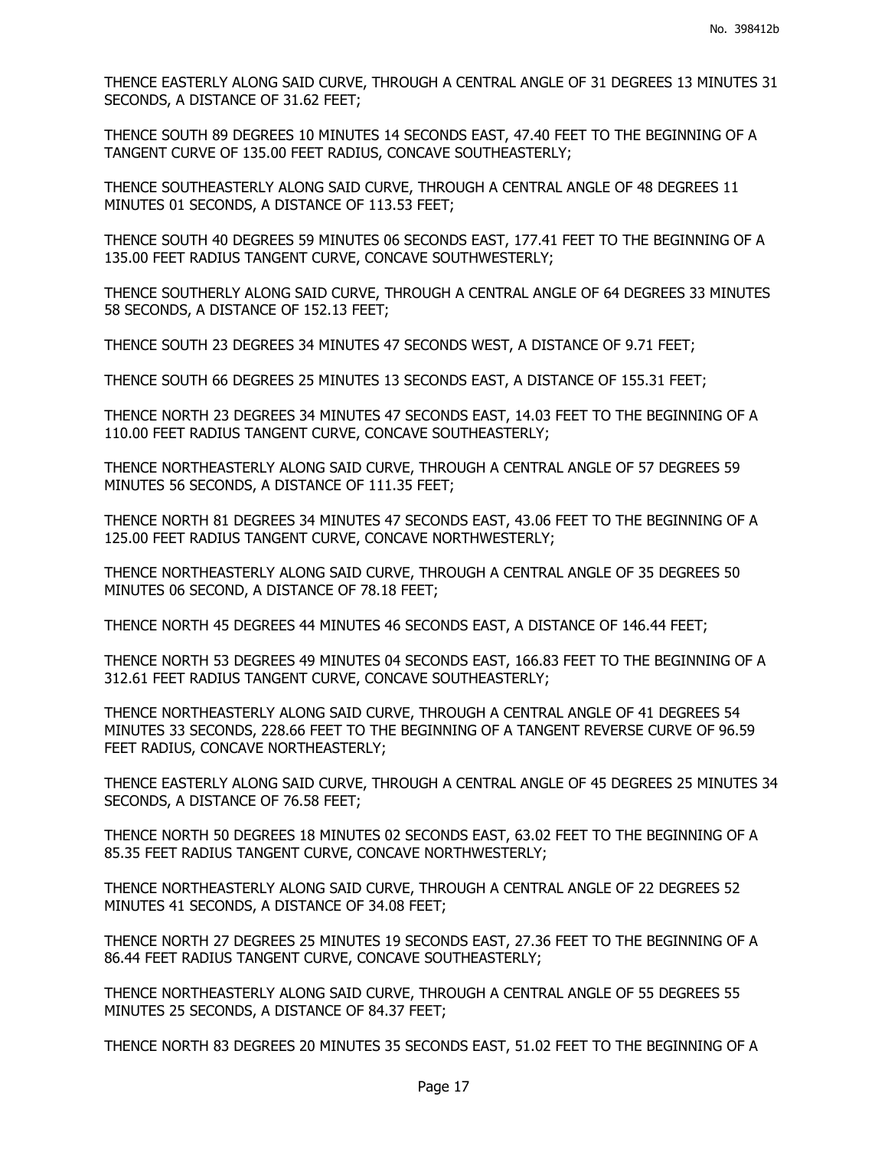THENCE EASTERLY ALONG SAID CURVE, THROUGH A CENTRAL ANGLE OF 31 DEGREES 13 MINUTES 31 SECONDS, A DISTANCE OF 31.62 FEET;

THENCE SOUTH 89 DEGREES 10 MINUTES 14 SECONDS EAST, 47.40 FEET TO THE BEGINNING OF A TANGENT CURVE OF 135.00 FEET RADIUS, CONCAVE SOUTHEASTERLY;

THENCE SOUTHEASTERLY ALONG SAID CURVE, THROUGH A CENTRAL ANGLE OF 48 DEGREES 11 MINUTES 01 SECONDS, A DISTANCE OF 113.53 FEET;

THENCE SOUTH 40 DEGREES 59 MINUTES 06 SECONDS EAST, 177.41 FEET TO THE BEGINNING OF A 135.00 FEET RADIUS TANGENT CURVE, CONCAVE SOUTHWESTERLY;

THENCE SOUTHERLY ALONG SAID CURVE, THROUGH A CENTRAL ANGLE OF 64 DEGREES 33 MINUTES 58 SECONDS, A DISTANCE OF 152.13 FEET;

THENCE SOUTH 23 DEGREES 34 MINUTES 47 SECONDS WEST, A DISTANCE OF 9.71 FEET;

THENCE SOUTH 66 DEGREES 25 MINUTES 13 SECONDS EAST, A DISTANCE OF 155.31 FEET;

THENCE NORTH 23 DEGREES 34 MINUTES 47 SECONDS EAST, 14.03 FEET TO THE BEGINNING OF A 110.00 FEET RADIUS TANGENT CURVE, CONCAVE SOUTHEASTERLY;

THENCE NORTHEASTERLY ALONG SAID CURVE, THROUGH A CENTRAL ANGLE OF 57 DEGREES 59 MINUTES 56 SECONDS, A DISTANCE OF 111.35 FEET;

THENCE NORTH 81 DEGREES 34 MINUTES 47 SECONDS EAST, 43.06 FEET TO THE BEGINNING OF A 125.00 FEET RADIUS TANGENT CURVE, CONCAVE NORTHWESTERLY;

THENCE NORTHEASTERLY ALONG SAID CURVE, THROUGH A CENTRAL ANGLE OF 35 DEGREES 50 MINUTES 06 SECOND, A DISTANCE OF 78.18 FEET;

THENCE NORTH 45 DEGREES 44 MINUTES 46 SECONDS EAST, A DISTANCE OF 146.44 FEET;

THENCE NORTH 53 DEGREES 49 MINUTES 04 SECONDS EAST, 166.83 FEET TO THE BEGINNING OF A 312.61 FEET RADIUS TANGENT CURVE, CONCAVE SOUTHEASTERLY;

THENCE NORTHEASTERLY ALONG SAID CURVE, THROUGH A CENTRAL ANGLE OF 41 DEGREES 54 MINUTES 33 SECONDS, 228.66 FEET TO THE BEGINNING OF A TANGENT REVERSE CURVE OF 96.59 FEET RADIUS, CONCAVE NORTHEASTERLY;

THENCE EASTERLY ALONG SAID CURVE, THROUGH A CENTRAL ANGLE OF 45 DEGREES 25 MINUTES 34 SECONDS, A DISTANCE OF 76.58 FEET;

THENCE NORTH 50 DEGREES 18 MINUTES 02 SECONDS EAST, 63.02 FEET TO THE BEGINNING OF A 85.35 FEET RADIUS TANGENT CURVE, CONCAVE NORTHWESTERLY;

THENCE NORTHEASTERLY ALONG SAID CURVE, THROUGH A CENTRAL ANGLE OF 22 DEGREES 52 MINUTES 41 SECONDS, A DISTANCE OF 34.08 FEET;

THENCE NORTH 27 DEGREES 25 MINUTES 19 SECONDS EAST, 27.36 FEET TO THE BEGINNING OF A 86.44 FEET RADIUS TANGENT CURVE, CONCAVE SOUTHEASTERLY;

THENCE NORTHEASTERLY ALONG SAID CURVE, THROUGH A CENTRAL ANGLE OF 55 DEGREES 55 MINUTES 25 SECONDS, A DISTANCE OF 84.37 FEET;

THENCE NORTH 83 DEGREES 20 MINUTES 35 SECONDS EAST, 51.02 FEET TO THE BEGINNING OF A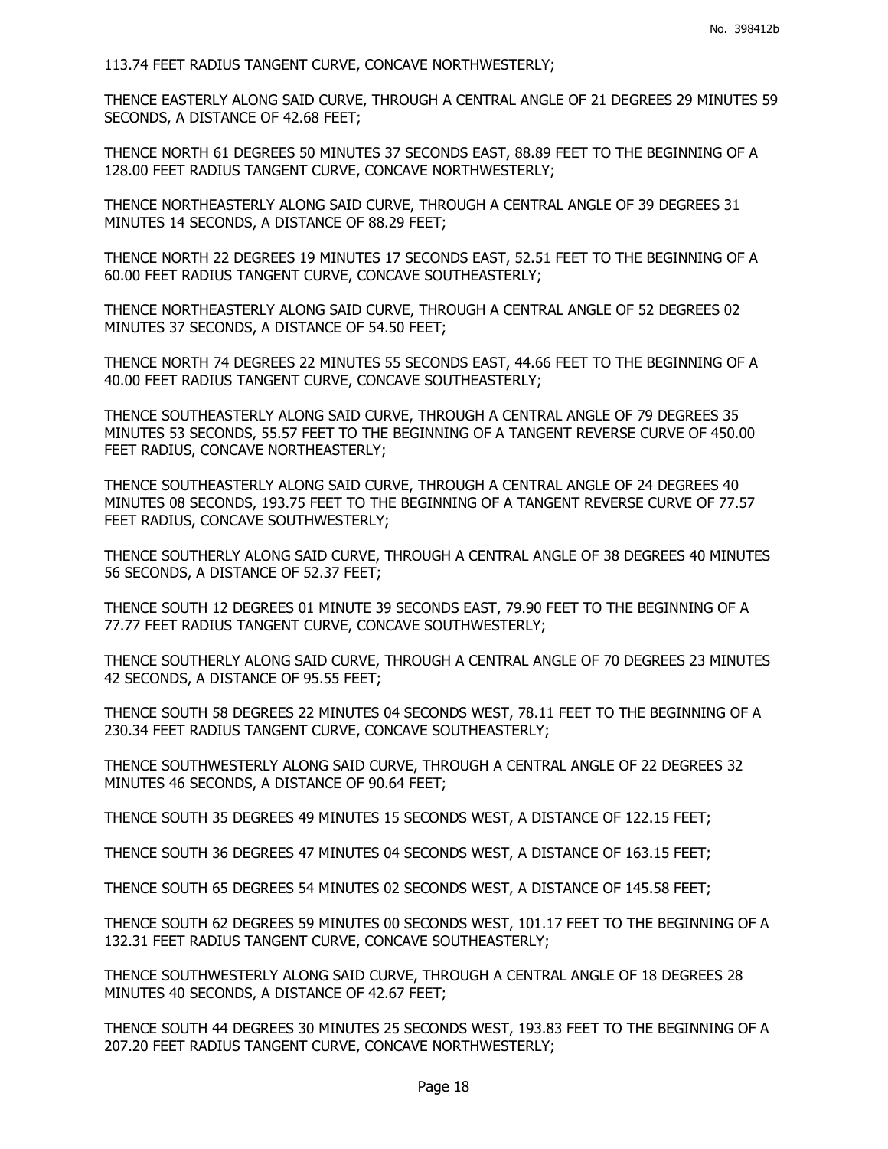113.74 FEET RADIUS TANGENT CURVE, CONCAVE NORTHWESTERLY;

THENCE EASTERLY ALONG SAID CURVE, THROUGH A CENTRAL ANGLE OF 21 DEGREES 29 MINUTES 59 SECONDS, A DISTANCE OF 42.68 FEET;

THENCE NORTH 61 DEGREES 50 MINUTES 37 SECONDS EAST, 88.89 FEET TO THE BEGINNING OF A 128.00 FEET RADIUS TANGENT CURVE, CONCAVE NORTHWESTERLY;

THENCE NORTHEASTERLY ALONG SAID CURVE, THROUGH A CENTRAL ANGLE OF 39 DEGREES 31 MINUTES 14 SECONDS, A DISTANCE OF 88.29 FEET;

THENCE NORTH 22 DEGREES 19 MINUTES 17 SECONDS EAST, 52.51 FEET TO THE BEGINNING OF A 60.00 FEET RADIUS TANGENT CURVE, CONCAVE SOUTHEASTERLY;

THENCE NORTHEASTERLY ALONG SAID CURVE, THROUGH A CENTRAL ANGLE OF 52 DEGREES 02 MINUTES 37 SECONDS, A DISTANCE OF 54.50 FEET;

THENCE NORTH 74 DEGREES 22 MINUTES 55 SECONDS EAST, 44.66 FEET TO THE BEGINNING OF A 40.00 FEET RADIUS TANGENT CURVE, CONCAVE SOUTHEASTERLY;

THENCE SOUTHEASTERLY ALONG SAID CURVE, THROUGH A CENTRAL ANGLE OF 79 DEGREES 35 MINUTES 53 SECONDS, 55.57 FEET TO THE BEGINNING OF A TANGENT REVERSE CURVE OF 450.00 FEET RADIUS, CONCAVE NORTHEASTERLY;

THENCE SOUTHEASTERLY ALONG SAID CURVE, THROUGH A CENTRAL ANGLE OF 24 DEGREES 40 MINUTES 08 SECONDS, 193.75 FEET TO THE BEGINNING OF A TANGENT REVERSE CURVE OF 77.57 FEET RADIUS, CONCAVE SOUTHWESTERLY;

THENCE SOUTHERLY ALONG SAID CURVE, THROUGH A CENTRAL ANGLE OF 38 DEGREES 40 MINUTES 56 SECONDS, A DISTANCE OF 52.37 FEET;

THENCE SOUTH 12 DEGREES 01 MINUTE 39 SECONDS EAST, 79.90 FEET TO THE BEGINNING OF A 77.77 FEET RADIUS TANGENT CURVE, CONCAVE SOUTHWESTERLY;

THENCE SOUTHERLY ALONG SAID CURVE, THROUGH A CENTRAL ANGLE OF 70 DEGREES 23 MINUTES 42 SECONDS, A DISTANCE OF 95.55 FEET;

THENCE SOUTH 58 DEGREES 22 MINUTES 04 SECONDS WEST, 78.11 FEET TO THE BEGINNING OF A 230.34 FEET RADIUS TANGENT CURVE, CONCAVE SOUTHEASTERLY;

THENCE SOUTHWESTERLY ALONG SAID CURVE, THROUGH A CENTRAL ANGLE OF 22 DEGREES 32 MINUTES 46 SECONDS, A DISTANCE OF 90.64 FEET;

THENCE SOUTH 35 DEGREES 49 MINUTES 15 SECONDS WEST, A DISTANCE OF 122.15 FEET;

THENCE SOUTH 36 DEGREES 47 MINUTES 04 SECONDS WEST, A DISTANCE OF 163.15 FEET;

THENCE SOUTH 65 DEGREES 54 MINUTES 02 SECONDS WEST, A DISTANCE OF 145.58 FEET;

THENCE SOUTH 62 DEGREES 59 MINUTES 00 SECONDS WEST, 101.17 FEET TO THE BEGINNING OF A 132.31 FEET RADIUS TANGENT CURVE, CONCAVE SOUTHEASTERLY;

THENCE SOUTHWESTERLY ALONG SAID CURVE, THROUGH A CENTRAL ANGLE OF 18 DEGREES 28 MINUTES 40 SECONDS, A DISTANCE OF 42.67 FEET;

THENCE SOUTH 44 DEGREES 30 MINUTES 25 SECONDS WEST, 193.83 FEET TO THE BEGINNING OF A 207.20 FEET RADIUS TANGENT CURVE, CONCAVE NORTHWESTERLY;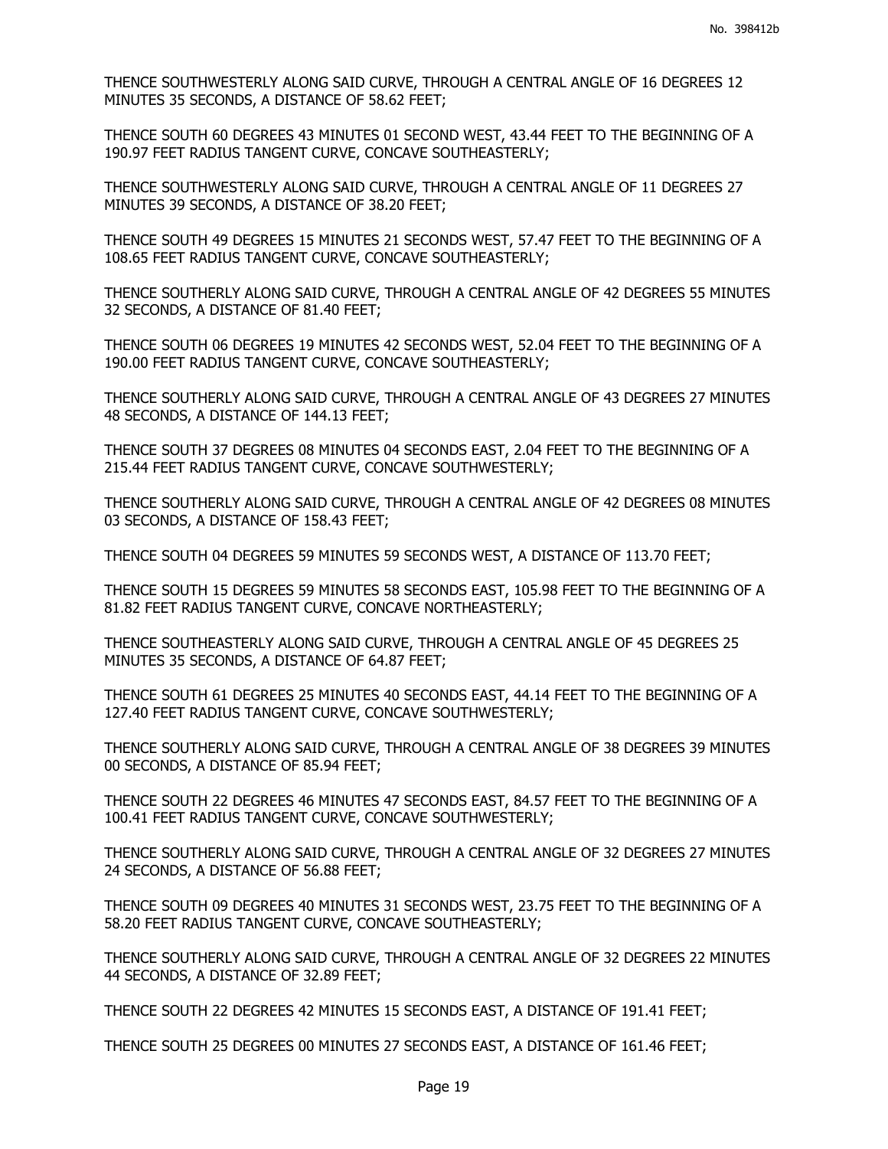THENCE SOUTHWESTERLY ALONG SAID CURVE, THROUGH A CENTRAL ANGLE OF 16 DEGREES 12 MINUTES 35 SECONDS, A DISTANCE OF 58.62 FEET;

THENCE SOUTH 60 DEGREES 43 MINUTES 01 SECOND WEST, 43.44 FEET TO THE BEGINNING OF A 190.97 FEET RADIUS TANGENT CURVE, CONCAVE SOUTHEASTERLY;

THENCE SOUTHWESTERLY ALONG SAID CURVE, THROUGH A CENTRAL ANGLE OF 11 DEGREES 27 MINUTES 39 SECONDS, A DISTANCE OF 38.20 FEET;

THENCE SOUTH 49 DEGREES 15 MINUTES 21 SECONDS WEST, 57.47 FEET TO THE BEGINNING OF A 108.65 FEET RADIUS TANGENT CURVE, CONCAVE SOUTHEASTERLY;

THENCE SOUTHERLY ALONG SAID CURVE, THROUGH A CENTRAL ANGLE OF 42 DEGREES 55 MINUTES 32 SECONDS, A DISTANCE OF 81.40 FEET;

THENCE SOUTH 06 DEGREES 19 MINUTES 42 SECONDS WEST, 52.04 FEET TO THE BEGINNING OF A 190.00 FEET RADIUS TANGENT CURVE, CONCAVE SOUTHEASTERLY;

THENCE SOUTHERLY ALONG SAID CURVE, THROUGH A CENTRAL ANGLE OF 43 DEGREES 27 MINUTES 48 SECONDS, A DISTANCE OF 144.13 FEET;

THENCE SOUTH 37 DEGREES 08 MINUTES 04 SECONDS EAST, 2.04 FEET TO THE BEGINNING OF A 215.44 FEET RADIUS TANGENT CURVE, CONCAVE SOUTHWESTERLY;

THENCE SOUTHERLY ALONG SAID CURVE, THROUGH A CENTRAL ANGLE OF 42 DEGREES 08 MINUTES 03 SECONDS, A DISTANCE OF 158.43 FEET;

THENCE SOUTH 04 DEGREES 59 MINUTES 59 SECONDS WEST, A DISTANCE OF 113.70 FEET;

THENCE SOUTH 15 DEGREES 59 MINUTES 58 SECONDS EAST, 105.98 FEET TO THE BEGINNING OF A 81.82 FEET RADIUS TANGENT CURVE, CONCAVE NORTHEASTERLY;

THENCE SOUTHEASTERLY ALONG SAID CURVE, THROUGH A CENTRAL ANGLE OF 45 DEGREES 25 MINUTES 35 SECONDS, A DISTANCE OF 64.87 FEET;

THENCE SOUTH 61 DEGREES 25 MINUTES 40 SECONDS EAST, 44.14 FEET TO THE BEGINNING OF A 127.40 FEET RADIUS TANGENT CURVE, CONCAVE SOUTHWESTERLY;

THENCE SOUTHERLY ALONG SAID CURVE, THROUGH A CENTRAL ANGLE OF 38 DEGREES 39 MINUTES 00 SECONDS, A DISTANCE OF 85.94 FEET;

THENCE SOUTH 22 DEGREES 46 MINUTES 47 SECONDS EAST, 84.57 FEET TO THE BEGINNING OF A 100.41 FEET RADIUS TANGENT CURVE, CONCAVE SOUTHWESTERLY;

THENCE SOUTHERLY ALONG SAID CURVE, THROUGH A CENTRAL ANGLE OF 32 DEGREES 27 MINUTES 24 SECONDS, A DISTANCE OF 56.88 FEET;

THENCE SOUTH 09 DEGREES 40 MINUTES 31 SECONDS WEST, 23.75 FEET TO THE BEGINNING OF A 58.20 FEET RADIUS TANGENT CURVE, CONCAVE SOUTHEASTERLY;

THENCE SOUTHERLY ALONG SAID CURVE, THROUGH A CENTRAL ANGLE OF 32 DEGREES 22 MINUTES 44 SECONDS, A DISTANCE OF 32.89 FEET;

THENCE SOUTH 22 DEGREES 42 MINUTES 15 SECONDS EAST, A DISTANCE OF 191.41 FEET;

THENCE SOUTH 25 DEGREES 00 MINUTES 27 SECONDS EAST, A DISTANCE OF 161.46 FEET;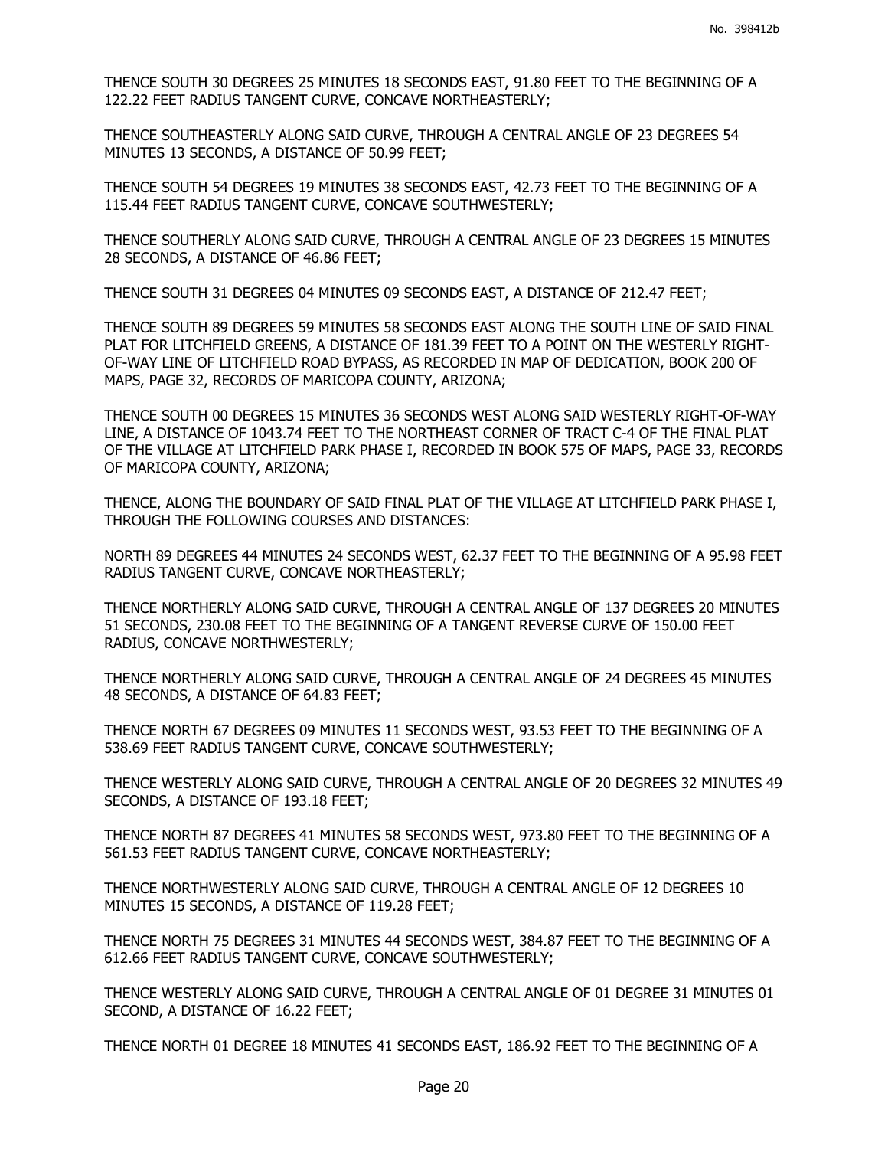THENCE SOUTH 30 DEGREES 25 MINUTES 18 SECONDS EAST, 91.80 FEET TO THE BEGINNING OF A 122.22 FEET RADIUS TANGENT CURVE, CONCAVE NORTHEASTERLY;

THENCE SOUTHEASTERLY ALONG SAID CURVE, THROUGH A CENTRAL ANGLE OF 23 DEGREES 54 MINUTES 13 SECONDS, A DISTANCE OF 50.99 FEET;

THENCE SOUTH 54 DEGREES 19 MINUTES 38 SECONDS EAST, 42.73 FEET TO THE BEGINNING OF A 115.44 FEET RADIUS TANGENT CURVE, CONCAVE SOUTHWESTERLY;

THENCE SOUTHERLY ALONG SAID CURVE, THROUGH A CENTRAL ANGLE OF 23 DEGREES 15 MINUTES 28 SECONDS, A DISTANCE OF 46.86 FEET;

THENCE SOUTH 31 DEGREES 04 MINUTES 09 SECONDS EAST, A DISTANCE OF 212.47 FEET;

THENCE SOUTH 89 DEGREES 59 MINUTES 58 SECONDS EAST ALONG THE SOUTH LINE OF SAID FINAL PLAT FOR LITCHFIELD GREENS, A DISTANCE OF 181.39 FEET TO A POINT ON THE WESTERLY RIGHT-OF-WAY LINE OF LITCHFIELD ROAD BYPASS, AS RECORDED IN MAP OF DEDICATION, BOOK 200 OF MAPS, PAGE 32, RECORDS OF MARICOPA COUNTY, ARIZONA;

THENCE SOUTH 00 DEGREES 15 MINUTES 36 SECONDS WEST ALONG SAID WESTERLY RIGHT-OF-WAY LINE, A DISTANCE OF 1043.74 FEET TO THE NORTHEAST CORNER OF TRACT C-4 OF THE FINAL PLAT OF THE VILLAGE AT LITCHFIELD PARK PHASE I, RECORDED IN BOOK 575 OF MAPS, PAGE 33, RECORDS OF MARICOPA COUNTY, ARIZONA;

THENCE, ALONG THE BOUNDARY OF SAID FINAL PLAT OF THE VILLAGE AT LITCHFIELD PARK PHASE I, THROUGH THE FOLLOWING COURSES AND DISTANCES:

NORTH 89 DEGREES 44 MINUTES 24 SECONDS WEST, 62.37 FEET TO THE BEGINNING OF A 95.98 FEET RADIUS TANGENT CURVE, CONCAVE NORTHEASTERLY;

THENCE NORTHERLY ALONG SAID CURVE, THROUGH A CENTRAL ANGLE OF 137 DEGREES 20 MINUTES 51 SECONDS, 230.08 FEET TO THE BEGINNING OF A TANGENT REVERSE CURVE OF 150.00 FEET RADIUS, CONCAVE NORTHWESTERLY;

THENCE NORTHERLY ALONG SAID CURVE, THROUGH A CENTRAL ANGLE OF 24 DEGREES 45 MINUTES 48 SECONDS, A DISTANCE OF 64.83 FEET;

THENCE NORTH 67 DEGREES 09 MINUTES 11 SECONDS WEST, 93.53 FEET TO THE BEGINNING OF A 538.69 FEET RADIUS TANGENT CURVE, CONCAVE SOUTHWESTERLY;

THENCE WESTERLY ALONG SAID CURVE, THROUGH A CENTRAL ANGLE OF 20 DEGREES 32 MINUTES 49 SECONDS, A DISTANCE OF 193.18 FEET;

THENCE NORTH 87 DEGREES 41 MINUTES 58 SECONDS WEST, 973.80 FEET TO THE BEGINNING OF A 561.53 FEET RADIUS TANGENT CURVE, CONCAVE NORTHEASTERLY;

THENCE NORTHWESTERLY ALONG SAID CURVE, THROUGH A CENTRAL ANGLE OF 12 DEGREES 10 MINUTES 15 SECONDS, A DISTANCE OF 119.28 FEET;

THENCE NORTH 75 DEGREES 31 MINUTES 44 SECONDS WEST, 384.87 FEET TO THE BEGINNING OF A 612.66 FEET RADIUS TANGENT CURVE, CONCAVE SOUTHWESTERLY;

THENCE WESTERLY ALONG SAID CURVE, THROUGH A CENTRAL ANGLE OF 01 DEGREE 31 MINUTES 01 SECOND, A DISTANCE OF 16.22 FEET;

THENCE NORTH 01 DEGREE 18 MINUTES 41 SECONDS EAST, 186.92 FEET TO THE BEGINNING OF A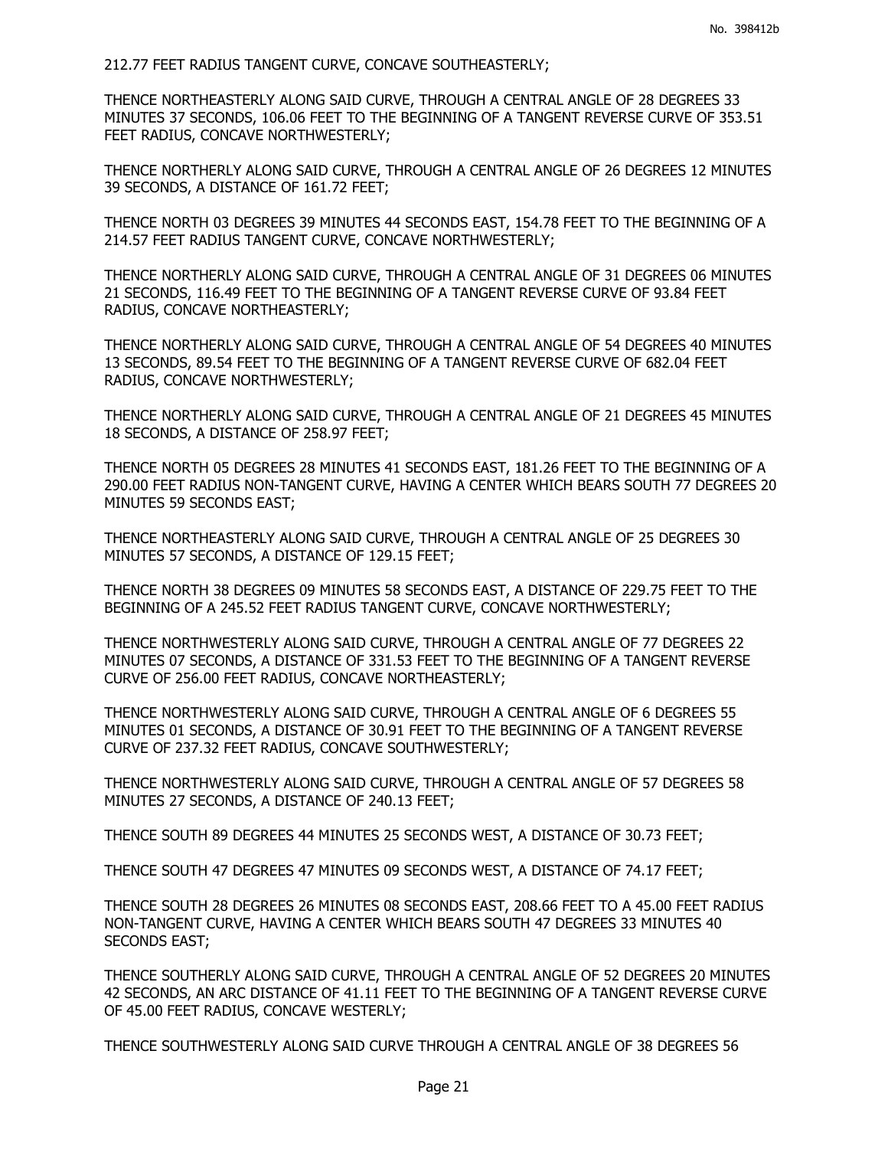212.77 FEET RADIUS TANGENT CURVE, CONCAVE SOUTHEASTERLY;

THENCE NORTHEASTERLY ALONG SAID CURVE, THROUGH A CENTRAL ANGLE OF 28 DEGREES 33 MINUTES 37 SECONDS, 106.06 FEET TO THE BEGINNING OF A TANGENT REVERSE CURVE OF 353.51 FEET RADIUS, CONCAVE NORTHWESTERLY;

THENCE NORTHERLY ALONG SAID CURVE, THROUGH A CENTRAL ANGLE OF 26 DEGREES 12 MINUTES 39 SECONDS, A DISTANCE OF 161.72 FEET;

THENCE NORTH 03 DEGREES 39 MINUTES 44 SECONDS EAST, 154.78 FEET TO THE BEGINNING OF A 214.57 FEET RADIUS TANGENT CURVE, CONCAVE NORTHWESTERLY;

THENCE NORTHERLY ALONG SAID CURVE, THROUGH A CENTRAL ANGLE OF 31 DEGREES 06 MINUTES 21 SECONDS, 116.49 FEET TO THE BEGINNING OF A TANGENT REVERSE CURVE OF 93.84 FEET RADIUS, CONCAVE NORTHEASTERLY;

THENCE NORTHERLY ALONG SAID CURVE, THROUGH A CENTRAL ANGLE OF 54 DEGREES 40 MINUTES 13 SECONDS, 89.54 FEET TO THE BEGINNING OF A TANGENT REVERSE CURVE OF 682.04 FEET RADIUS, CONCAVE NORTHWESTERLY;

THENCE NORTHERLY ALONG SAID CURVE, THROUGH A CENTRAL ANGLE OF 21 DEGREES 45 MINUTES 18 SECONDS, A DISTANCE OF 258.97 FEET;

THENCE NORTH 05 DEGREES 28 MINUTES 41 SECONDS EAST, 181.26 FEET TO THE BEGINNING OF A 290.00 FEET RADIUS NON-TANGENT CURVE, HAVING A CENTER WHICH BEARS SOUTH 77 DEGREES 20 MINUTES 59 SECONDS EAST;

THENCE NORTHEASTERLY ALONG SAID CURVE, THROUGH A CENTRAL ANGLE OF 25 DEGREES 30 MINUTES 57 SECONDS, A DISTANCE OF 129.15 FEET;

THENCE NORTH 38 DEGREES 09 MINUTES 58 SECONDS EAST, A DISTANCE OF 229.75 FEET TO THE BEGINNING OF A 245.52 FEET RADIUS TANGENT CURVE, CONCAVE NORTHWESTERLY;

THENCE NORTHWESTERLY ALONG SAID CURVE, THROUGH A CENTRAL ANGLE OF 77 DEGREES 22 MINUTES 07 SECONDS, A DISTANCE OF 331.53 FEET TO THE BEGINNING OF A TANGENT REVERSE CURVE OF 256.00 FEET RADIUS, CONCAVE NORTHEASTERLY;

THENCE NORTHWESTERLY ALONG SAID CURVE, THROUGH A CENTRAL ANGLE OF 6 DEGREES 55 MINUTES 01 SECONDS, A DISTANCE OF 30.91 FEET TO THE BEGINNING OF A TANGENT REVERSE CURVE OF 237.32 FEET RADIUS, CONCAVE SOUTHWESTERLY;

THENCE NORTHWESTERLY ALONG SAID CURVE, THROUGH A CENTRAL ANGLE OF 57 DEGREES 58 MINUTES 27 SECONDS, A DISTANCE OF 240.13 FEET;

THENCE SOUTH 89 DEGREES 44 MINUTES 25 SECONDS WEST, A DISTANCE OF 30.73 FEET;

THENCE SOUTH 47 DEGREES 47 MINUTES 09 SECONDS WEST, A DISTANCE OF 74.17 FEET;

THENCE SOUTH 28 DEGREES 26 MINUTES 08 SECONDS EAST, 208.66 FEET TO A 45.00 FEET RADIUS NON-TANGENT CURVE, HAVING A CENTER WHICH BEARS SOUTH 47 DEGREES 33 MINUTES 40 SECONDS EAST;

THENCE SOUTHERLY ALONG SAID CURVE, THROUGH A CENTRAL ANGLE OF 52 DEGREES 20 MINUTES 42 SECONDS, AN ARC DISTANCE OF 41.11 FEET TO THE BEGINNING OF A TANGENT REVERSE CURVE OF 45.00 FEET RADIUS, CONCAVE WESTERLY;

THENCE SOUTHWESTERLY ALONG SAID CURVE THROUGH A CENTRAL ANGLE OF 38 DEGREES 56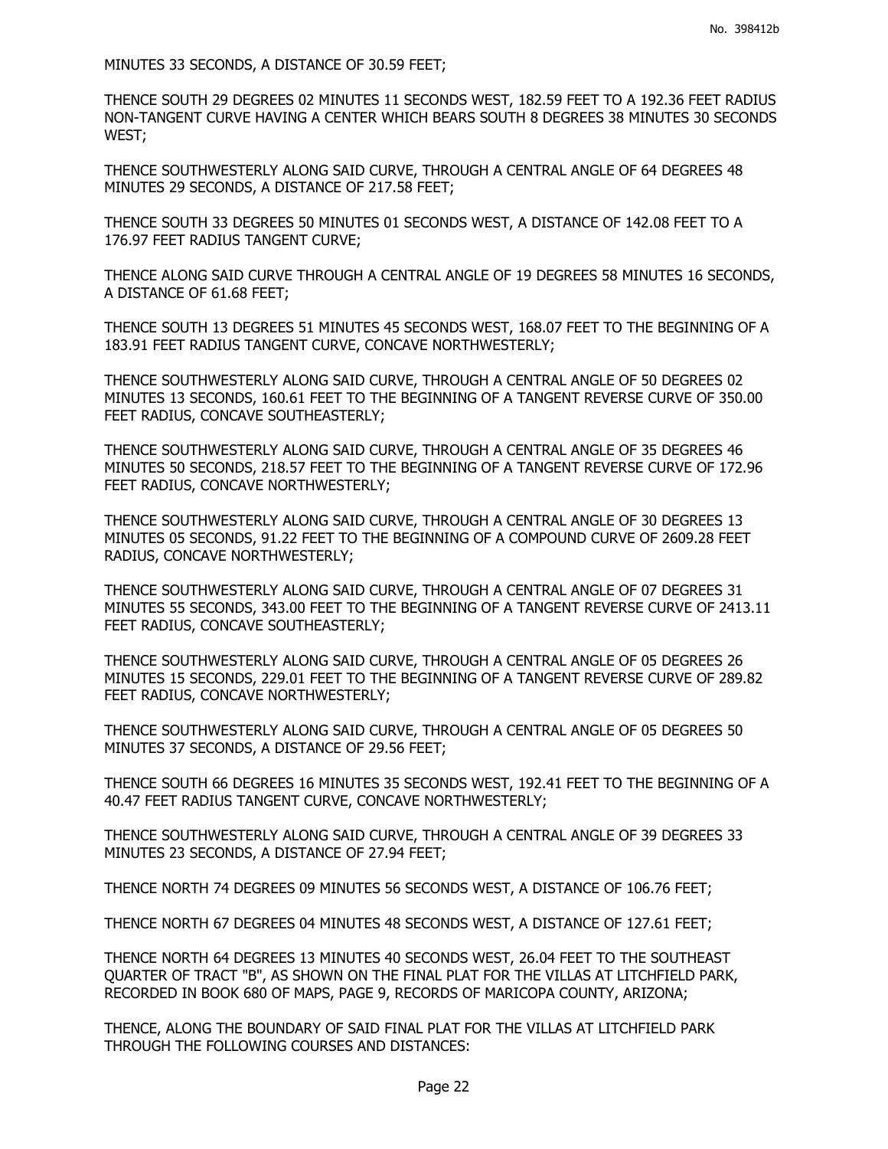MINUTES 33 SECONDS, A DISTANCE OF 30.59 FEET;

THENCE SOUTH 29 DEGREES 02 MINUTES 11 SECONDS WEST, 182.59 FEET TO A 192.36 FEET RADIUS NON-TANGENT CURVE HAVING A CENTER WHICH BEARS SOUTH 8 DEGREES 38 MINUTES 30 SECONDS WEST;

THENCE SOUTHWESTERLY ALONG SAID CURVE, THROUGH A CENTRAL ANGLE OF 64 DEGREES 48 MINUTES 29 SECONDS, A DISTANCE OF 217.58 FEET;

THENCE SOUTH 33 DEGREES 50 MINUTES 01 SECONDS WEST, A DISTANCE OF 142.08 FEET TO A 176.97 FEET RADIUS TANGENT CURVE;

THENCE ALONG SAID CURVE THROUGH A CENTRAL ANGLE OF 19 DEGREES 58 MINUTES 16 SECONDS, A DISTANCE OF 61.68 FEET;

THENCE SOUTH 13 DEGREES 51 MINUTES 45 SECONDS WEST, 168.07 FEET TO THE BEGINNING OF A 183.91 FEET RADIUS TANGENT CURVE, CONCAVE NORTHWESTERLY;

THENCE SOUTHWESTERLY ALONG SAID CURVE, THROUGH A CENTRAL ANGLE OF 50 DEGREES 02 MINUTES 13 SECONDS, 160.61 FEET TO THE BEGINNING OF A TANGENT REVERSE CURVE OF 350.00 FEET RADIUS, CONCAVE SOUTHEASTERLY;

THENCE SOUTHWESTERLY ALONG SAID CURVE, THROUGH A CENTRAL ANGLE OF 35 DEGREES 46 MINUTES 50 SECONDS, 218.57 FEET TO THE BEGINNING OF A TANGENT REVERSE CURVE OF 172.96 FEET RADIUS, CONCAVE NORTHWESTERLY;

THENCE SOUTHWESTERLY ALONG SAID CURVE, THROUGH A CENTRAL ANGLE OF 30 DEGREES 13 MINUTES 05 SECONDS, 91.22 FEET TO THE BEGINNING OF A COMPOUND CURVE OF 2609.28 FEET RADIUS, CONCAVE NORTHWESTERLY;

THENCE SOUTHWESTERLY ALONG SAID CURVE, THROUGH A CENTRAL ANGLE OF 07 DEGREES 31 MINUTES 55 SECONDS, 343.00 FEET TO THE BEGINNING OF A TANGENT REVERSE CURVE OF 2413.11 FEET RADIUS, CONCAVE SOUTHEASTERLY;

THENCE SOUTHWESTERLY ALONG SAID CURVE, THROUGH A CENTRAL ANGLE OF 05 DEGREES 26 MINUTES 15 SECONDS, 229.01 FEET TO THE BEGINNING OF A TANGENT REVERSE CURVE OF 289.82 FEET RADIUS, CONCAVE NORTHWESTERLY;

THENCE SOUTHWESTERLY ALONG SAID CURVE, THROUGH A CENTRAL ANGLE OF 05 DEGREES 50 MINUTES 37 SECONDS, A DISTANCE OF 29.56 FEET;

THENCE SOUTH 66 DEGREES 16 MINUTES 35 SECONDS WEST, 192.41 FEET TO THE BEGINNING OF A 40.47 FEET RADIUS TANGENT CURVE, CONCAVE NORTHWESTERLY;

THENCE SOUTHWESTERLY ALONG SAID CURVE, THROUGH A CENTRAL ANGLE OF 39 DEGREES 33 MINUTES 23 SECONDS, A DISTANCE OF 27.94 FEET;

THENCE NORTH 74 DEGREES 09 MINUTES 56 SECONDS WEST, A DISTANCE OF 106.76 FEET;

THENCE NORTH 67 DEGREES 04 MINUTES 48 SECONDS WEST, A DISTANCE OF 127.61 FEET;

THENCE NORTH 64 DEGREES 13 MINUTES 40 SECONDS WEST, 26.04 FEET TO THE SOUTHEAST QUARTER OF TRACT "B", AS SHOWN ON THE FINAL PLAT FOR THE VILLAS AT LITCHFIELD PARK, RECORDED IN BOOK 680 OF MAPS, PAGE 9, RECORDS OF MARICOPA COUNTY, ARIZONA;

THENCE, ALONG THE BOUNDARY OF SAID FINAL PLAT FOR THE VILLAS AT LITCHFIELD PARK THROUGH THE FOLLOWING COURSES AND DISTANCES: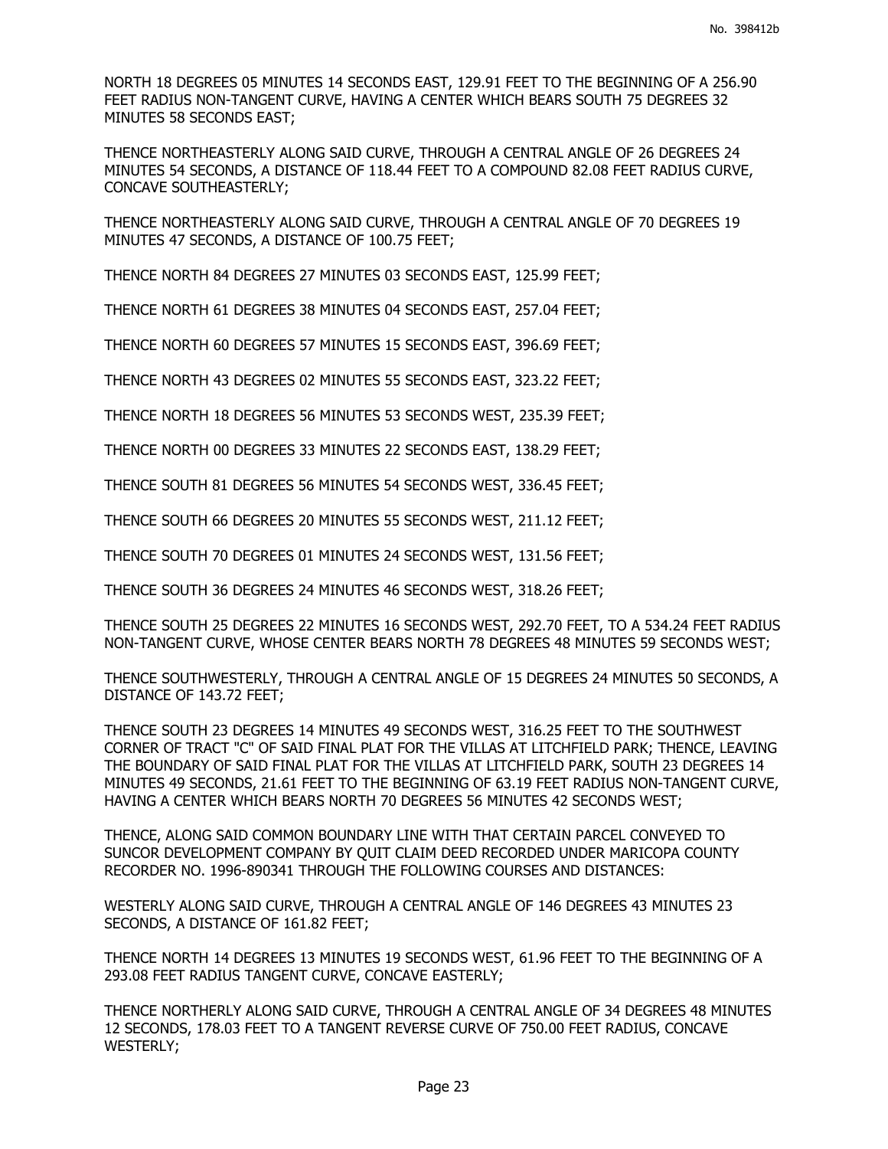NORTH 18 DEGREES 05 MINUTES 14 SECONDS EAST, 129.91 FEET TO THE BEGINNING OF A 256.90 FEET RADIUS NON-TANGENT CURVE, HAVING A CENTER WHICH BEARS SOUTH 75 DEGREES 32 MINUTES 58 SECONDS EAST;

THENCE NORTHEASTERLY ALONG SAID CURVE, THROUGH A CENTRAL ANGLE OF 26 DEGREES 24 MINUTES 54 SECONDS, A DISTANCE OF 118.44 FEET TO A COMPOUND 82.08 FEET RADIUS CURVE, CONCAVE SOUTHEASTERLY;

THENCE NORTHEASTERLY ALONG SAID CURVE, THROUGH A CENTRAL ANGLE OF 70 DEGREES 19 MINUTES 47 SECONDS, A DISTANCE OF 100.75 FEET;

THENCE NORTH 84 DEGREES 27 MINUTES 03 SECONDS EAST, 125.99 FEET;

THENCE NORTH 61 DEGREES 38 MINUTES 04 SECONDS EAST, 257.04 FEET;

THENCE NORTH 60 DEGREES 57 MINUTES 15 SECONDS EAST, 396.69 FEET;

THENCE NORTH 43 DEGREES 02 MINUTES 55 SECONDS EAST, 323.22 FEET;

THENCE NORTH 18 DEGREES 56 MINUTES 53 SECONDS WEST, 235.39 FEET;

THENCE NORTH 00 DEGREES 33 MINUTES 22 SECONDS EAST, 138.29 FEET;

THENCE SOUTH 81 DEGREES 56 MINUTES 54 SECONDS WEST, 336.45 FEET;

THENCE SOUTH 66 DEGREES 20 MINUTES 55 SECONDS WEST, 211.12 FEET;

THENCE SOUTH 70 DEGREES 01 MINUTES 24 SECONDS WEST, 131.56 FEET;

THENCE SOUTH 36 DEGREES 24 MINUTES 46 SECONDS WEST, 318.26 FEET;

THENCE SOUTH 25 DEGREES 22 MINUTES 16 SECONDS WEST, 292.70 FEET, TO A 534.24 FEET RADIUS NON-TANGENT CURVE, WHOSE CENTER BEARS NORTH 78 DEGREES 48 MINUTES 59 SECONDS WEST;

THENCE SOUTHWESTERLY, THROUGH A CENTRAL ANGLE OF 15 DEGREES 24 MINUTES 50 SECONDS, A DISTANCE OF 143.72 FEET;

THENCE SOUTH 23 DEGREES 14 MINUTES 49 SECONDS WEST, 316.25 FEET TO THE SOUTHWEST CORNER OF TRACT "C" OF SAID FINAL PLAT FOR THE VILLAS AT LITCHFIELD PARK; THENCE, LEAVING THE BOUNDARY OF SAID FINAL PLAT FOR THE VILLAS AT LITCHFIELD PARK, SOUTH 23 DEGREES 14 MINUTES 49 SECONDS, 21.61 FEET TO THE BEGINNING OF 63.19 FEET RADIUS NON-TANGENT CURVE, HAVING A CENTER WHICH BEARS NORTH 70 DEGREES 56 MINUTES 42 SECONDS WEST;

THENCE, ALONG SAID COMMON BOUNDARY LINE WITH THAT CERTAIN PARCEL CONVEYED TO SUNCOR DEVELOPMENT COMPANY BY QUIT CLAIM DEED RECORDED UNDER MARICOPA COUNTY RECORDER NO. 1996-890341 THROUGH THE FOLLOWING COURSES AND DISTANCES:

WESTERLY ALONG SAID CURVE, THROUGH A CENTRAL ANGLE OF 146 DEGREES 43 MINUTES 23 SECONDS, A DISTANCE OF 161.82 FEET;

THENCE NORTH 14 DEGREES 13 MINUTES 19 SECONDS WEST, 61.96 FEET TO THE BEGINNING OF A 293.08 FEET RADIUS TANGENT CURVE, CONCAVE EASTERLY;

THENCE NORTHERLY ALONG SAID CURVE, THROUGH A CENTRAL ANGLE OF 34 DEGREES 48 MINUTES 12 SECONDS, 178.03 FEET TO A TANGENT REVERSE CURVE OF 750.00 FEET RADIUS, CONCAVE WESTERLY;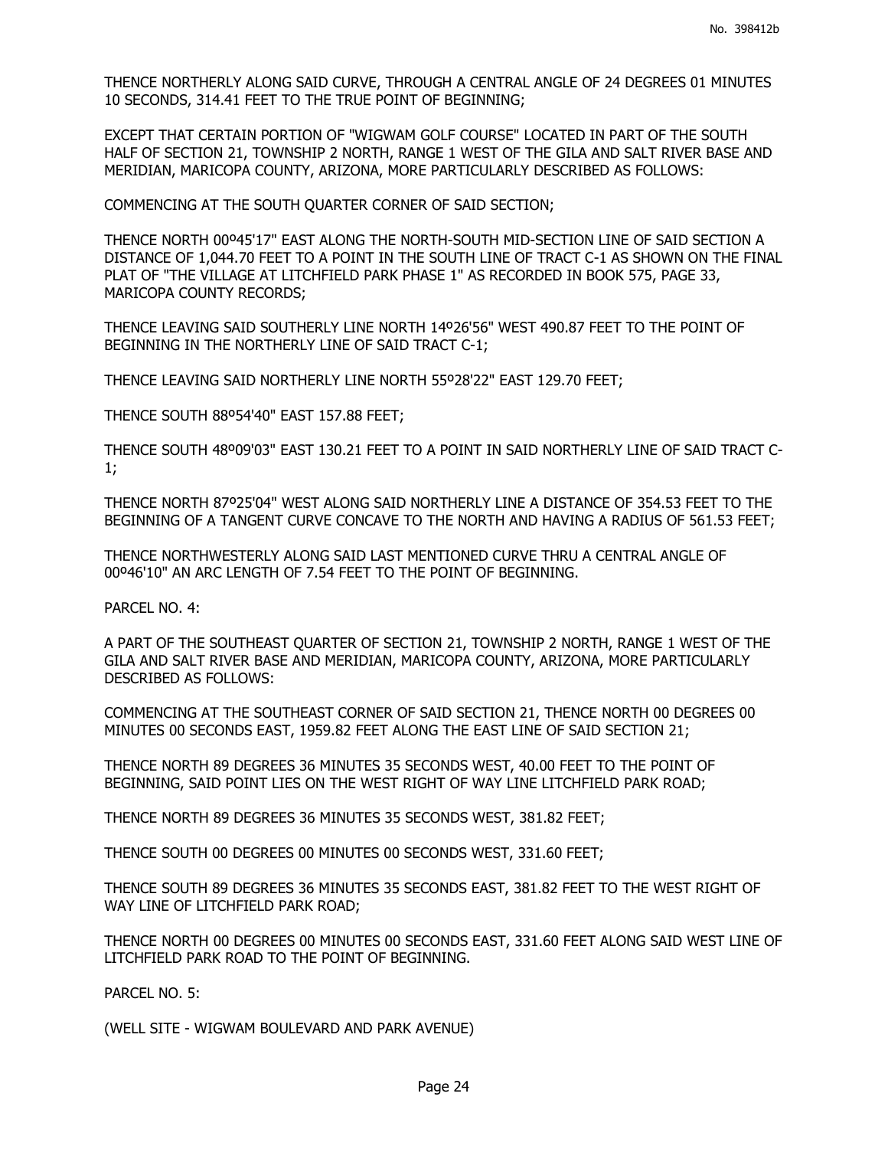THENCE NORTHERLY ALONG SAID CURVE, THROUGH A CENTRAL ANGLE OF 24 DEGREES 01 MINUTES 10 SECONDS, 314.41 FEET TO THE TRUE POINT OF BEGINNING;

EXCEPT THAT CERTAIN PORTION OF "WIGWAM GOLF COURSE" LOCATED IN PART OF THE SOUTH HALF OF SECTION 21, TOWNSHIP 2 NORTH, RANGE 1 WEST OF THE GILA AND SALT RIVER BASE AND MERIDIAN, MARICOPA COUNTY, ARIZONA, MORE PARTICULARLY DESCRIBED AS FOLLOWS:

COMMENCING AT THE SOUTH QUARTER CORNER OF SAID SECTION;

THENCE NORTH 00º45'17" EAST ALONG THE NORTH-SOUTH MID-SECTION LINE OF SAID SECTION A DISTANCE OF 1,044.70 FEET TO A POINT IN THE SOUTH LINE OF TRACT C-1 AS SHOWN ON THE FINAL PLAT OF "THE VILLAGE AT LITCHFIELD PARK PHASE 1" AS RECORDED IN BOOK 575, PAGE 33, MARICOPA COUNTY RECORDS;

THENCE LEAVING SAID SOUTHERLY LINE NORTH 14º26'56" WEST 490.87 FEET TO THE POINT OF BEGINNING IN THE NORTHERLY LINE OF SAID TRACT C-1;

THENCE LEAVING SAID NORTHERLY LINE NORTH 55º28'22" EAST 129.70 FEET;

THENCE SOUTH 88º54'40" EAST 157.88 FEET;

THENCE SOUTH 48º09'03" EAST 130.21 FEET TO A POINT IN SAID NORTHERLY LINE OF SAID TRACT C-1;

THENCE NORTH 87º25'04" WEST ALONG SAID NORTHERLY LINE A DISTANCE OF 354.53 FEET TO THE BEGINNING OF A TANGENT CURVE CONCAVE TO THE NORTH AND HAVING A RADIUS OF 561.53 FEET;

THENCE NORTHWESTERLY ALONG SAID LAST MENTIONED CURVE THRU A CENTRAL ANGLE OF 00º46'10" AN ARC LENGTH OF 7.54 FEET TO THE POINT OF BEGINNING.

PARCEL NO. 4:

A PART OF THE SOUTHEAST QUARTER OF SECTION 21, TOWNSHIP 2 NORTH, RANGE 1 WEST OF THE GILA AND SALT RIVER BASE AND MERIDIAN, MARICOPA COUNTY, ARIZONA, MORE PARTICULARLY DESCRIBED AS FOLLOWS:

COMMENCING AT THE SOUTHEAST CORNER OF SAID SECTION 21, THENCE NORTH 00 DEGREES 00 MINUTES 00 SECONDS EAST, 1959.82 FEET ALONG THE EAST LINE OF SAID SECTION 21;

THENCE NORTH 89 DEGREES 36 MINUTES 35 SECONDS WEST, 40.00 FEET TO THE POINT OF BEGINNING, SAID POINT LIES ON THE WEST RIGHT OF WAY LINE LITCHFIELD PARK ROAD;

THENCE NORTH 89 DEGREES 36 MINUTES 35 SECONDS WEST, 381.82 FEET;

THENCE SOUTH 00 DEGREES 00 MINUTES 00 SECONDS WEST, 331.60 FEET;

THENCE SOUTH 89 DEGREES 36 MINUTES 35 SECONDS EAST, 381.82 FEET TO THE WEST RIGHT OF WAY LINE OF LITCHFIELD PARK ROAD;

THENCE NORTH 00 DEGREES 00 MINUTES 00 SECONDS EAST, 331.60 FEET ALONG SAID WEST LINE OF LITCHFIELD PARK ROAD TO THE POINT OF BEGINNING.

PARCEL NO. 5:

(WELL SITE - WIGWAM BOULEVARD AND PARK AVENUE)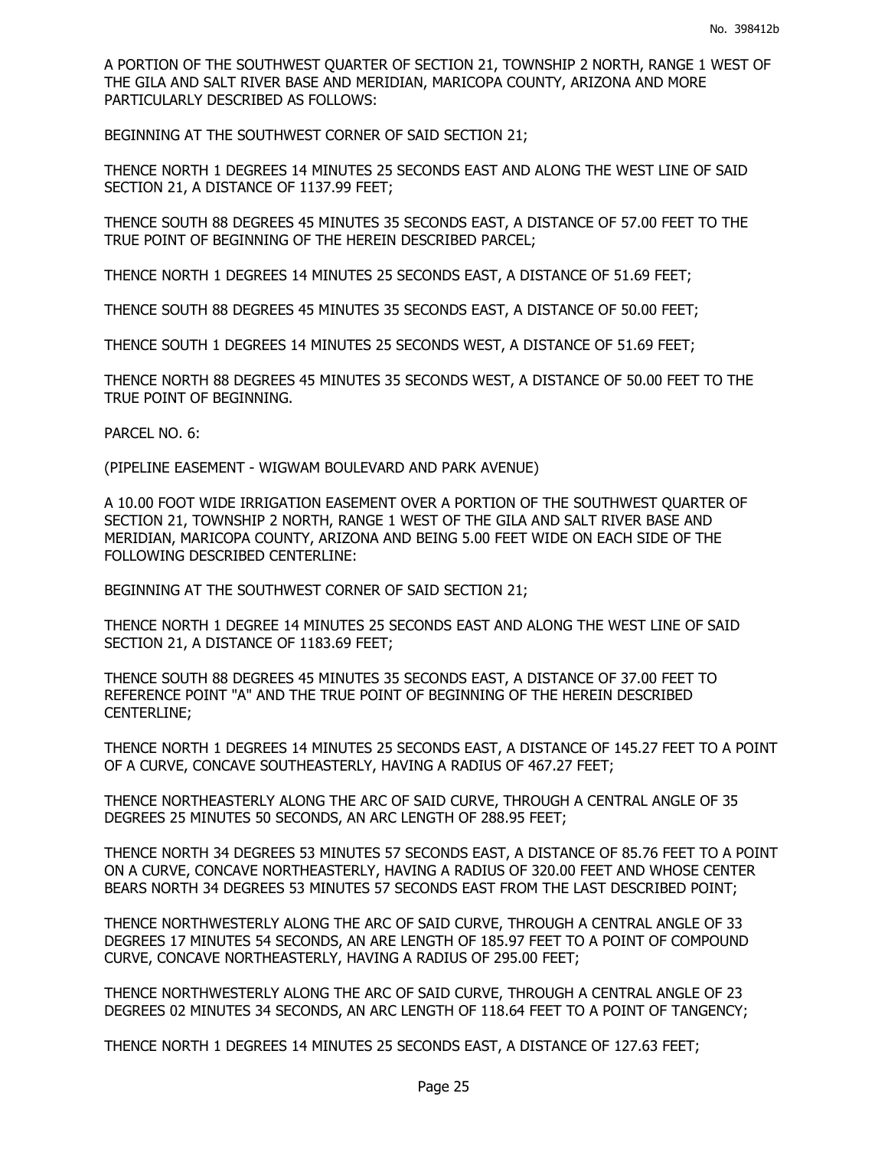A PORTION OF THE SOUTHWEST QUARTER OF SECTION 21, TOWNSHIP 2 NORTH, RANGE 1 WEST OF THE GILA AND SALT RIVER BASE AND MERIDIAN, MARICOPA COUNTY, ARIZONA AND MORE PARTICULARLY DESCRIBED AS FOLLOWS:

BEGINNING AT THE SOUTHWEST CORNER OF SAID SECTION 21;

THENCE NORTH 1 DEGREES 14 MINUTES 25 SECONDS EAST AND ALONG THE WEST LINE OF SAID SECTION 21, A DISTANCE OF 1137.99 FEET;

THENCE SOUTH 88 DEGREES 45 MINUTES 35 SECONDS EAST, A DISTANCE OF 57.00 FEET TO THE TRUE POINT OF BEGINNING OF THE HEREIN DESCRIBED PARCEL;

THENCE NORTH 1 DEGREES 14 MINUTES 25 SECONDS EAST, A DISTANCE OF 51.69 FEET;

THENCE SOUTH 88 DEGREES 45 MINUTES 35 SECONDS EAST, A DISTANCE OF 50.00 FEET;

THENCE SOUTH 1 DEGREES 14 MINUTES 25 SECONDS WEST, A DISTANCE OF 51.69 FEET;

THENCE NORTH 88 DEGREES 45 MINUTES 35 SECONDS WEST, A DISTANCE OF 50.00 FEET TO THE TRUE POINT OF BEGINNING.

PARCEL NO. 6:

(PIPELINE EASEMENT - WIGWAM BOULEVARD AND PARK AVENUE)

A 10.00 FOOT WIDE IRRIGATION EASEMENT OVER A PORTION OF THE SOUTHWEST QUARTER OF SECTION 21, TOWNSHIP 2 NORTH, RANGE 1 WEST OF THE GILA AND SALT RIVER BASE AND MERIDIAN, MARICOPA COUNTY, ARIZONA AND BEING 5.00 FEET WIDE ON EACH SIDE OF THE FOLLOWING DESCRIBED CENTERLINE:

BEGINNING AT THE SOUTHWEST CORNER OF SAID SECTION 21;

THENCE NORTH 1 DEGREE 14 MINUTES 25 SECONDS EAST AND ALONG THE WEST LINE OF SAID SECTION 21, A DISTANCE OF 1183.69 FEET;

THENCE SOUTH 88 DEGREES 45 MINUTES 35 SECONDS EAST, A DISTANCE OF 37.00 FEET TO REFERENCE POINT "A" AND THE TRUE POINT OF BEGINNING OF THE HEREIN DESCRIBED CENTERLINE;

THENCE NORTH 1 DEGREES 14 MINUTES 25 SECONDS EAST, A DISTANCE OF 145.27 FEET TO A POINT OF A CURVE, CONCAVE SOUTHEASTERLY, HAVING A RADIUS OF 467.27 FEET;

THENCE NORTHEASTERLY ALONG THE ARC OF SAID CURVE, THROUGH A CENTRAL ANGLE OF 35 DEGREES 25 MINUTES 50 SECONDS, AN ARC LENGTH OF 288.95 FEET;

THENCE NORTH 34 DEGREES 53 MINUTES 57 SECONDS EAST, A DISTANCE OF 85.76 FEET TO A POINT ON A CURVE, CONCAVE NORTHEASTERLY, HAVING A RADIUS OF 320.00 FEET AND WHOSE CENTER BEARS NORTH 34 DEGREES 53 MINUTES 57 SECONDS EAST FROM THE LAST DESCRIBED POINT;

THENCE NORTHWESTERLY ALONG THE ARC OF SAID CURVE, THROUGH A CENTRAL ANGLE OF 33 DEGREES 17 MINUTES 54 SECONDS, AN ARE LENGTH OF 185.97 FEET TO A POINT OF COMPOUND CURVE, CONCAVE NORTHEASTERLY, HAVING A RADIUS OF 295.00 FEET;

THENCE NORTHWESTERLY ALONG THE ARC OF SAID CURVE, THROUGH A CENTRAL ANGLE OF 23 DEGREES 02 MINUTES 34 SECONDS, AN ARC LENGTH OF 118.64 FEET TO A POINT OF TANGENCY;

THENCE NORTH 1 DEGREES 14 MINUTES 25 SECONDS EAST, A DISTANCE OF 127.63 FEET;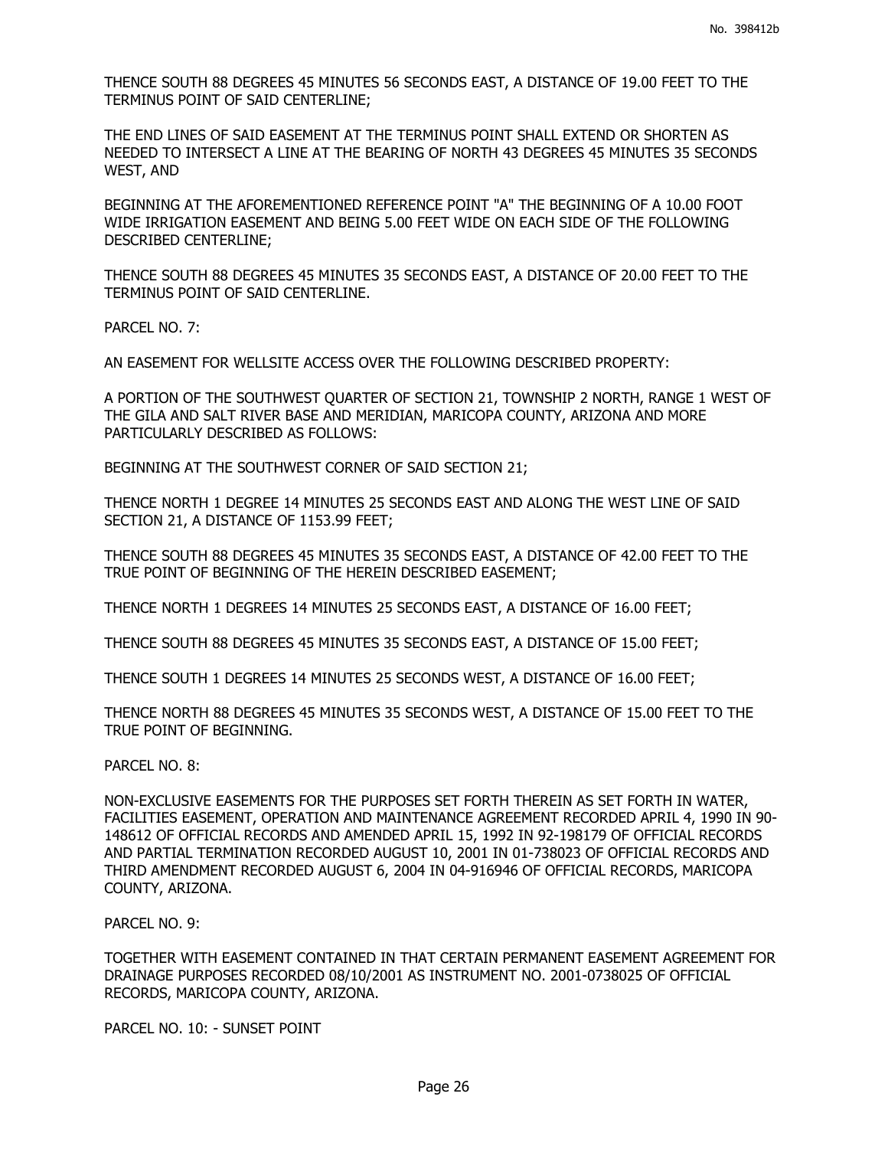THENCE SOUTH 88 DEGREES 45 MINUTES 56 SECONDS EAST, A DISTANCE OF 19.00 FEET TO THE TERMINUS POINT OF SAID CENTERLINE;

THE END LINES OF SAID EASEMENT AT THE TERMINUS POINT SHALL EXTEND OR SHORTEN AS NEEDED TO INTERSECT A LINE AT THE BEARING OF NORTH 43 DEGREES 45 MINUTES 35 SECONDS WEST, AND

BEGINNING AT THE AFOREMENTIONED REFERENCE POINT "A" THE BEGINNING OF A 10.00 FOOT WIDE IRRIGATION EASEMENT AND BEING 5.00 FEET WIDE ON EACH SIDE OF THE FOLLOWING DESCRIBED CENTERLINE;

THENCE SOUTH 88 DEGREES 45 MINUTES 35 SECONDS EAST, A DISTANCE OF 20.00 FEET TO THE TERMINUS POINT OF SAID CENTERLINE.

PARCEL NO. 7:

AN EASEMENT FOR WELLSITE ACCESS OVER THE FOLLOWING DESCRIBED PROPERTY:

A PORTION OF THE SOUTHWEST QUARTER OF SECTION 21, TOWNSHIP 2 NORTH, RANGE 1 WEST OF THE GILA AND SALT RIVER BASE AND MERIDIAN, MARICOPA COUNTY, ARIZONA AND MORE PARTICULARLY DESCRIBED AS FOLLOWS:

BEGINNING AT THE SOUTHWEST CORNER OF SAID SECTION 21;

THENCE NORTH 1 DEGREE 14 MINUTES 25 SECONDS EAST AND ALONG THE WEST LINE OF SAID SECTION 21, A DISTANCE OF 1153.99 FEET;

THENCE SOUTH 88 DEGREES 45 MINUTES 35 SECONDS EAST, A DISTANCE OF 42.00 FEET TO THE TRUE POINT OF BEGINNING OF THE HEREIN DESCRIBED EASEMENT;

THENCE NORTH 1 DEGREES 14 MINUTES 25 SECONDS EAST, A DISTANCE OF 16.00 FEET;

THENCE SOUTH 88 DEGREES 45 MINUTES 35 SECONDS EAST, A DISTANCE OF 15.00 FEET;

THENCE SOUTH 1 DEGREES 14 MINUTES 25 SECONDS WEST, A DISTANCE OF 16.00 FEET;

THENCE NORTH 88 DEGREES 45 MINUTES 35 SECONDS WEST, A DISTANCE OF 15.00 FEET TO THE TRUE POINT OF BEGINNING.

PARCEL NO. 8:

NON-EXCLUSIVE EASEMENTS FOR THE PURPOSES SET FORTH THEREIN AS SET FORTH IN WATER, FACILITIES EASEMENT, OPERATION AND MAINTENANCE AGREEMENT RECORDED APRIL 4, 1990 IN 90- 148612 OF OFFICIAL RECORDS AND AMENDED APRIL 15, 1992 IN 92-198179 OF OFFICIAL RECORDS AND PARTIAL TERMINATION RECORDED AUGUST 10, 2001 IN 01-738023 OF OFFICIAL RECORDS AND THIRD AMENDMENT RECORDED AUGUST 6, 2004 IN 04-916946 OF OFFICIAL RECORDS, MARICOPA COUNTY, ARIZONA.

PARCEL NO. 9:

TOGETHER WITH EASEMENT CONTAINED IN THAT CERTAIN PERMANENT EASEMENT AGREEMENT FOR DRAINAGE PURPOSES RECORDED 08/10/2001 AS INSTRUMENT NO. 2001-0738025 OF OFFICIAL RECORDS, MARICOPA COUNTY, ARIZONA.

PARCEL NO. 10: - SUNSET POINT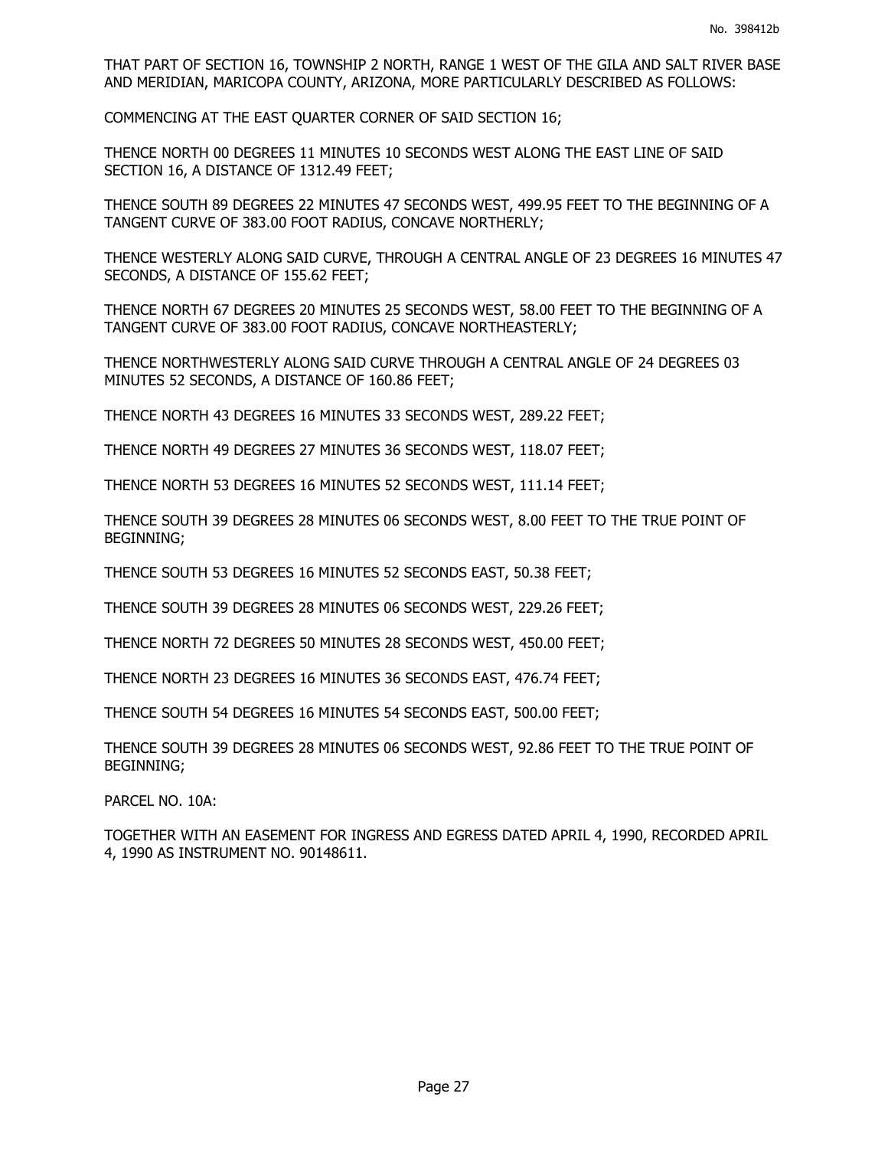THAT PART OF SECTION 16, TOWNSHIP 2 NORTH, RANGE 1 WEST OF THE GILA AND SALT RIVER BASE AND MERIDIAN, MARICOPA COUNTY, ARIZONA, MORE PARTICULARLY DESCRIBED AS FOLLOWS:

COMMENCING AT THE EAST QUARTER CORNER OF SAID SECTION 16;

THENCE NORTH 00 DEGREES 11 MINUTES 10 SECONDS WEST ALONG THE EAST LINE OF SAID SECTION 16, A DISTANCE OF 1312.49 FEET;

THENCE SOUTH 89 DEGREES 22 MINUTES 47 SECONDS WEST, 499.95 FEET TO THE BEGINNING OF A TANGENT CURVE OF 383.00 FOOT RADIUS, CONCAVE NORTHERLY;

THENCE WESTERLY ALONG SAID CURVE, THROUGH A CENTRAL ANGLE OF 23 DEGREES 16 MINUTES 47 SECONDS, A DISTANCE OF 155.62 FEET;

THENCE NORTH 67 DEGREES 20 MINUTES 25 SECONDS WEST, 58.00 FEET TO THE BEGINNING OF A TANGENT CURVE OF 383.00 FOOT RADIUS, CONCAVE NORTHEASTERLY;

THENCE NORTHWESTERLY ALONG SAID CURVE THROUGH A CENTRAL ANGLE OF 24 DEGREES 03 MINUTES 52 SECONDS, A DISTANCE OF 160.86 FEET;

THENCE NORTH 43 DEGREES 16 MINUTES 33 SECONDS WEST, 289.22 FEET;

THENCE NORTH 49 DEGREES 27 MINUTES 36 SECONDS WEST, 118.07 FEET;

THENCE NORTH 53 DEGREES 16 MINUTES 52 SECONDS WEST, 111.14 FEET;

THENCE SOUTH 39 DEGREES 28 MINUTES 06 SECONDS WEST, 8.00 FEET TO THE TRUE POINT OF BEGINNING;

THENCE SOUTH 53 DEGREES 16 MINUTES 52 SECONDS EAST, 50.38 FEET;

THENCE SOUTH 39 DEGREES 28 MINUTES 06 SECONDS WEST, 229.26 FEET;

THENCE NORTH 72 DEGREES 50 MINUTES 28 SECONDS WEST, 450.00 FEET;

THENCE NORTH 23 DEGREES 16 MINUTES 36 SECONDS EAST, 476.74 FEET;

THENCE SOUTH 54 DEGREES 16 MINUTES 54 SECONDS EAST, 500.00 FEET;

THENCE SOUTH 39 DEGREES 28 MINUTES 06 SECONDS WEST, 92.86 FEET TO THE TRUE POINT OF BEGINNING;

PARCEL NO. 10A:

TOGETHER WITH AN EASEMENT FOR INGRESS AND EGRESS DATED APRIL 4, 1990, RECORDED APRIL 4, 1990 AS INSTRUMENT NO. 90148611.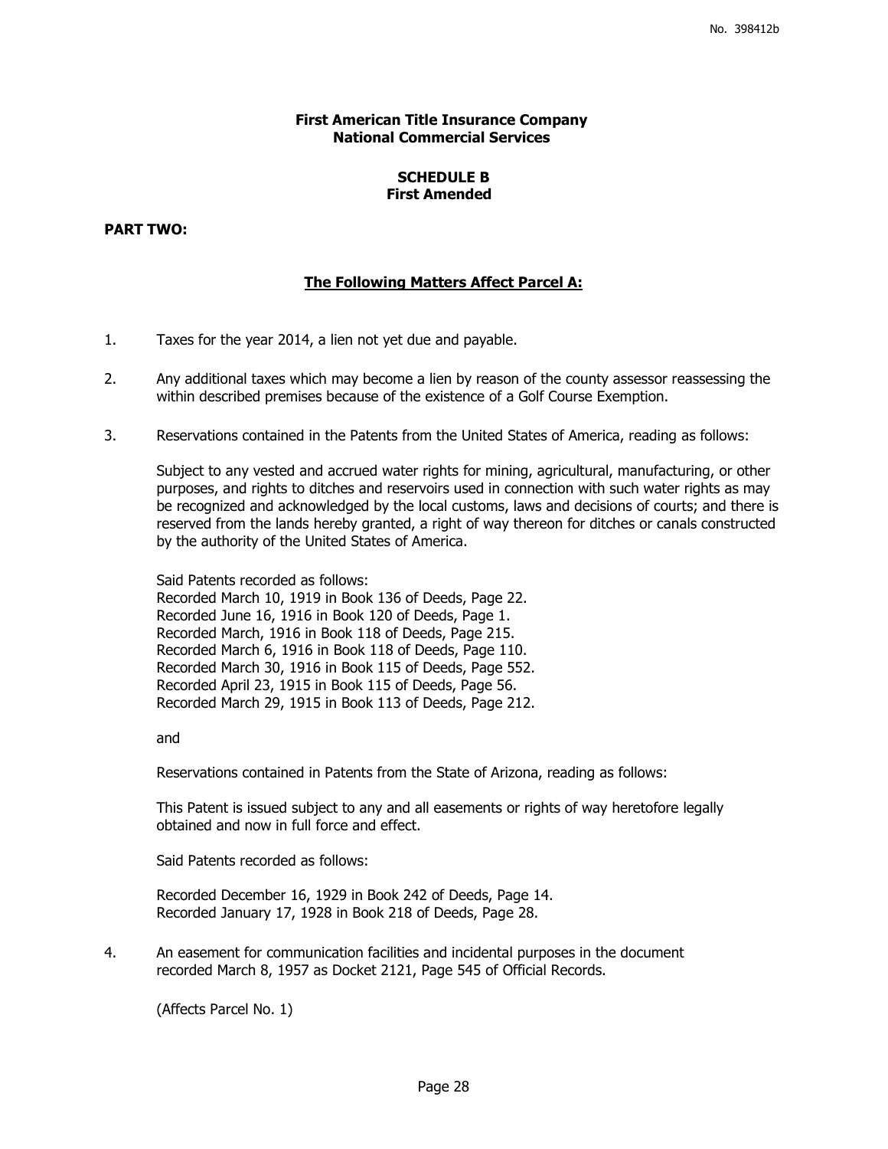## **First American Title Insurance Company National Commercial Services**

## **SCHEDULE B First Amended**

## **PART TWO:**

## **The Following Matters Affect Parcel A:**

- 1. Taxes for the year 2014, a lien not yet due and payable.
- 2. Any additional taxes which may become a lien by reason of the county assessor reassessing the within described premises because of the existence of a Golf Course Exemption.
- 3. Reservations contained in the Patents from the United States of America, reading as follows:

Subject to any vested and accrued water rights for mining, agricultural, manufacturing, or other purposes, and rights to ditches and reservoirs used in connection with such water rights as may be recognized and acknowledged by the local customs, laws and decisions of courts; and there is reserved from the lands hereby granted, a right of way thereon for ditches or canals constructed by the authority of the United States of America.

Said Patents recorded as follows: Recorded March 10, 1919 in Book 136 of Deeds, Page 22. Recorded June 16, 1916 in Book 120 of Deeds, Page 1. Recorded March, 1916 in Book 118 of Deeds, Page 215. Recorded March 6, 1916 in Book 118 of Deeds, Page 110. Recorded March 30, 1916 in Book 115 of Deeds, Page 552. Recorded April 23, 1915 in Book 115 of Deeds, Page 56. Recorded March 29, 1915 in Book 113 of Deeds, Page 212.

and

Reservations contained in Patents from the State of Arizona, reading as follows:

This Patent is issued subject to any and all easements or rights of way heretofore legally obtained and now in full force and effect.

Said Patents recorded as follows:

Recorded December 16, 1929 in Book 242 of Deeds, Page 14. Recorded January 17, 1928 in Book 218 of Deeds, Page 28.

4. An easement for communication facilities and incidental purposes in the document recorded March 8, 1957 as Docket 2121, Page 545 of Official Records.

(Affects Parcel No. 1)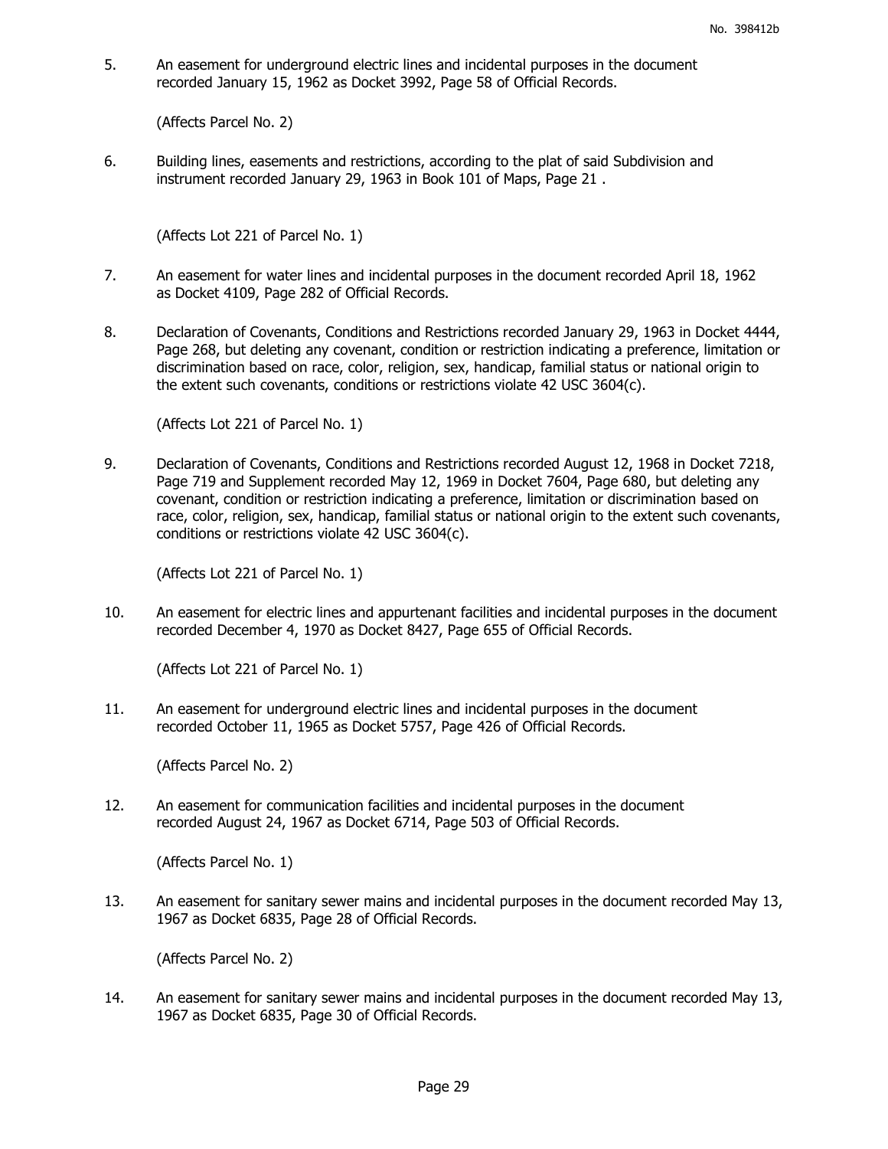5. An easement for underground electric lines and incidental purposes in the document recorded January 15, 1962 as Docket 3992, Page 58 of Official Records.

(Affects Parcel No. 2)

6. Building lines, easements and restrictions, according to the plat of said Subdivision and instrument recorded January 29, 1963 in Book 101 of Maps, Page 21 .

(Affects Lot 221 of Parcel No. 1)

- 7. An easement for water lines and incidental purposes in the document recorded April 18, 1962 as Docket 4109, Page 282 of Official Records.
- 8. Declaration of Covenants, Conditions and Restrictions recorded January 29, 1963 in Docket 4444, Page 268, but deleting any covenant, condition or restriction indicating a preference, limitation or discrimination based on race, color, religion, sex, handicap, familial status or national origin to the extent such covenants, conditions or restrictions violate 42 USC 3604(c).

(Affects Lot 221 of Parcel No. 1)

9. Declaration of Covenants, Conditions and Restrictions recorded August 12, 1968 in Docket 7218, Page 719 and Supplement recorded May 12, 1969 in Docket 7604, Page 680, but deleting any covenant, condition or restriction indicating a preference, limitation or discrimination based on race, color, religion, sex, handicap, familial status or national origin to the extent such covenants, conditions or restrictions violate 42 USC 3604(c).

(Affects Lot 221 of Parcel No. 1)

10. An easement for electric lines and appurtenant facilities and incidental purposes in the document recorded December 4, 1970 as Docket 8427, Page 655 of Official Records.

(Affects Lot 221 of Parcel No. 1)

11. An easement for underground electric lines and incidental purposes in the document recorded October 11, 1965 as Docket 5757, Page 426 of Official Records.

(Affects Parcel No. 2)

12. An easement for communication facilities and incidental purposes in the document recorded August 24, 1967 as Docket 6714, Page 503 of Official Records.

(Affects Parcel No. 1)

13. An easement for sanitary sewer mains and incidental purposes in the document recorded May 13, 1967 as Docket 6835, Page 28 of Official Records.

(Affects Parcel No. 2)

14. An easement for sanitary sewer mains and incidental purposes in the document recorded May 13, 1967 as Docket 6835, Page 30 of Official Records.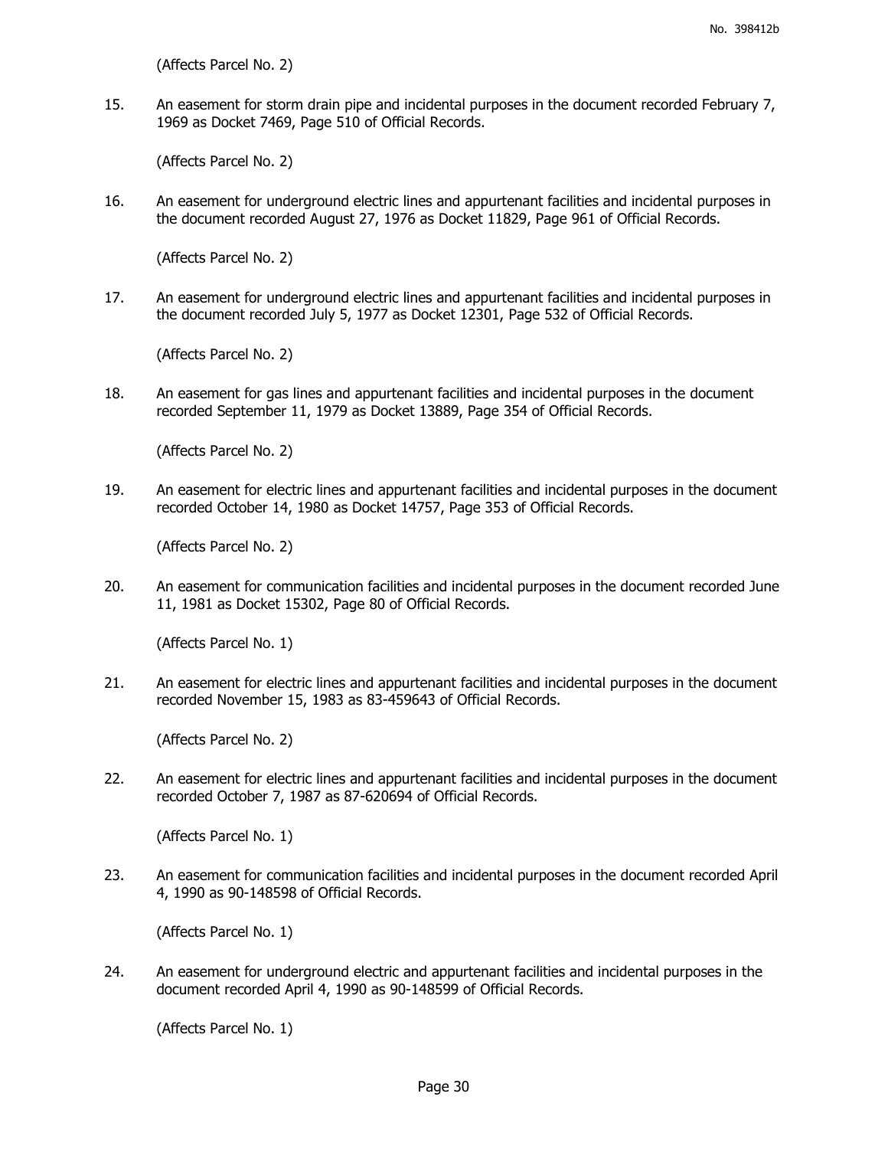(Affects Parcel No. 2)

15. An easement for storm drain pipe and incidental purposes in the document recorded February 7, 1969 as Docket 7469, Page 510 of Official Records.

(Affects Parcel No. 2)

16. An easement for underground electric lines and appurtenant facilities and incidental purposes in the document recorded August 27, 1976 as Docket 11829, Page 961 of Official Records.

(Affects Parcel No. 2)

17. An easement for underground electric lines and appurtenant facilities and incidental purposes in the document recorded July 5, 1977 as Docket 12301, Page 532 of Official Records.

(Affects Parcel No. 2)

18. An easement for gas lines and appurtenant facilities and incidental purposes in the document recorded September 11, 1979 as Docket 13889, Page 354 of Official Records.

(Affects Parcel No. 2)

19. An easement for electric lines and appurtenant facilities and incidental purposes in the document recorded October 14, 1980 as Docket 14757, Page 353 of Official Records.

(Affects Parcel No. 2)

20. An easement for communication facilities and incidental purposes in the document recorded June 11, 1981 as Docket 15302, Page 80 of Official Records.

(Affects Parcel No. 1)

21. An easement for electric lines and appurtenant facilities and incidental purposes in the document recorded November 15, 1983 as 83-459643 of Official Records.

(Affects Parcel No. 2)

22. An easement for electric lines and appurtenant facilities and incidental purposes in the document recorded October 7, 1987 as 87-620694 of Official Records.

(Affects Parcel No. 1)

23. An easement for communication facilities and incidental purposes in the document recorded April 4, 1990 as 90-148598 of Official Records.

(Affects Parcel No. 1)

24. An easement for underground electric and appurtenant facilities and incidental purposes in the document recorded April 4, 1990 as 90-148599 of Official Records.

(Affects Parcel No. 1)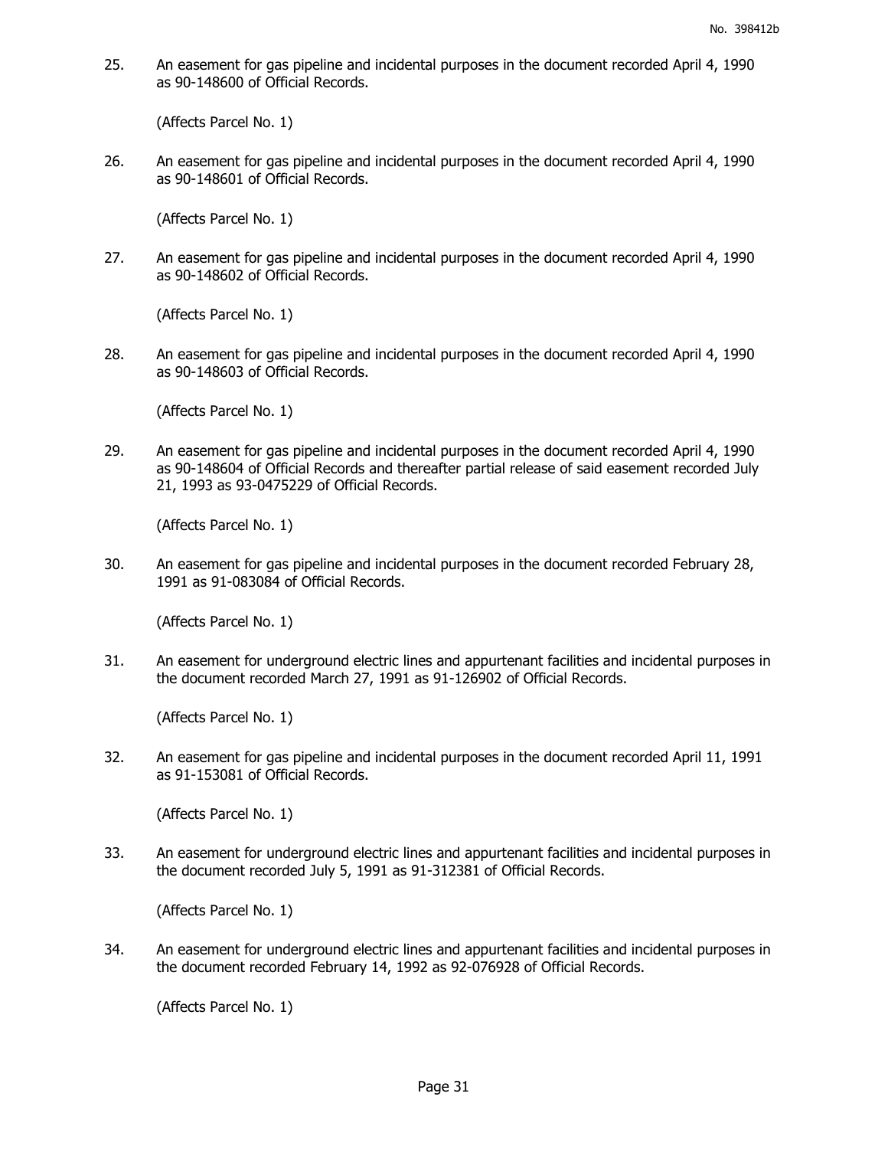25. An easement for gas pipeline and incidental purposes in the document recorded April 4, 1990 as 90-148600 of Official Records.

(Affects Parcel No. 1)

26. An easement for gas pipeline and incidental purposes in the document recorded April 4, 1990 as 90-148601 of Official Records.

(Affects Parcel No. 1)

27. An easement for gas pipeline and incidental purposes in the document recorded April 4, 1990 as 90-148602 of Official Records.

(Affects Parcel No. 1)

28. An easement for gas pipeline and incidental purposes in the document recorded April 4, 1990 as 90-148603 of Official Records.

(Affects Parcel No. 1)

29. An easement for gas pipeline and incidental purposes in the document recorded April 4, 1990 as 90-148604 of Official Records and thereafter partial release of said easement recorded July 21, 1993 as 93-0475229 of Official Records.

(Affects Parcel No. 1)

30. An easement for gas pipeline and incidental purposes in the document recorded February 28, 1991 as 91-083084 of Official Records.

(Affects Parcel No. 1)

31. An easement for underground electric lines and appurtenant facilities and incidental purposes in the document recorded March 27, 1991 as 91-126902 of Official Records.

(Affects Parcel No. 1)

32. An easement for gas pipeline and incidental purposes in the document recorded April 11, 1991 as 91-153081 of Official Records.

(Affects Parcel No. 1)

33. An easement for underground electric lines and appurtenant facilities and incidental purposes in the document recorded July 5, 1991 as 91-312381 of Official Records.

(Affects Parcel No. 1)

34. An easement for underground electric lines and appurtenant facilities and incidental purposes in the document recorded February 14, 1992 as 92-076928 of Official Records.

(Affects Parcel No. 1)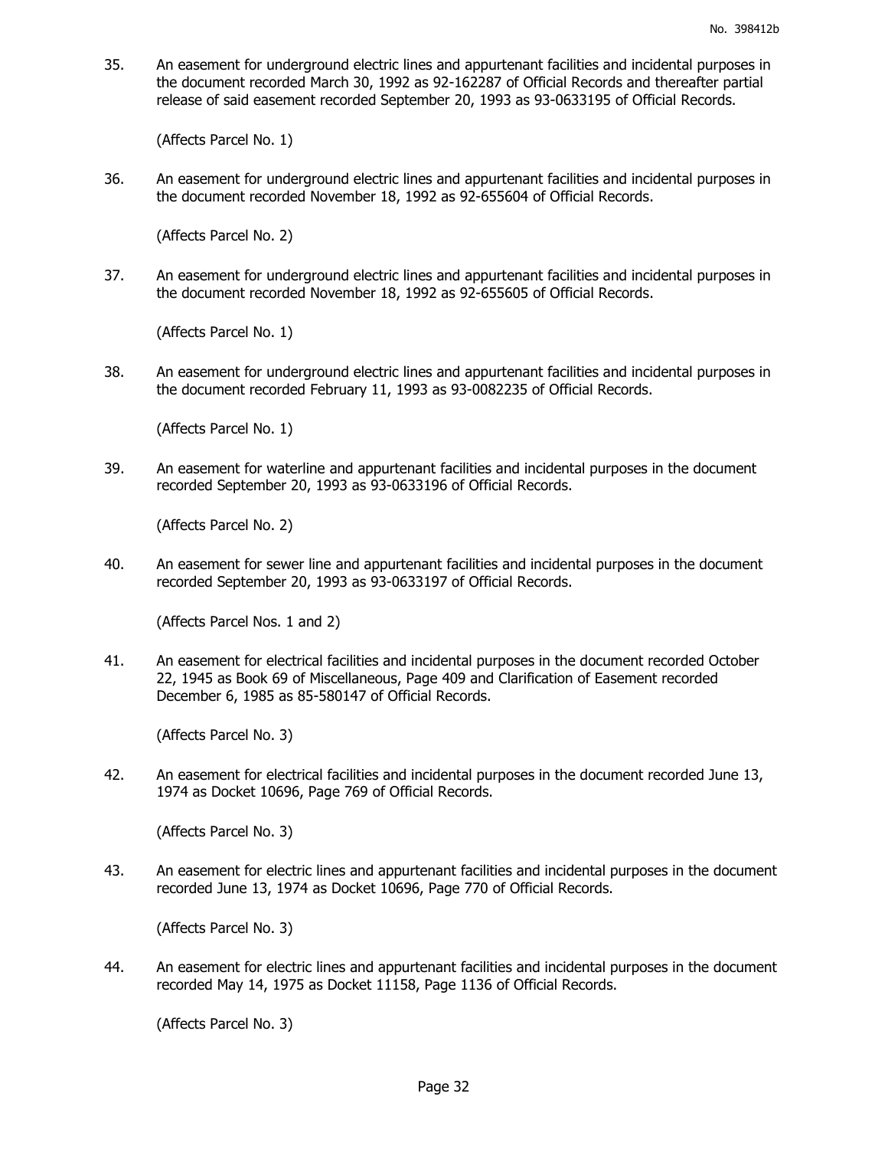35. An easement for underground electric lines and appurtenant facilities and incidental purposes in the document recorded March 30, 1992 as 92-162287 of Official Records and thereafter partial release of said easement recorded September 20, 1993 as 93-0633195 of Official Records.

(Affects Parcel No. 1)

36. An easement for underground electric lines and appurtenant facilities and incidental purposes in the document recorded November 18, 1992 as 92-655604 of Official Records.

(Affects Parcel No. 2)

37. An easement for underground electric lines and appurtenant facilities and incidental purposes in the document recorded November 18, 1992 as 92-655605 of Official Records.

(Affects Parcel No. 1)

38. An easement for underground electric lines and appurtenant facilities and incidental purposes in the document recorded February 11, 1993 as 93-0082235 of Official Records.

(Affects Parcel No. 1)

39. An easement for waterline and appurtenant facilities and incidental purposes in the document recorded September 20, 1993 as 93-0633196 of Official Records.

(Affects Parcel No. 2)

40. An easement for sewer line and appurtenant facilities and incidental purposes in the document recorded September 20, 1993 as 93-0633197 of Official Records.

(Affects Parcel Nos. 1 and 2)

41. An easement for electrical facilities and incidental purposes in the document recorded October 22, 1945 as Book 69 of Miscellaneous, Page 409 and Clarification of Easement recorded December 6, 1985 as 85-580147 of Official Records.

(Affects Parcel No. 3)

42. An easement for electrical facilities and incidental purposes in the document recorded June 13, 1974 as Docket 10696, Page 769 of Official Records.

(Affects Parcel No. 3)

43. An easement for electric lines and appurtenant facilities and incidental purposes in the document recorded June 13, 1974 as Docket 10696, Page 770 of Official Records.

(Affects Parcel No. 3)

44. An easement for electric lines and appurtenant facilities and incidental purposes in the document recorded May 14, 1975 as Docket 11158, Page 1136 of Official Records.

(Affects Parcel No. 3)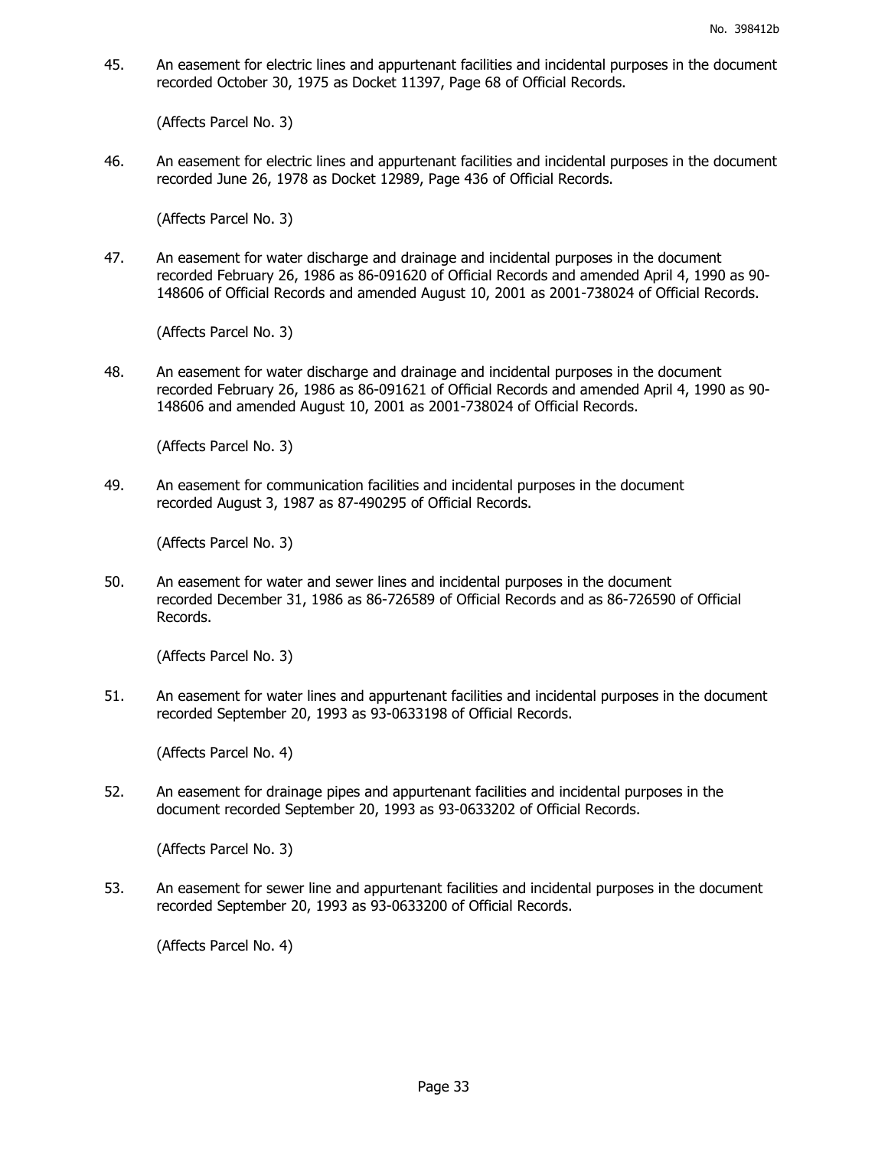45. An easement for electric lines and appurtenant facilities and incidental purposes in the document recorded October 30, 1975 as Docket 11397, Page 68 of Official Records.

(Affects Parcel No. 3)

46. An easement for electric lines and appurtenant facilities and incidental purposes in the document recorded June 26, 1978 as Docket 12989, Page 436 of Official Records.

(Affects Parcel No. 3)

47. An easement for water discharge and drainage and incidental purposes in the document recorded February 26, 1986 as 86-091620 of Official Records and amended April 4, 1990 as 90- 148606 of Official Records and amended August 10, 2001 as 2001-738024 of Official Records.

(Affects Parcel No. 3)

48. An easement for water discharge and drainage and incidental purposes in the document recorded February 26, 1986 as 86-091621 of Official Records and amended April 4, 1990 as 90- 148606 and amended August 10, 2001 as 2001-738024 of Official Records.

(Affects Parcel No. 3)

49. An easement for communication facilities and incidental purposes in the document recorded August 3, 1987 as 87-490295 of Official Records.

(Affects Parcel No. 3)

50. An easement for water and sewer lines and incidental purposes in the document recorded December 31, 1986 as 86-726589 of Official Records and as 86-726590 of Official Records.

(Affects Parcel No. 3)

51. An easement for water lines and appurtenant facilities and incidental purposes in the document recorded September 20, 1993 as 93-0633198 of Official Records.

(Affects Parcel No. 4)

52. An easement for drainage pipes and appurtenant facilities and incidental purposes in the document recorded September 20, 1993 as 93-0633202 of Official Records.

(Affects Parcel No. 3)

53. An easement for sewer line and appurtenant facilities and incidental purposes in the document recorded September 20, 1993 as 93-0633200 of Official Records.

(Affects Parcel No. 4)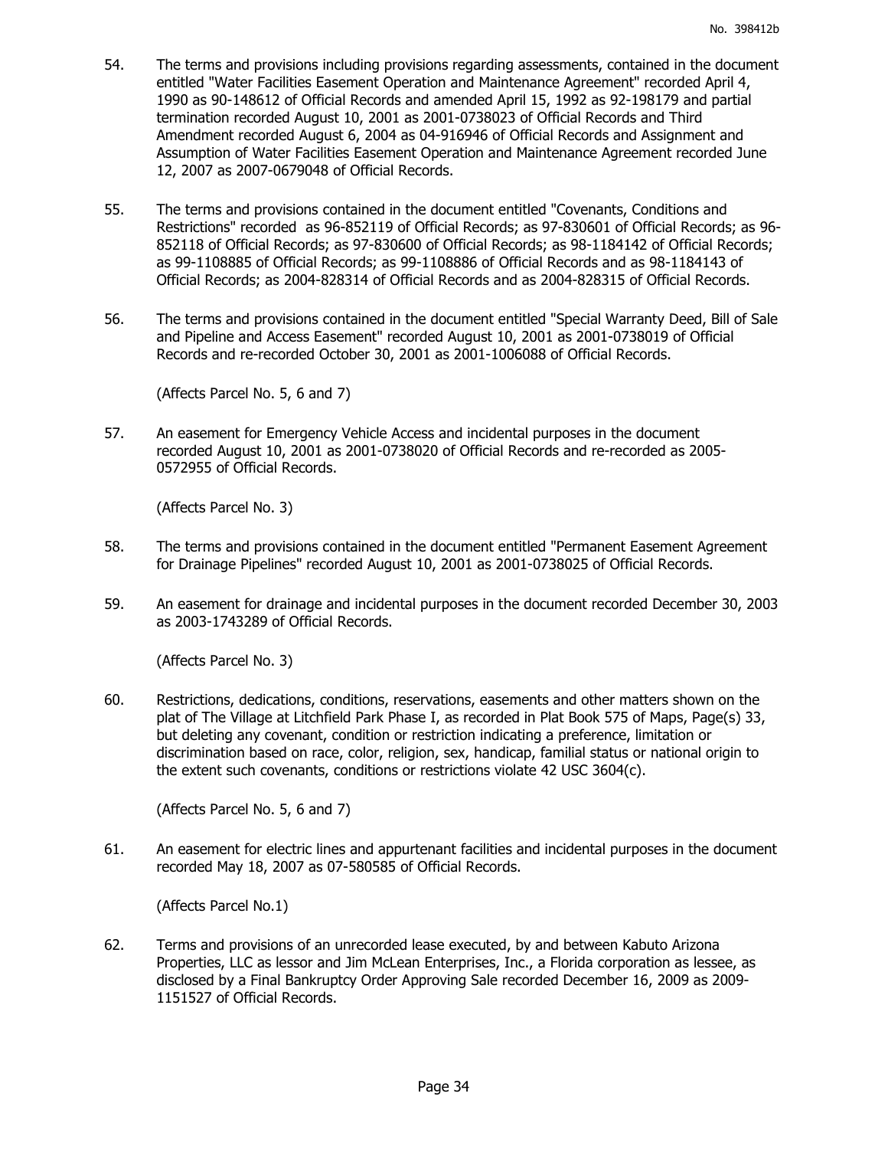- 54. The terms and provisions including provisions regarding assessments, contained in the document entitled "Water Facilities Easement Operation and Maintenance Agreement" recorded April 4, 1990 as 90-148612 of Official Records and amended April 15, 1992 as 92-198179 and partial termination recorded August 10, 2001 as 2001-0738023 of Official Records and Third Amendment recorded August 6, 2004 as 04-916946 of Official Records and Assignment and Assumption of Water Facilities Easement Operation and Maintenance Agreement recorded June 12, 2007 as 2007-0679048 of Official Records.
- 55. The terms and provisions contained in the document entitled "Covenants, Conditions and Restrictions" recorded as 96-852119 of Official Records; as 97-830601 of Official Records; as 96- 852118 of Official Records; as 97-830600 of Official Records; as 98-1184142 of Official Records; as 99-1108885 of Official Records; as 99-1108886 of Official Records and as 98-1184143 of Official Records; as 2004-828314 of Official Records and as 2004-828315 of Official Records.
- 56. The terms and provisions contained in the document entitled "Special Warranty Deed, Bill of Sale and Pipeline and Access Easement" recorded August 10, 2001 as 2001-0738019 of Official Records and re-recorded October 30, 2001 as 2001-1006088 of Official Records.

(Affects Parcel No. 5, 6 and 7)

57. An easement for Emergency Vehicle Access and incidental purposes in the document recorded August 10, 2001 as 2001-0738020 of Official Records and re-recorded as 2005- 0572955 of Official Records.

(Affects Parcel No. 3)

- 58. The terms and provisions contained in the document entitled "Permanent Easement Agreement for Drainage Pipelines" recorded August 10, 2001 as 2001-0738025 of Official Records.
- 59. An easement for drainage and incidental purposes in the document recorded December 30, 2003 as 2003-1743289 of Official Records.

(Affects Parcel No. 3)

60. Restrictions, dedications, conditions, reservations, easements and other matters shown on the plat of The Village at Litchfield Park Phase I, as recorded in Plat Book 575 of Maps, Page(s) 33, but deleting any covenant, condition or restriction indicating a preference, limitation or discrimination based on race, color, religion, sex, handicap, familial status or national origin to the extent such covenants, conditions or restrictions violate 42 USC 3604(c).

(Affects Parcel No. 5, 6 and 7)

61. An easement for electric lines and appurtenant facilities and incidental purposes in the document recorded May 18, 2007 as 07-580585 of Official Records.

(Affects Parcel No.1)

62. Terms and provisions of an unrecorded lease executed, by and between Kabuto Arizona Properties, LLC as lessor and Jim McLean Enterprises, Inc., a Florida corporation as lessee, as disclosed by a Final Bankruptcy Order Approving Sale recorded December 16, 2009 as 2009- 1151527 of Official Records.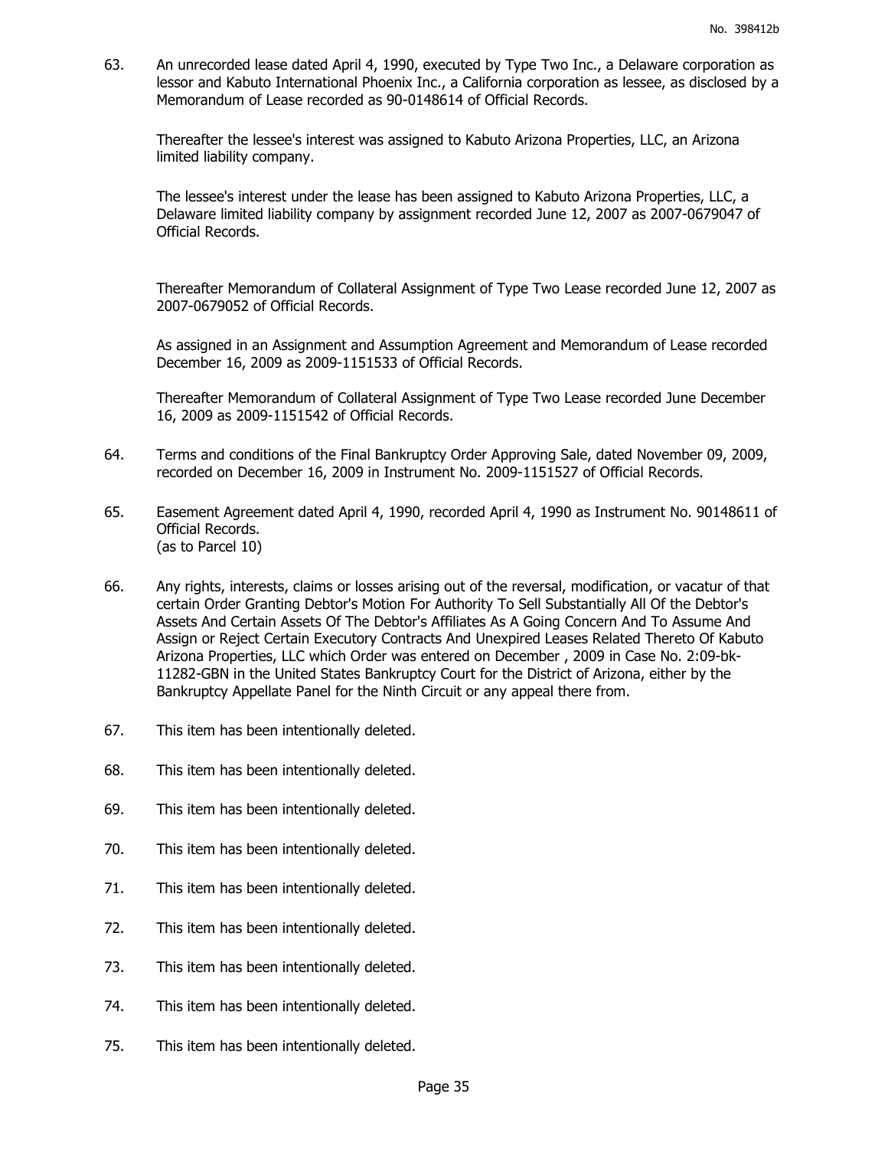63. An unrecorded lease dated April 4, 1990, executed by Type Two Inc., a Delaware corporation as lessor and Kabuto International Phoenix Inc., a California corporation as lessee, as disclosed by a Memorandum of Lease recorded as 90-0148614 of Official Records.

Thereafter the lessee's interest was assigned to Kabuto Arizona Properties, LLC, an Arizona limited liability company.

The lessee's interest under the lease has been assigned to Kabuto Arizona Properties, LLC, a Delaware limited liability company by assignment recorded June 12, 2007 as 2007-0679047 of Official Records.

Thereafter Memorandum of Collateral Assignment of Type Two Lease recorded June 12, 2007 as 2007-0679052 of Official Records.

As assigned in an Assignment and Assumption Agreement and Memorandum of Lease recorded December 16, 2009 as 2009-1151533 of Official Records.

Thereafter Memorandum of Collateral Assignment of Type Two Lease recorded June December 16, 2009 as 2009-1151542 of Official Records.

- 64. Terms and conditions of the Final Bankruptcy Order Approving Sale, dated November 09, 2009, recorded on December 16, 2009 in Instrument No. 2009-1151527 of Official Records.
- 65. Easement Agreement dated April 4, 1990, recorded April 4, 1990 as Instrument No. 90148611 of Official Records. (as to Parcel 10)
- 66. Any rights, interests, claims or losses arising out of the reversal, modification, or vacatur of that certain Order Granting Debtor's Motion For Authority To Sell Substantially All Of the Debtor's Assets And Certain Assets Of The Debtor's Affiliates As A Going Concern And To Assume And Assign or Reject Certain Executory Contracts And Unexpired Leases Related Thereto Of Kabuto Arizona Properties, LLC which Order was entered on December , 2009 in Case No. 2:09-bk-11282-GBN in the United States Bankruptcy Court for the District of Arizona, either by the Bankruptcy Appellate Panel for the Ninth Circuit or any appeal there from.
- 67. This item has been intentionally deleted.
- 68. This item has been intentionally deleted.
- 69. This item has been intentionally deleted.
- 70. This item has been intentionally deleted.
- 71. This item has been intentionally deleted.
- 72. This item has been intentionally deleted.
- 73. This item has been intentionally deleted.
- 74. This item has been intentionally deleted.
- 75. This item has been intentionally deleted.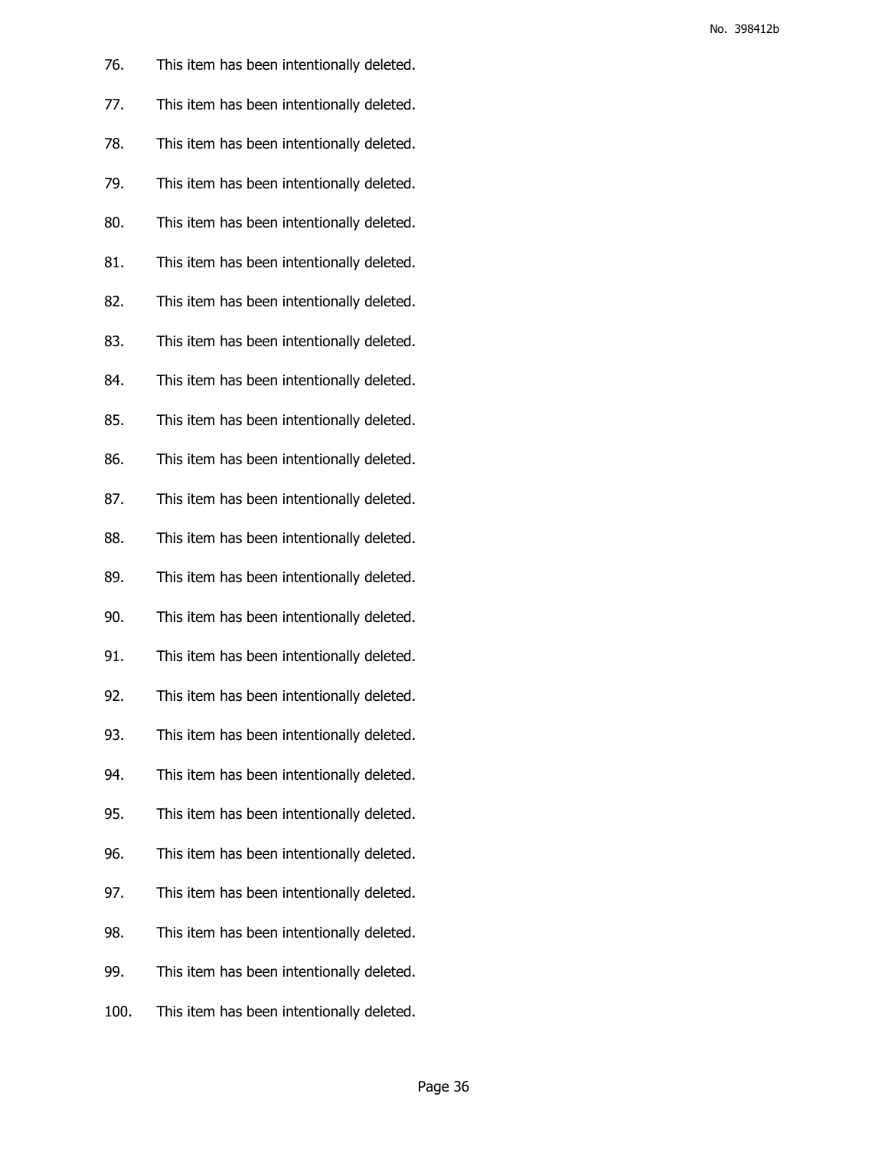| 76.  | This item has been intentionally deleted. |
|------|-------------------------------------------|
| 77.  | This item has been intentionally deleted. |
| 78.  | This item has been intentionally deleted. |
| 79.  | This item has been intentionally deleted. |
| 80.  | This item has been intentionally deleted. |
| 81.  | This item has been intentionally deleted. |
| 82.  | This item has been intentionally deleted. |
| 83.  | This item has been intentionally deleted. |
| 84.  | This item has been intentionally deleted. |
| 85.  | This item has been intentionally deleted. |
| 86.  | This item has been intentionally deleted. |
| 87.  | This item has been intentionally deleted. |
| 88.  | This item has been intentionally deleted. |
| 89.  | This item has been intentionally deleted. |
| 90.  | This item has been intentionally deleted. |
| 91.  | This item has been intentionally deleted. |
| 92.  | This item has been intentionally deleted. |
| 93.  | This item has been intentionally deleted. |
| 94.  | This item has been intentionally deleted. |
| 95.  | This item has been intentionally deleted. |
| 96.  | This item has been intentionally deleted. |
| 97.  | This item has been intentionally deleted. |
| 98.  | This item has been intentionally deleted. |
| 99.  | This item has been intentionally deleted. |
| 100. | This item has been intentionally deleted. |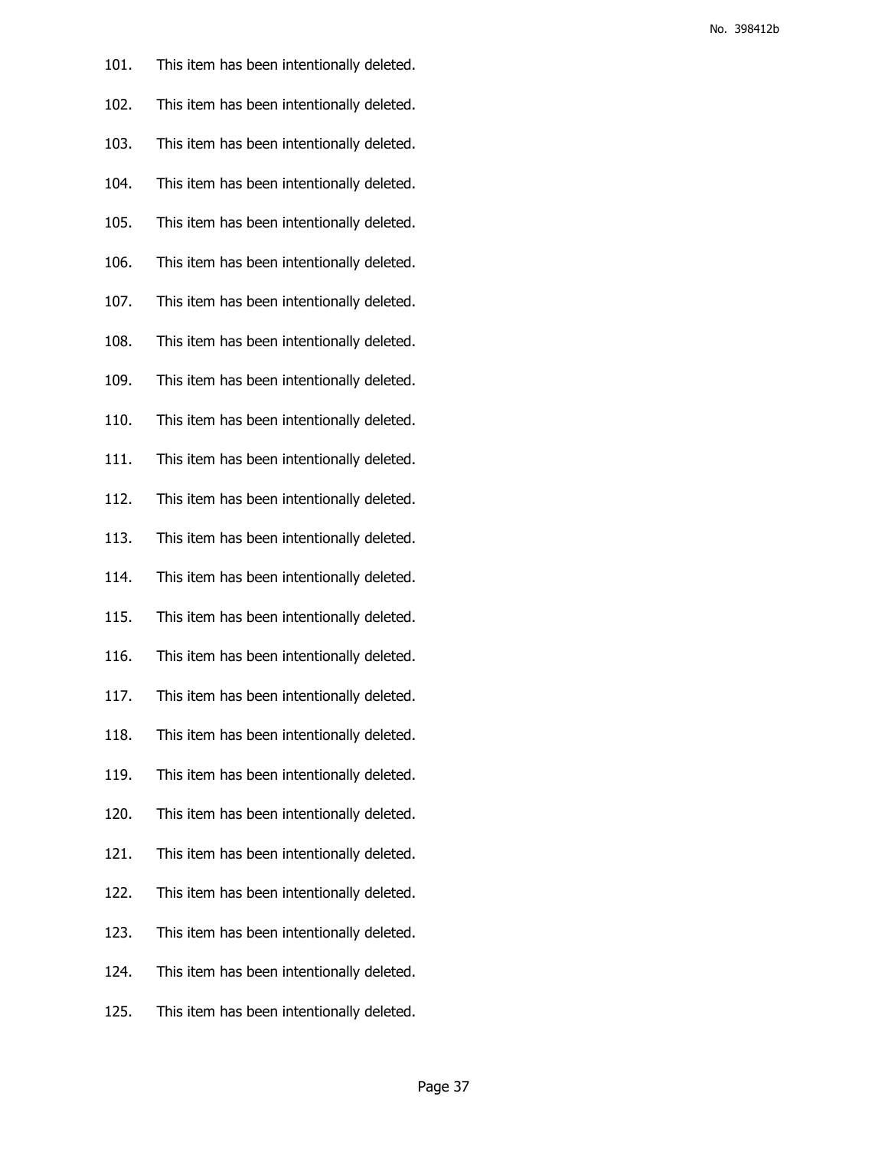| 101. | This item has been intentionally deleted. |
|------|-------------------------------------------|
| 102. | This item has been intentionally deleted. |
| 103. | This item has been intentionally deleted. |
| 104. | This item has been intentionally deleted. |
| 105. | This item has been intentionally deleted. |
| 106. | This item has been intentionally deleted. |
| 107. | This item has been intentionally deleted. |
| 108. | This item has been intentionally deleted. |
| 109. | This item has been intentionally deleted. |
| 110. | This item has been intentionally deleted. |
| 111. | This item has been intentionally deleted. |
| 112. | This item has been intentionally deleted. |
| 113. | This item has been intentionally deleted. |
| 114. | This item has been intentionally deleted. |
| 115. | This item has been intentionally deleted. |
| 116. | This item has been intentionally deleted. |
| 117. | This item has been intentionally deleted. |
| 118. | This item has been intentionally deleted. |
| 119. | This item has been intentionally deleted. |
| 120. | This item has been intentionally deleted. |
| 121. | This item has been intentionally deleted. |
| 122. | This item has been intentionally deleted. |
| 123. | This item has been intentionally deleted. |
| 124. | This item has been intentionally deleted. |
| 125. | This item has been intentionally deleted. |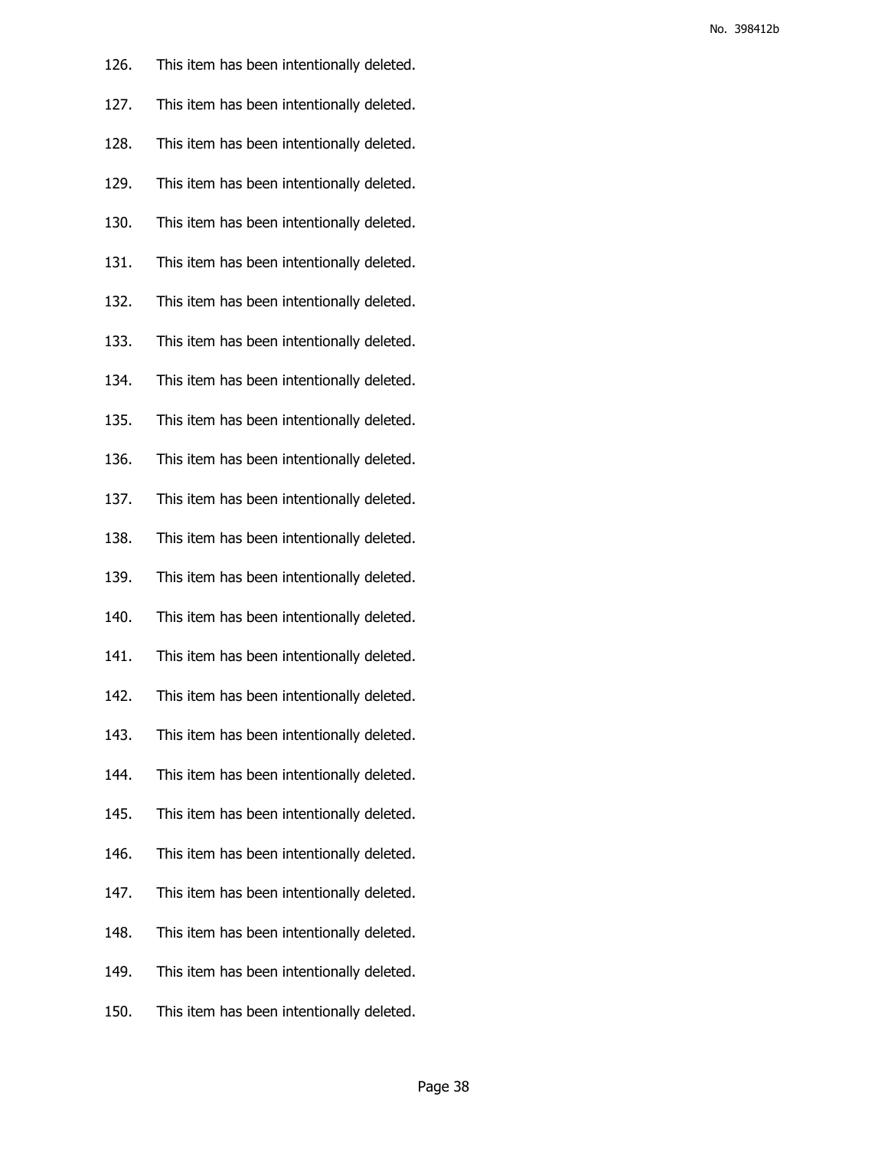| 126. | This item has been intentionally deleted. |
|------|-------------------------------------------|
| 127. | This item has been intentionally deleted. |
| 128. | This item has been intentionally deleted. |
| 129. | This item has been intentionally deleted. |
| 130. | This item has been intentionally deleted. |
| 131. | This item has been intentionally deleted. |
| 132. | This item has been intentionally deleted. |
| 133. | This item has been intentionally deleted. |
| 134. | This item has been intentionally deleted. |
| 135. | This item has been intentionally deleted. |
| 136. | This item has been intentionally deleted. |
| 137. | This item has been intentionally deleted. |
| 138. | This item has been intentionally deleted. |
| 139. | This item has been intentionally deleted. |
| 140. | This item has been intentionally deleted. |
| 141. | This item has been intentionally deleted. |
| 142. | This item has been intentionally deleted. |
| 143. | This item has been intentionally deleted. |
| 144. | This item has been intentionally deleted. |
| 145. | This item has been intentionally deleted. |
| 146. | This item has been intentionally deleted. |
| 147. | This item has been intentionally deleted. |
| 148. | This item has been intentionally deleted. |
| 149. | This item has been intentionally deleted. |
| 150. | This item has been intentionally deleted. |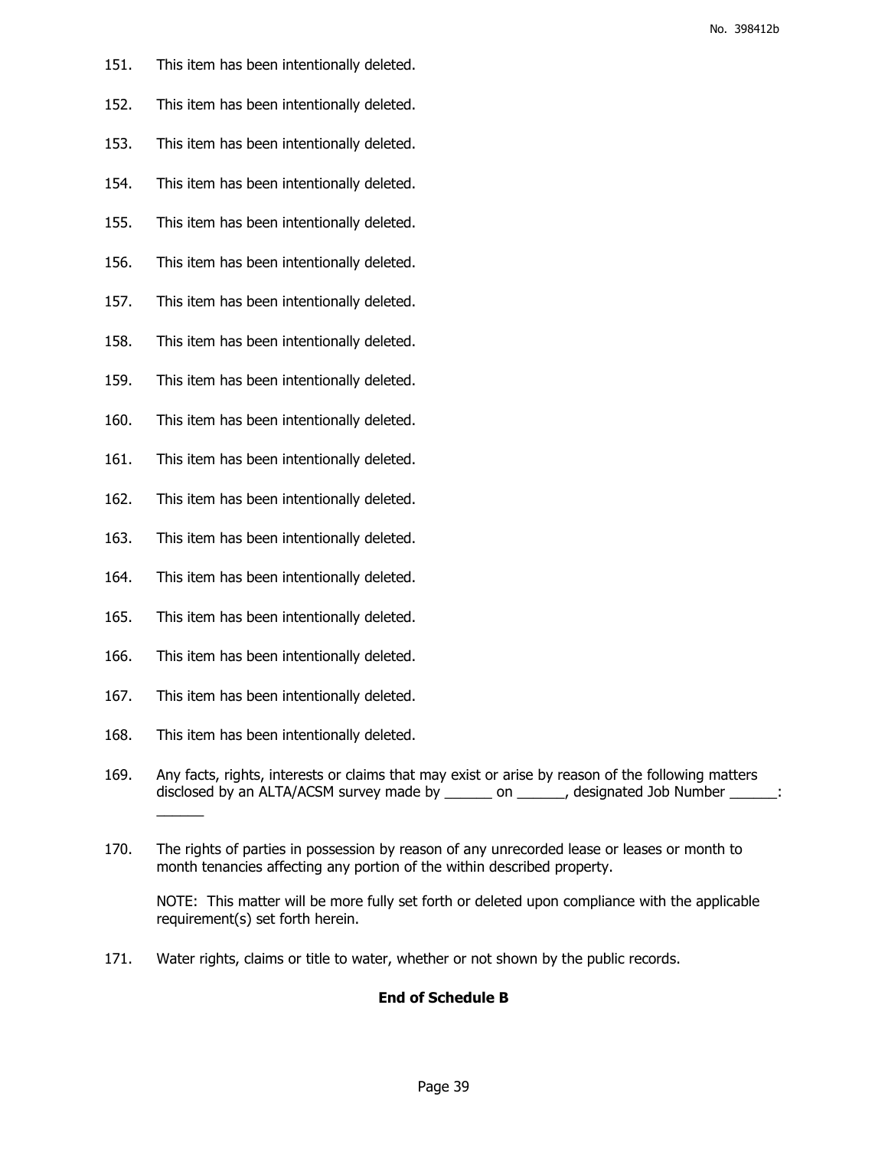- 151. This item has been intentionally deleted.
- 152. This item has been intentionally deleted.
- 153. This item has been intentionally deleted.
- 154. This item has been intentionally deleted.
- 155. This item has been intentionally deleted.
- 156. This item has been intentionally deleted.
- 157. This item has been intentionally deleted.
- 158. This item has been intentionally deleted.
- 159. This item has been intentionally deleted.
- 160. This item has been intentionally deleted.
- 161. This item has been intentionally deleted.
- 162. This item has been intentionally deleted.
- 163. This item has been intentionally deleted.
- 164. This item has been intentionally deleted.
- 165. This item has been intentionally deleted.
- 166. This item has been intentionally deleted.
- 167. This item has been intentionally deleted.
- 168. This item has been intentionally deleted.
- 169. Any facts, rights, interests or claims that may exist or arise by reason of the following matters disclosed by an ALTA/ACSM survey made by \_\_\_\_\_\_ on \_\_\_\_\_\_, designated Job Number \_\_\_\_\_\_:  $\overline{\phantom{a}}$
- 170. The rights of parties in possession by reason of any unrecorded lease or leases or month to month tenancies affecting any portion of the within described property.

NOTE: This matter will be more fully set forth or deleted upon compliance with the applicable requirement(s) set forth herein.

171. Water rights, claims or title to water, whether or not shown by the public records.

## **End of Schedule B**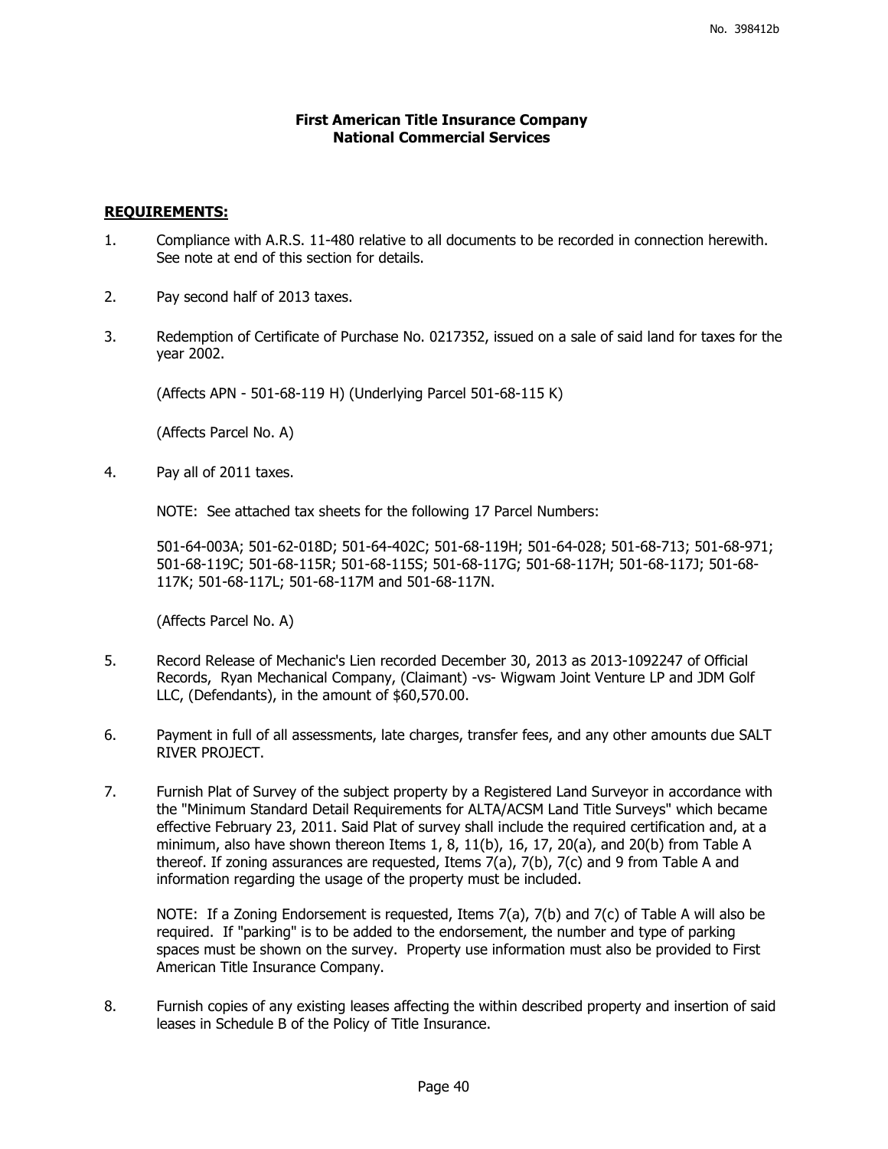## **First American Title Insurance Company National Commercial Services**

## **REQUIREMENTS:**

- 1. Compliance with A.R.S. 11-480 relative to all documents to be recorded in connection herewith. See note at end of this section for details.
- 2. Pay second half of 2013 taxes.
- 3. Redemption of Certificate of Purchase No. 0217352, issued on a sale of said land for taxes for the year 2002.

(Affects APN - 501-68-119 H) (Underlying Parcel 501-68-115 K)

(Affects Parcel No. A)

4. Pay all of 2011 taxes.

NOTE: See attached tax sheets for the following 17 Parcel Numbers:

501-64-003A; 501-62-018D; 501-64-402C; 501-68-119H; 501-64-028; 501-68-713; 501-68-971; 501-68-119C; 501-68-115R; 501-68-115S; 501-68-117G; 501-68-117H; 501-68-117J; 501-68- 117K; 501-68-117L; 501-68-117M and 501-68-117N.

(Affects Parcel No. A)

- 5. Record Release of Mechanic's Lien recorded December 30, 2013 as 2013-1092247 of Official Records, Ryan Mechanical Company, (Claimant) -vs- Wigwam Joint Venture LP and JDM Golf LLC, (Defendants), in the amount of \$60,570.00.
- 6. Payment in full of all assessments, late charges, transfer fees, and any other amounts due SALT RIVER PROJECT.
- 7. Furnish Plat of Survey of the subject property by a Registered Land Surveyor in accordance with the "Minimum Standard Detail Requirements for ALTA/ACSM Land Title Surveys" which became effective February 23, 2011. Said Plat of survey shall include the required certification and, at a minimum, also have shown thereon Items 1, 8, 11(b), 16, 17, 20(a), and 20(b) from Table A thereof. If zoning assurances are requested, Items 7(a), 7(b), 7(c) and 9 from Table A and information regarding the usage of the property must be included.

NOTE: If a Zoning Endorsement is requested, Items 7(a), 7(b) and 7(c) of Table A will also be required. If "parking" is to be added to the endorsement, the number and type of parking spaces must be shown on the survey. Property use information must also be provided to First American Title Insurance Company.

8. Furnish copies of any existing leases affecting the within described property and insertion of said leases in Schedule B of the Policy of Title Insurance.